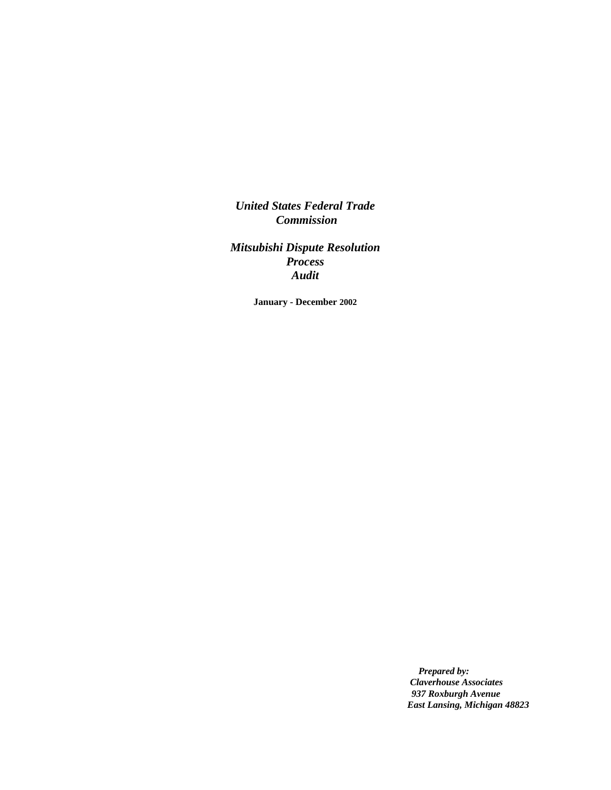*United States Federal Trade Commission*

*Mitsubishi Dispute Resolution Process Audit*

**January - December 2002**

*Prepared by: Claverhouse Associates 937 Roxburgh Avenue East Lansing, Michigan 48823*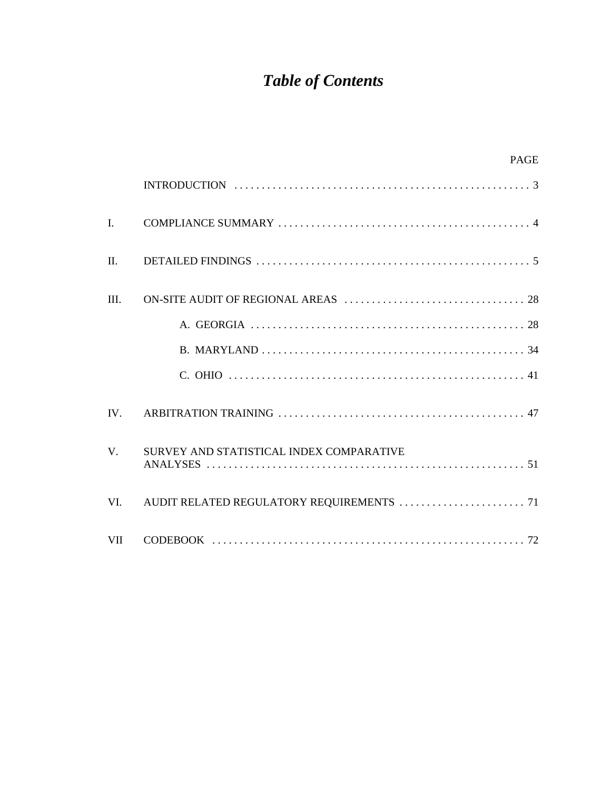# *Table of Contents*

|                | <b>PAGE</b>                              |
|----------------|------------------------------------------|
|                |                                          |
| $\mathbf{I}$ . |                                          |
| $\Pi$ .        |                                          |
| III.           |                                          |
|                |                                          |
|                |                                          |
|                |                                          |
| IV.            |                                          |
| $V_{\cdot}$    | SURVEY AND STATISTICAL INDEX COMPARATIVE |
| VI.            |                                          |
| VII            |                                          |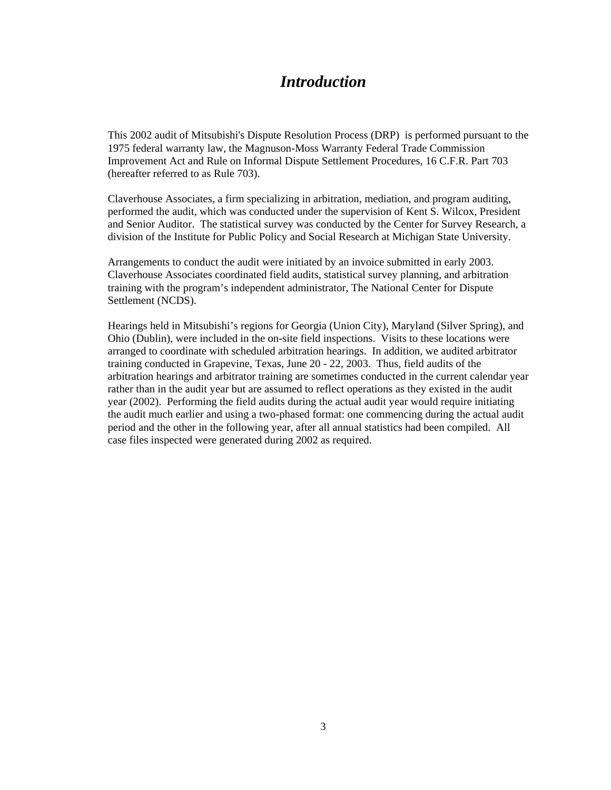# *Introduction*

This 2002 audit of Mitsubishi's Dispute Resolution Process (DRP) is performed pursuant to the 1975 federal warranty law, the Magnuson-Moss Warranty Federal Trade Commission Improvement Act and Rule on Informal Dispute Settlement Procedures, 16 C.F.R. Part 703 (hereafter referred to as Rule 703).

Claverhouse Associates, a firm specializing in arbitration, mediation, and program auditing, performed the audit, which was conducted under the supervision of Kent S. Wilcox, President and Senior Auditor. The statistical survey was conducted by the Center for Survey Research, a division of the Institute for Public Policy and Social Research at Michigan State University.

Arrangements to conduct the audit were initiated by an invoice submitted in early 2003. Claverhouse Associates coordinated field audits, statistical survey planning, and arbitration training with the program's independent administrator, The National Center for Dispute Settlement (NCDS).

Hearings held in Mitsubishi's regions for Georgia (Union City), Maryland (Silver Spring), and Ohio (Dublin), were included in the on-site field inspections. Visits to these locations were arranged to coordinate with scheduled arbitration hearings. In addition, we audited arbitrator training conducted in Grapevine, Texas, June 20 - 22, 2003. Thus, field audits of the arbitration hearings and arbitrator training are sometimes conducted in the current calendar year rather than in the audit year but are assumed to reflect operations as they existed in the audit year (2002). Performing the field audits during the actual audit year would require initiating the audit much earlier and using a two-phased format: one commencing during the actual audit period and the other in the following year, after all annual statistics had been compiled. All case files inspected were generated during 2002 as required.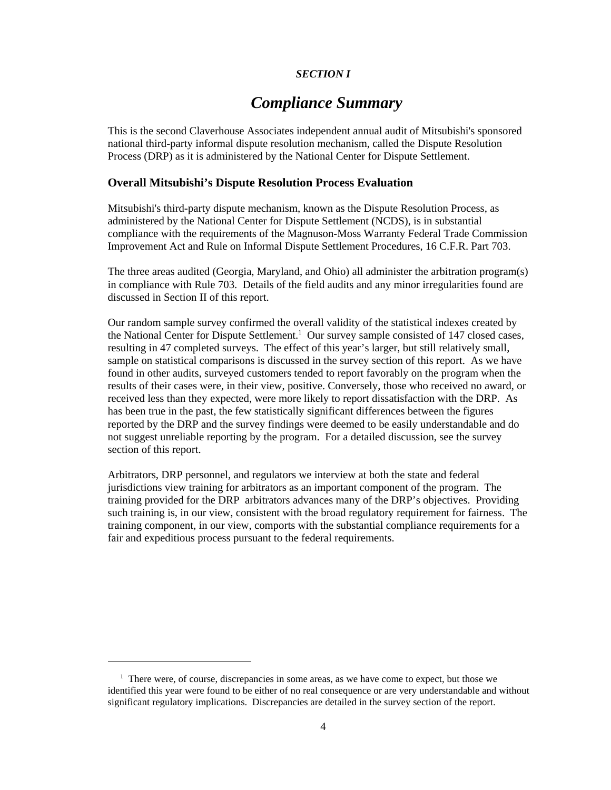# *SECTION I*

# *Compliance Summary*

This is the second Claverhouse Associates independent annual audit of Mitsubishi's sponsored national third-party informal dispute resolution mechanism, called the Dispute Resolution Process (DRP) as it is administered by the National Center for Dispute Settlement.

# **Overall Mitsubishi's Dispute Resolution Process Evaluation**

Mitsubishi's third-party dispute mechanism, known as the Dispute Resolution Process, as administered by the National Center for Dispute Settlement (NCDS), is in substantial compliance with the requirements of the Magnuson-Moss Warranty Federal Trade Commission Improvement Act and Rule on Informal Dispute Settlement Procedures, 16 C.F.R. Part 703.

The three areas audited (Georgia, Maryland, and Ohio) all administer the arbitration program(s) in compliance with Rule 703. Details of the field audits and any minor irregularities found are discussed in Section II of this report.

Our random sample survey confirmed the overall validity of the statistical indexes created by the National Center for Dispute Settlement.<sup>1</sup> Our survey sample consisted of 147 closed cases, resulting in 47 completed surveys. The effect of this year's larger, but still relatively small, sample on statistical comparisons is discussed in the survey section of this report. As we have found in other audits, surveyed customers tended to report favorably on the program when the results of their cases were, in their view, positive. Conversely, those who received no award, or received less than they expected, were more likely to report dissatisfaction with the DRP. As has been true in the past, the few statistically significant differences between the figures reported by the DRP and the survey findings were deemed to be easily understandable and do not suggest unreliable reporting by the program. For a detailed discussion, see the survey section of this report.

Arbitrators, DRP personnel, and regulators we interview at both the state and federal jurisdictions view training for arbitrators as an important component of the program. The training provided for the DRP arbitrators advances many of the DRP's objectives. Providing such training is, in our view, consistent with the broad regulatory requirement for fairness. The training component, in our view, comports with the substantial compliance requirements for a fair and expeditious process pursuant to the federal requirements.

<sup>&</sup>lt;sup>1</sup> There were, of course, discrepancies in some areas, as we have come to expect, but those we identified this year were found to be either of no real consequence or are very understandable and without significant regulatory implications. Discrepancies are detailed in the survey section of the report.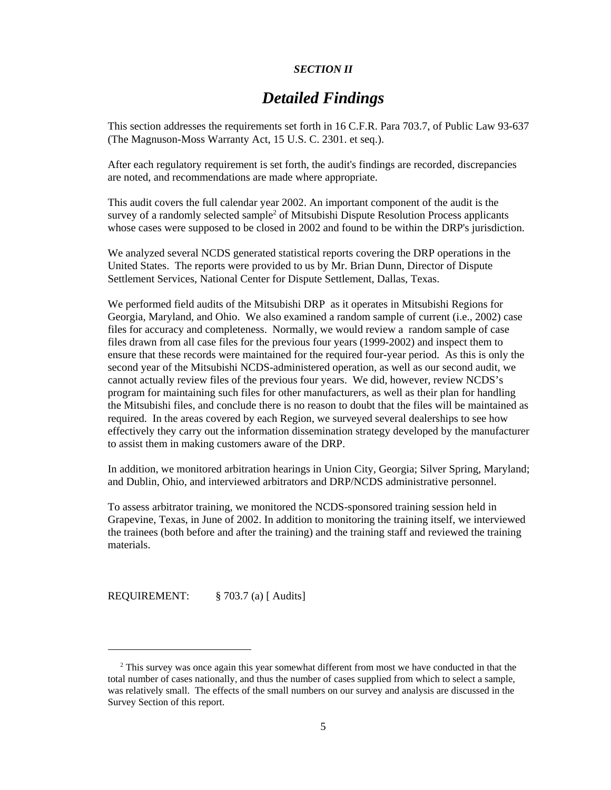# *SECTION II*

# *Detailed Findings*

This section addresses the requirements set forth in 16 C.F.R. Para 703.7, of Public Law 93-637 (The Magnuson-Moss Warranty Act, 15 U.S. C. 2301. et seq.).

After each regulatory requirement is set forth, the audit's findings are recorded, discrepancies are noted, and recommendations are made where appropriate.

This audit covers the full calendar year 2002. An important component of the audit is the survey of a randomly selected sample<sup>2</sup> of Mitsubishi Dispute Resolution Process applicants whose cases were supposed to be closed in 2002 and found to be within the DRP's jurisdiction.

We analyzed several NCDS generated statistical reports covering the DRP operations in the United States. The reports were provided to us by Mr. Brian Dunn, Director of Dispute Settlement Services, National Center for Dispute Settlement, Dallas, Texas.

We performed field audits of the Mitsubishi DRP as it operates in Mitsubishi Regions for Georgia, Maryland, and Ohio. We also examined a random sample of current (i.e., 2002) case files for accuracy and completeness. Normally, we would review a random sample of case files drawn from all case files for the previous four years (1999-2002) and inspect them to ensure that these records were maintained for the required four-year period. As this is only the second year of the Mitsubishi NCDS-administered operation, as well as our second audit, we cannot actually review files of the previous four years. We did, however, review NCDS's program for maintaining such files for other manufacturers, as well as their plan for handling the Mitsubishi files, and conclude there is no reason to doubt that the files will be maintained as required. In the areas covered by each Region, we surveyed several dealerships to see how effectively they carry out the information dissemination strategy developed by the manufacturer to assist them in making customers aware of the DRP.

In addition, we monitored arbitration hearings in Union City, Georgia; Silver Spring, Maryland; and Dublin, Ohio, and interviewed arbitrators and DRP/NCDS administrative personnel.

To assess arbitrator training, we monitored the NCDS-sponsored training session held in Grapevine, Texas, in June of 2002. In addition to monitoring the training itself, we interviewed the trainees (both before and after the training) and the training staff and reviewed the training materials.

REQUIREMENT: § 703.7 (a) [ Audits]

<sup>&</sup>lt;sup>2</sup> This survey was once again this year somewhat different from most we have conducted in that the total number of cases nationally, and thus the number of cases supplied from which to select a sample, was relatively small. The effects of the small numbers on our survey and analysis are discussed in the Survey Section of this report.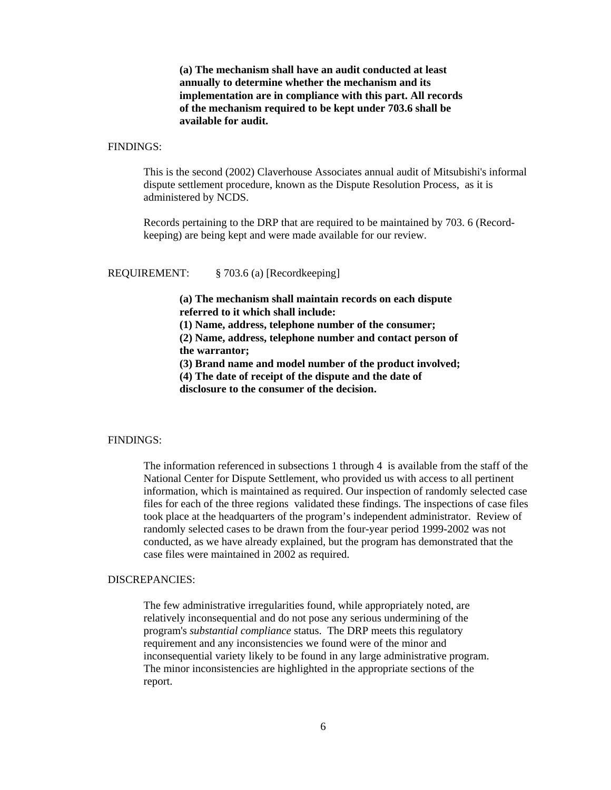**(a) The mechanism shall have an audit conducted at least annually to determine whether the mechanism and its implementation are in compliance with this part. All records of the mechanism required to be kept under 703.6 shall be available for audit.**

#### FINDINGS:

This is the second (2002) Claverhouse Associates annual audit of Mitsubishi's informal dispute settlement procedure, known as the Dispute Resolution Process, as it is administered by NCDS.

Records pertaining to the DRP that are required to be maintained by 703. 6 (Recordkeeping) are being kept and were made available for our review.

#### REQUIREMENT: § 703.6 (a) [Recordkeeping]

**(a) The mechanism shall maintain records on each dispute referred to it which shall include:** 

**(1) Name, address, telephone number of the consumer;** 

**(2) Name, address, telephone number and contact person of the warrantor;**

**(3) Brand name and model number of the product involved;**

**(4) The date of receipt of the dispute and the date of**

**disclosure to the consumer of the decision.**

#### FINDINGS:

The information referenced in subsections 1 through 4 is available from the staff of the National Center for Dispute Settlement, who provided us with access to all pertinent information, which is maintained as required. Our inspection of randomly selected case files for each of the three regions validated these findings. The inspections of case files took place at the headquarters of the program's independent administrator. Review of randomly selected cases to be drawn from the four-year period 1999-2002 was not conducted, as we have already explained, but the program has demonstrated that the case files were maintained in 2002 as required.

#### DISCREPANCIES:

The few administrative irregularities found, while appropriately noted, are relatively inconsequential and do not pose any serious undermining of the program's *substantial compliance* status. The DRP meets this regulatory requirement and any inconsistencies we found were of the minor and inconsequential variety likely to be found in any large administrative program. The minor inconsistencies are highlighted in the appropriate sections of the report.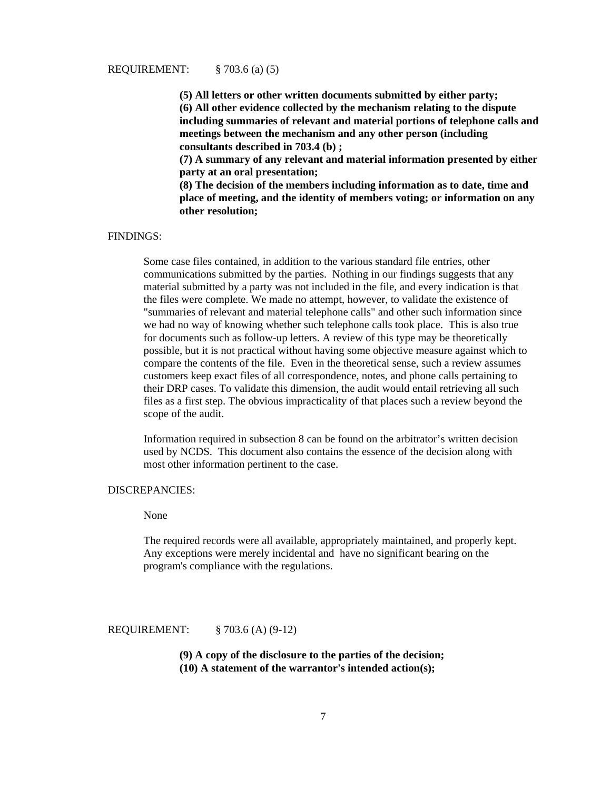#### REQUIREMENT: § 703.6 (a) (5)

**(5) All letters or other written documents submitted by either party; (6) All other evidence collected by the mechanism relating to the dispute including summaries of relevant and material portions of telephone calls and meetings between the mechanism and any other person (including consultants described in 703.4 (b) ;** 

**(7) A summary of any relevant and material information presented by either party at an oral presentation;** 

**(8) The decision of the members including information as to date, time and place of meeting, and the identity of members voting; or information on any other resolution;**

# FINDINGS:

 Some case files contained, in addition to the various standard file entries, other communications submitted by the parties. Nothing in our findings suggests that any material submitted by a party was not included in the file, and every indication is that the files were complete. We made no attempt, however, to validate the existence of "summaries of relevant and material telephone calls" and other such information since we had no way of knowing whether such telephone calls took place. This is also true for documents such as follow-up letters. A review of this type may be theoretically possible, but it is not practical without having some objective measure against which to compare the contents of the file. Even in the theoretical sense, such a review assumes customers keep exact files of all correspondence, notes, and phone calls pertaining to their DRP cases. To validate this dimension, the audit would entail retrieving all such files as a first step. The obvious impracticality of that places such a review beyond the scope of the audit.

Information required in subsection 8 can be found on the arbitrator's written decision used by NCDS. This document also contains the essence of the decision along with most other information pertinent to the case.

#### DISCREPANCIES:

None

The required records were all available, appropriately maintained, and properly kept. Any exceptions were merely incidental and have no significant bearing on the program's compliance with the regulations.

REQUIREMENT: § 703.6 (A) (9-12)

**(9) A copy of the disclosure to the parties of the decision; (10) A statement of the warrantor's intended action(s);**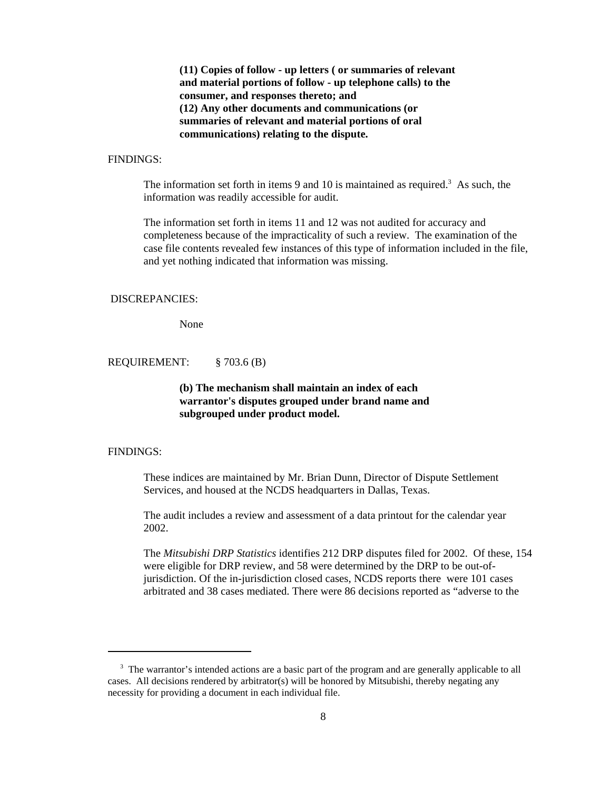**(11) Copies of follow - up letters ( or summaries of relevant and material portions of follow - up telephone calls) to the consumer, and responses thereto; and (12) Any other documents and communications (or summaries of relevant and material portions of oral communications) relating to the dispute.**

# FINDINGS:

The information set forth in items  $9$  and  $10$  is maintained as required.<sup>3</sup> As such, the information was readily accessible for audit.

The information set forth in items 11 and 12 was not audited for accuracy and completeness because of the impracticality of such a review. The examination of the case file contents revealed few instances of this type of information included in the file, and yet nothing indicated that information was missing.

# DISCREPANCIES:

None

REQUIREMENT: § 703.6 (B)

# **(b) The mechanism shall maintain an index of each warrantor's disputes grouped under brand name and subgrouped under product model.**

# FINDINGS:

These indices are maintained by Mr. Brian Dunn, Director of Dispute Settlement Services, and housed at the NCDS headquarters in Dallas, Texas.

The audit includes a review and assessment of a data printout for the calendar year 2002.

The *Mitsubishi DRP Statistics* identifies 212 DRP disputes filed for 2002. Of these, 154 were eligible for DRP review, and 58 were determined by the DRP to be out-ofjurisdiction. Of the in-jurisdiction closed cases, NCDS reports there were 101 cases arbitrated and 38 cases mediated. There were 86 decisions reported as "adverse to the

<sup>&</sup>lt;sup>3</sup> The warrantor's intended actions are a basic part of the program and are generally applicable to all cases. All decisions rendered by arbitrator(s) will be honored by Mitsubishi, thereby negating any necessity for providing a document in each individual file.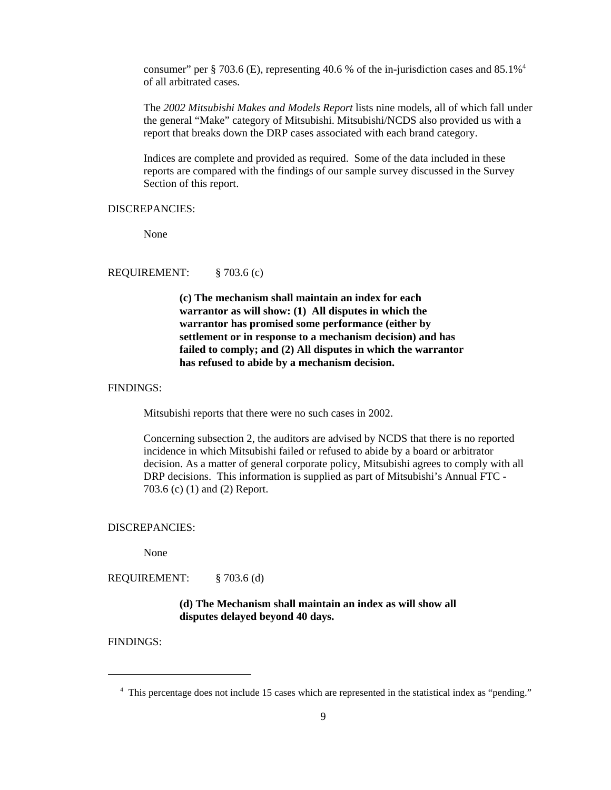consumer" per § 703.6 (E), representing 40.6 % of the in-jurisdiction cases and 85.1%4 of all arbitrated cases.

The *2002 Mitsubishi Makes and Models Report* lists nine models, all of which fall under the general "Make" category of Mitsubishi. Mitsubishi/NCDS also provided us with a report that breaks down the DRP cases associated with each brand category.

Indices are complete and provided as required. Some of the data included in these reports are compared with the findings of our sample survey discussed in the Survey Section of this report.

# DISCREPANCIES:

None

# REQUIREMENT: § 703.6 (c)

**(c) The mechanism shall maintain an index for each warrantor as will show: (1) All disputes in which the warrantor has promised some performance (either by settlement or in response to a mechanism decision) and has failed to comply; and (2) All disputes in which the warrantor has refused to abide by a mechanism decision.**

#### FINDINGS:

Mitsubishi reports that there were no such cases in 2002.

Concerning subsection 2, the auditors are advised by NCDS that there is no reported incidence in which Mitsubishi failed or refused to abide by a board or arbitrator decision. As a matter of general corporate policy, Mitsubishi agrees to comply with all DRP decisions. This information is supplied as part of Mitsubishi's Annual FTC - 703.6 (c) (1) and (2) Report.

#### DISCREPANCIES:

None

REQUIREMENT: § 703.6 (d)

# **(d) The Mechanism shall maintain an index as will show all disputes delayed beyond 40 days.**

<sup>&</sup>lt;sup>4</sup> This percentage does not include 15 cases which are represented in the statistical index as "pending."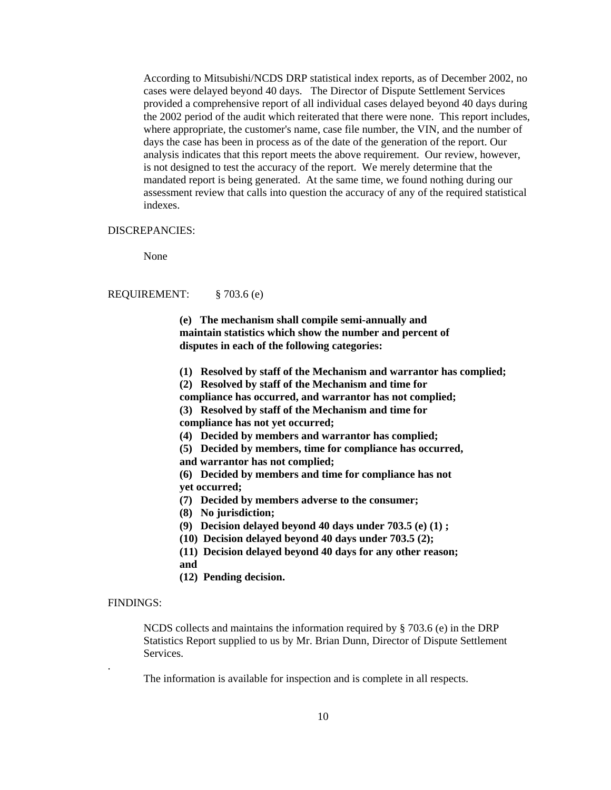According to Mitsubishi/NCDS DRP statistical index reports, as of December 2002, no cases were delayed beyond 40 days. The Director of Dispute Settlement Services provided a comprehensive report of all individual cases delayed beyond 40 days during the 2002 period of the audit which reiterated that there were none. This report includes, where appropriate, the customer's name, case file number, the VIN, and the number of days the case has been in process as of the date of the generation of the report. Our analysis indicates that this report meets the above requirement. Our review, however, is not designed to test the accuracy of the report. We merely determine that the mandated report is being generated. At the same time, we found nothing during our assessment review that calls into question the accuracy of any of the required statistical indexes.

#### DISCREPANCIES:

None

#### REQUIREMENT: § 703.6 (e)

**(e) The mechanism shall compile semi-annually and maintain statistics which show the number and percent of disputes in each of the following categories:** 

- **(1) Resolved by staff of the Mechanism and warrantor has complied;**
- **(2) Resolved by staff of the Mechanism and time for**
- **compliance has occurred, and warrantor has not complied;**

 **(3) Resolved by staff of the Mechanism and time for**

- **compliance has not yet occurred;**
- **(4) Decided by members and warrantor has complied;**
- **(5) Decided by members, time for compliance has occurred,**
- **and warrantor has not complied;**
- **(6) Decided by members and time for compliance has not yet occurred;**
- **(7) Decided by members adverse to the consumer;**
- **(8) No jurisdiction;**
- **(9) Decision delayed beyond 40 days under 703.5 (e) (1) ;**
- **(10) Decision delayed beyond 40 days under 703.5 (2);**
- **(11) Decision delayed beyond 40 days for any other reason; and**
- **(12) Pending decision.**

#### FINDINGS:

.

NCDS collects and maintains the information required by  $\S 703.6$  (e) in the DRP Statistics Report supplied to us by Mr. Brian Dunn, Director of Dispute Settlement Services.

The information is available for inspection and is complete in all respects.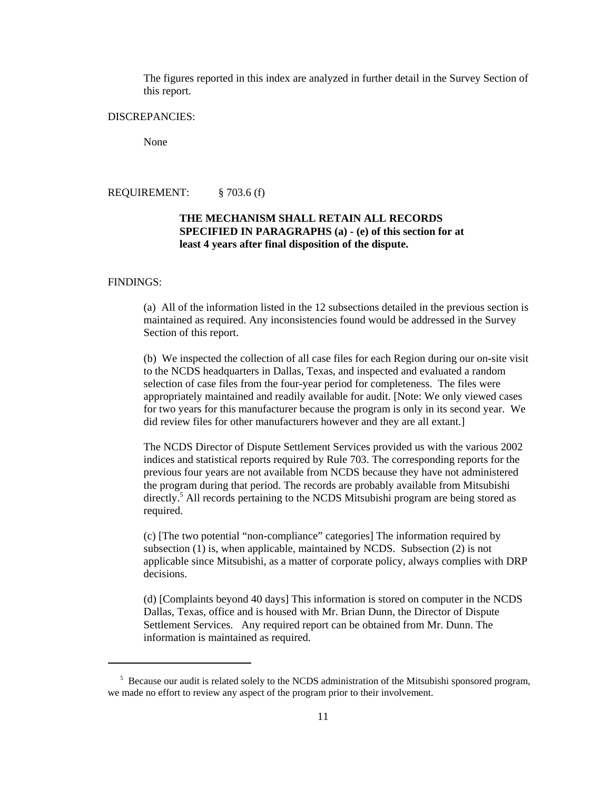The figures reported in this index are analyzed in further detail in the Survey Section of this report.

### DISCREPANCIES:

None

REQUIREMENT: § 703.6 (f)

# **THE MECHANISM SHALL RETAIN ALL RECORDS SPECIFIED IN PARAGRAPHS (a) - (e) of this section for at least 4 years after final disposition of the dispute.**

#### FINDINGS:

(a) All of the information listed in the 12 subsections detailed in the previous section is maintained as required. Any inconsistencies found would be addressed in the Survey Section of this report.

(b) We inspected the collection of all case files for each Region during our on-site visit to the NCDS headquarters in Dallas, Texas, and inspected and evaluated a random selection of case files from the four-year period for completeness. The files were appropriately maintained and readily available for audit. [Note: We only viewed cases for two years for this manufacturer because the program is only in its second year. We did review files for other manufacturers however and they are all extant.]

The NCDS Director of Dispute Settlement Services provided us with the various 2002 indices and statistical reports required by Rule 703. The corresponding reports for the previous four years are not available from NCDS because they have not administered the program during that period. The records are probably available from Mitsubishi directly.<sup>5</sup> All records pertaining to the NCDS Mitsubishi program are being stored as required.

(c) [The two potential "non-compliance" categories] The information required by subsection (1) is, when applicable, maintained by NCDS. Subsection (2) is not applicable since Mitsubishi, as a matter of corporate policy, always complies with DRP decisions.

(d) [Complaints beyond 40 days] This information is stored on computer in the NCDS Dallas, Texas, office and is housed with Mr. Brian Dunn, the Director of Dispute Settlement Services. Any required report can be obtained from Mr. Dunn. The information is maintained as required.

<sup>&</sup>lt;sup>5</sup> Because our audit is related solely to the NCDS administration of the Mitsubishi sponsored program, we made no effort to review any aspect of the program prior to their involvement.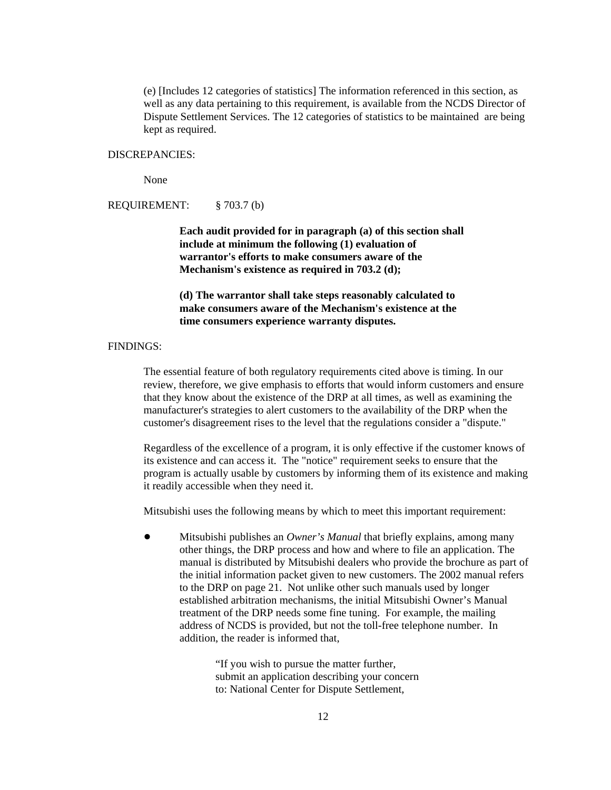(e) [Includes 12 categories of statistics] The information referenced in this section, as well as any data pertaining to this requirement, is available from the NCDS Director of Dispute Settlement Services. The 12 categories of statistics to be maintained are being kept as required.

# DISCREPANCIES:

None

REQUIREMENT: § 703.7 (b)

**Each audit provided for in paragraph (a) of this section shall include at minimum the following (1) evaluation of warrantor's efforts to make consumers aware of the Mechanism's existence as required in 703.2 (d);**

**(d) The warrantor shall take steps reasonably calculated to make consumers aware of the Mechanism's existence at the time consumers experience warranty disputes.**

# FINDINGS:

The essential feature of both regulatory requirements cited above is timing. In our review, therefore, we give emphasis to efforts that would inform customers and ensure that they know about the existence of the DRP at all times, as well as examining the manufacturer's strategies to alert customers to the availability of the DRP when the customer's disagreement rises to the level that the regulations consider a "dispute."

Regardless of the excellence of a program, it is only effective if the customer knows of its existence and can access it. The "notice" requirement seeks to ensure that the program is actually usable by customers by informing them of its existence and making it readily accessible when they need it.

Mitsubishi uses the following means by which to meet this important requirement:

! Mitsubishi publishes an *Owner's Manual* that briefly explains, among many other things, the DRP process and how and where to file an application. The manual is distributed by Mitsubishi dealers who provide the brochure as part of the initial information packet given to new customers. The 2002 manual refers to the DRP on page 21. Not unlike other such manuals used by longer established arbitration mechanisms, the initial Mitsubishi Owner's Manual treatment of the DRP needs some fine tuning. For example, the mailing address of NCDS is provided, but not the toll-free telephone number. In addition, the reader is informed that,

> "If you wish to pursue the matter further, submit an application describing your concern to: National Center for Dispute Settlement,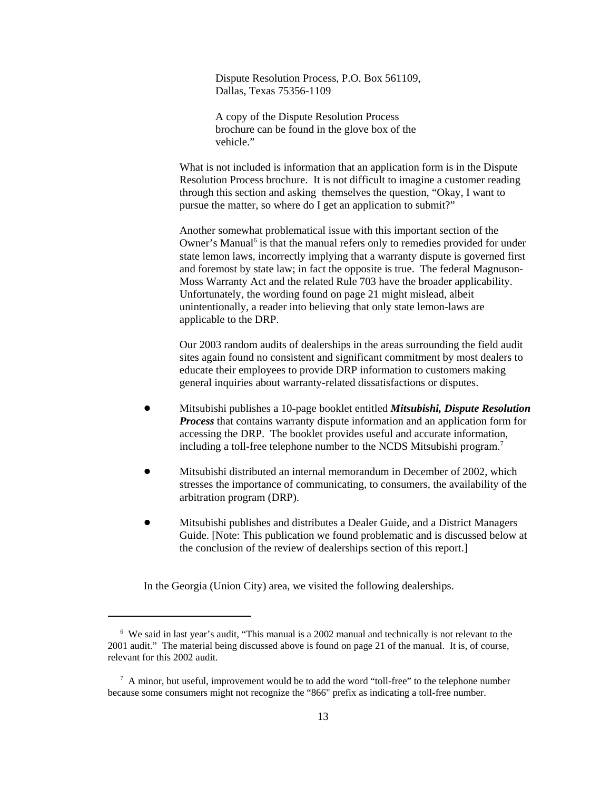Dispute Resolution Process, P.O. Box 561109, Dallas, Texas 75356-1109

A copy of the Dispute Resolution Process brochure can be found in the glove box of the vehicle."

What is not included is information that an application form is in the Dispute Resolution Process brochure. It is not difficult to imagine a customer reading through this section and asking themselves the question, "Okay, I want to pursue the matter, so where do I get an application to submit?"

Another somewhat problematical issue with this important section of the Owner's Manual<sup>6</sup> is that the manual refers only to remedies provided for under state lemon laws, incorrectly implying that a warranty dispute is governed first and foremost by state law; in fact the opposite is true. The federal Magnuson-Moss Warranty Act and the related Rule 703 have the broader applicability. Unfortunately, the wording found on page 21 might mislead, albeit unintentionally, a reader into believing that only state lemon-laws are applicable to the DRP.

Our 2003 random audits of dealerships in the areas surrounding the field audit sites again found no consistent and significant commitment by most dealers to educate their employees to provide DRP information to customers making general inquiries about warranty-related dissatisfactions or disputes.

- ! Mitsubishi publishes a 10-page booklet entitled *Mitsubishi, Dispute Resolution Process* that contains warranty dispute information and an application form for accessing the DRP. The booklet provides useful and accurate information, including a toll-free telephone number to the NCDS Mitsubishi program.7
- ! Mitsubishi distributed an internal memorandum in December of 2002, which stresses the importance of communicating, to consumers, the availability of the arbitration program (DRP).
- ! Mitsubishi publishes and distributes a Dealer Guide, and a District Managers Guide. [Note: This publication we found problematic and is discussed below at the conclusion of the review of dealerships section of this report.]

In the Georgia (Union City) area, we visited the following dealerships.

 <sup>6</sup> We said in last year's audit, "This manual is a 2002 manual and technically is not relevant to the 2001 audit." The material being discussed above is found on page 21 of the manual. It is, of course, relevant for this 2002 audit.

<sup>&</sup>lt;sup>7</sup> A minor, but useful, improvement would be to add the word "toll-free" to the telephone number because some consumers might not recognize the "866" prefix as indicating a toll-free number.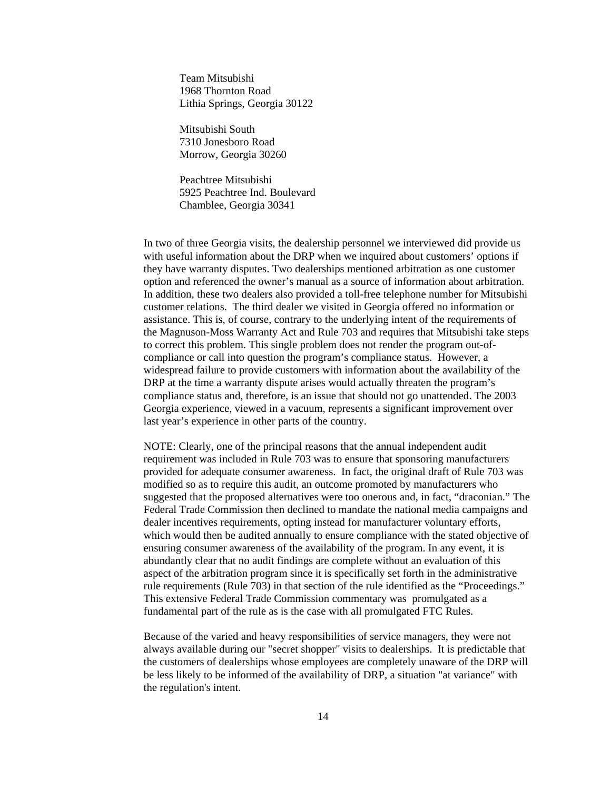Team Mitsubishi 1968 Thornton Road Lithia Springs, Georgia 30122

Mitsubishi South 7310 Jonesboro Road Morrow, Georgia 30260

Peachtree Mitsubishi 5925 Peachtree Ind. Boulevard Chamblee, Georgia 30341

In two of three Georgia visits, the dealership personnel we interviewed did provide us with useful information about the DRP when we inquired about customers' options if they have warranty disputes. Two dealerships mentioned arbitration as one customer option and referenced the owner's manual as a source of information about arbitration. In addition, these two dealers also provided a toll-free telephone number for Mitsubishi customer relations. The third dealer we visited in Georgia offered no information or assistance. This is, of course, contrary to the underlying intent of the requirements of the Magnuson-Moss Warranty Act and Rule 703 and requires that Mitsubishi take steps to correct this problem. This single problem does not render the program out-ofcompliance or call into question the program's compliance status. However, a widespread failure to provide customers with information about the availability of the DRP at the time a warranty dispute arises would actually threaten the program's compliance status and, therefore, is an issue that should not go unattended. The 2003 Georgia experience, viewed in a vacuum, represents a significant improvement over last year's experience in other parts of the country.

NOTE: Clearly, one of the principal reasons that the annual independent audit requirement was included in Rule 703 was to ensure that sponsoring manufacturers provided for adequate consumer awareness. In fact, the original draft of Rule 703 was modified so as to require this audit, an outcome promoted by manufacturers who suggested that the proposed alternatives were too onerous and, in fact, "draconian." The Federal Trade Commission then declined to mandate the national media campaigns and dealer incentives requirements, opting instead for manufacturer voluntary efforts, which would then be audited annually to ensure compliance with the stated objective of ensuring consumer awareness of the availability of the program. In any event, it is abundantly clear that no audit findings are complete without an evaluation of this aspect of the arbitration program since it is specifically set forth in the administrative rule requirements (Rule 703) in that section of the rule identified as the "Proceedings." This extensive Federal Trade Commission commentary was promulgated as a fundamental part of the rule as is the case with all promulgated FTC Rules.

Because of the varied and heavy responsibilities of service managers, they were not always available during our "secret shopper" visits to dealerships. It is predictable that the customers of dealerships whose employees are completely unaware of the DRP will be less likely to be informed of the availability of DRP, a situation "at variance" with the regulation's intent.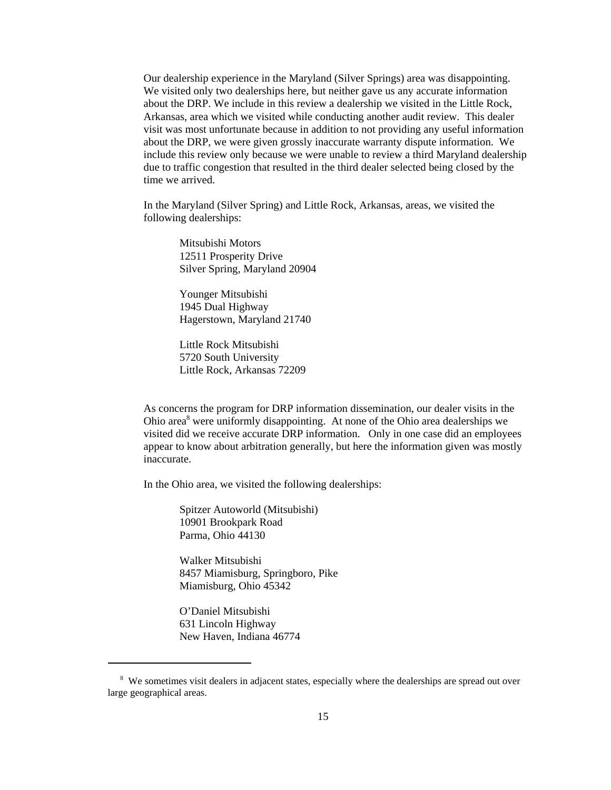Our dealership experience in the Maryland (Silver Springs) area was disappointing. We visited only two dealerships here, but neither gave us any accurate information about the DRP. We include in this review a dealership we visited in the Little Rock, Arkansas, area which we visited while conducting another audit review. This dealer visit was most unfortunate because in addition to not providing any useful information about the DRP, we were given grossly inaccurate warranty dispute information. We include this review only because we were unable to review a third Maryland dealership due to traffic congestion that resulted in the third dealer selected being closed by the time we arrived.

In the Maryland (Silver Spring) and Little Rock, Arkansas, areas, we visited the following dealerships:

> Mitsubishi Motors 12511 Prosperity Drive Silver Spring, Maryland 20904

Younger Mitsubishi 1945 Dual Highway Hagerstown, Maryland 21740

Little Rock Mitsubishi 5720 South University Little Rock, Arkansas 72209

As concerns the program for DRP information dissemination, our dealer visits in the Ohio area<sup>8</sup> were uniformly disappointing. At none of the Ohio area dealerships we visited did we receive accurate DRP information. Only in one case did an employees appear to know about arbitration generally, but here the information given was mostly inaccurate.

In the Ohio area, we visited the following dealerships:

Spitzer Autoworld (Mitsubishi) 10901 Brookpark Road Parma, Ohio 44130

Walker Mitsubishi 8457 Miamisburg, Springboro, Pike Miamisburg, Ohio 45342

O'Daniel Mitsubishi 631 Lincoln Highway New Haven, Indiana 46774

<sup>&</sup>lt;sup>8</sup> We sometimes visit dealers in adjacent states, especially where the dealerships are spread out over large geographical areas.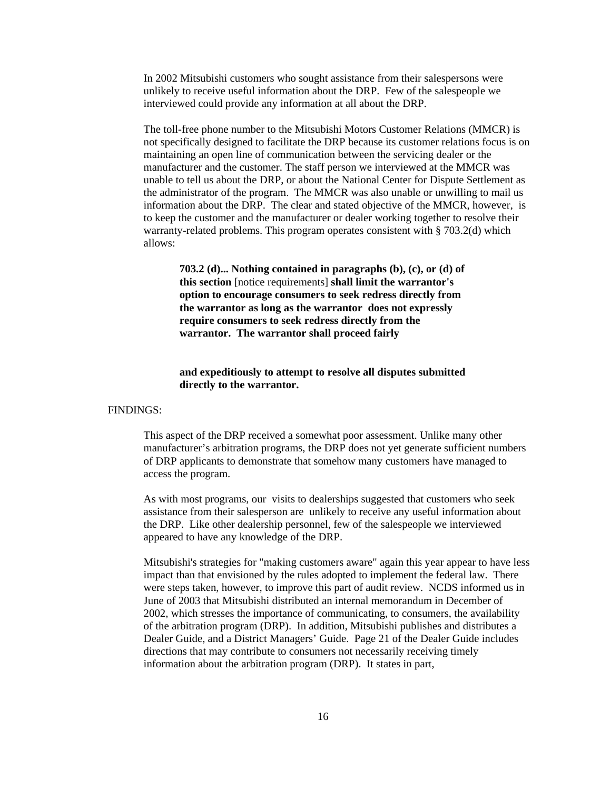In 2002 Mitsubishi customers who sought assistance from their salespersons were unlikely to receive useful information about the DRP. Few of the salespeople we interviewed could provide any information at all about the DRP.

 The toll-free phone number to the Mitsubishi Motors Customer Relations (MMCR) is not specifically designed to facilitate the DRP because its customer relations focus is on maintaining an open line of communication between the servicing dealer or the manufacturer and the customer. The staff person we interviewed at the MMCR was unable to tell us about the DRP, or about the National Center for Dispute Settlement as the administrator of the program. The MMCR was also unable or unwilling to mail us information about the DRP. The clear and stated objective of the MMCR, however, is to keep the customer and the manufacturer or dealer working together to resolve their warranty-related problems. This program operates consistent with § 703.2(d) which allows:

**703.2 (d)... Nothing contained in paragraphs (b), (c), or (d) of this section** [notice requirements] **shall limit the warrantor's option to encourage consumers to seek redress directly from the warrantor as long as the warrantor does not expressly require consumers to seek redress directly from the warrantor. The warrantor shall proceed fairly**

# **and expeditiously to attempt to resolve all disputes submitted directly to the warrantor.**

#### FINDINGS:

This aspect of the DRP received a somewhat poor assessment. Unlike many other manufacturer's arbitration programs, the DRP does not yet generate sufficient numbers of DRP applicants to demonstrate that somehow many customers have managed to access the program.

As with most programs, our visits to dealerships suggested that customers who seek assistance from their salesperson are unlikely to receive any useful information about the DRP. Like other dealership personnel, few of the salespeople we interviewed appeared to have any knowledge of the DRP.

Mitsubishi's strategies for "making customers aware" again this year appear to have less impact than that envisioned by the rules adopted to implement the federal law. There were steps taken, however, to improve this part of audit review. NCDS informed us in June of 2003 that Mitsubishi distributed an internal memorandum in December of 2002, which stresses the importance of communicating, to consumers, the availability of the arbitration program (DRP). In addition, Mitsubishi publishes and distributes a Dealer Guide, and a District Managers' Guide. Page 21 of the Dealer Guide includes directions that may contribute to consumers not necessarily receiving timely information about the arbitration program (DRP). It states in part,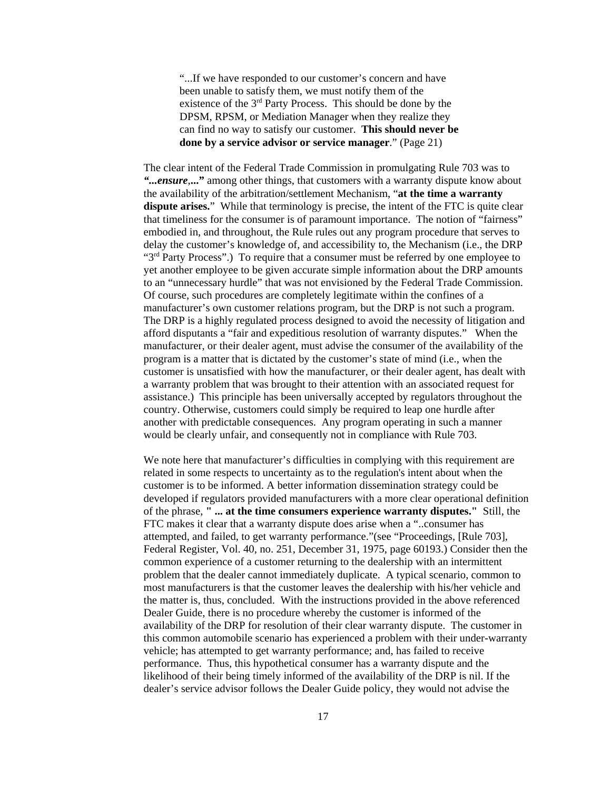"...If we have responded to our customer's concern and have been unable to satisfy them, we must notify them of the existence of the 3rd Party Process. This should be done by the DPSM, RPSM, or Mediation Manager when they realize they can find no way to satisfy our customer. **This should never be done by a service advisor or service manager**." (Page 21)

The clear intent of the Federal Trade Commission in promulgating Rule 703 was to *"...ensure*,**..."** among other things, that customers with a warranty dispute know about the availability of the arbitration/settlement Mechanism, "**at the time a warranty dispute arises.**" While that terminology is precise, the intent of the FTC is quite clear that timeliness for the consumer is of paramount importance. The notion of "fairness" embodied in, and throughout, the Rule rules out any program procedure that serves to delay the customer's knowledge of, and accessibility to, the Mechanism (i.e., the DRP " $3<sup>rd</sup>$  Party Process".) To require that a consumer must be referred by one employee to yet another employee to be given accurate simple information about the DRP amounts to an "unnecessary hurdle" that was not envisioned by the Federal Trade Commission. Of course, such procedures are completely legitimate within the confines of a manufacturer's own customer relations program, but the DRP is not such a program. The DRP is a highly regulated process designed to avoid the necessity of litigation and afford disputants a "fair and expeditious resolution of warranty disputes." When the manufacturer, or their dealer agent, must advise the consumer of the availability of the program is a matter that is dictated by the customer's state of mind (i.e., when the customer is unsatisfied with how the manufacturer, or their dealer agent, has dealt with a warranty problem that was brought to their attention with an associated request for assistance.) This principle has been universally accepted by regulators throughout the country. Otherwise, customers could simply be required to leap one hurdle after another with predictable consequences. Any program operating in such a manner would be clearly unfair, and consequently not in compliance with Rule 703.

We note here that manufacturer's difficulties in complying with this requirement are related in some respects to uncertainty as to the regulation's intent about when the customer is to be informed. A better information dissemination strategy could be developed if regulators provided manufacturers with a more clear operational definition of the phrase, **" ... at the time consumers experience warranty disputes."** Still, the FTC makes it clear that a warranty dispute does arise when a "..consumer has attempted, and failed, to get warranty performance."(see "Proceedings, [Rule 703], Federal Register, Vol. 40, no. 251, December 31, 1975, page 60193.) Consider then the common experience of a customer returning to the dealership with an intermittent problem that the dealer cannot immediately duplicate. A typical scenario, common to most manufacturers is that the customer leaves the dealership with his/her vehicle and the matter is, thus, concluded. With the instructions provided in the above referenced Dealer Guide, there is no procedure whereby the customer is informed of the availability of the DRP for resolution of their clear warranty dispute. The customer in this common automobile scenario has experienced a problem with their under-warranty vehicle; has attempted to get warranty performance; and, has failed to receive performance. Thus, this hypothetical consumer has a warranty dispute and the likelihood of their being timely informed of the availability of the DRP is nil. If the dealer's service advisor follows the Dealer Guide policy, they would not advise the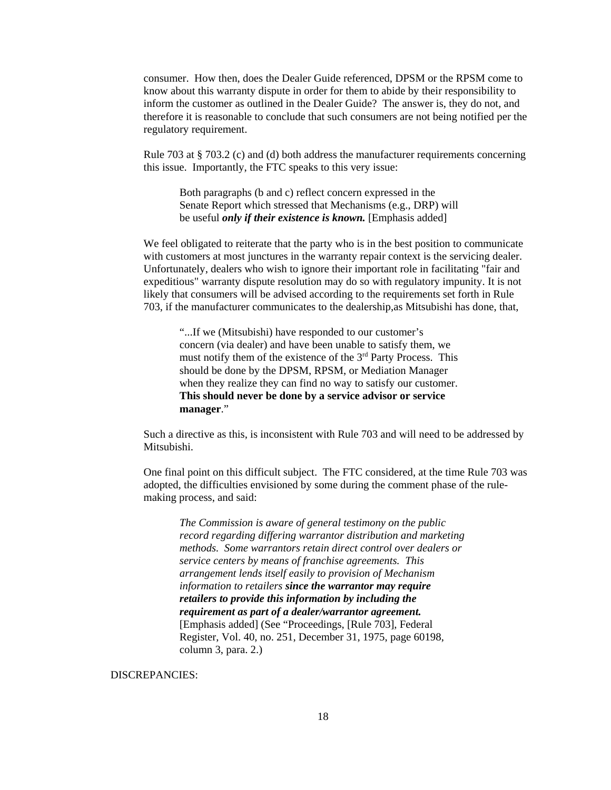consumer. How then, does the Dealer Guide referenced, DPSM or the RPSM come to know about this warranty dispute in order for them to abide by their responsibility to inform the customer as outlined in the Dealer Guide? The answer is, they do not, and therefore it is reasonable to conclude that such consumers are not being notified per the regulatory requirement.

Rule 703 at § 703.2 (c) and (d) both address the manufacturer requirements concerning this issue. Importantly, the FTC speaks to this very issue:

Both paragraphs (b and c) reflect concern expressed in the Senate Report which stressed that Mechanisms (e.g., DRP) will be useful *only if their existence is known.* [Emphasis added]

We feel obligated to reiterate that the party who is in the best position to communicate with customers at most junctures in the warranty repair context is the servicing dealer. Unfortunately, dealers who wish to ignore their important role in facilitating "fair and expeditious" warranty dispute resolution may do so with regulatory impunity. It is not likely that consumers will be advised according to the requirements set forth in Rule 703, if the manufacturer communicates to the dealership,as Mitsubishi has done, that,

"...If we (Mitsubishi) have responded to our customer's concern (via dealer) and have been unable to satisfy them, we must notify them of the existence of the 3<sup>rd</sup> Party Process. This should be done by the DPSM, RPSM, or Mediation Manager when they realize they can find no way to satisfy our customer. **This should never be done by a service advisor or service manager**."

Such a directive as this, is inconsistent with Rule 703 and will need to be addressed by Mitsubishi.

One final point on this difficult subject. The FTC considered, at the time Rule 703 was adopted, the difficulties envisioned by some during the comment phase of the rulemaking process, and said:

*The Commission is aware of general testimony on the public record regarding differing warrantor distribution and marketing methods. Some warrantors retain direct control over dealers or service centers by means of franchise agreements. This arrangement lends itself easily to provision of Mechanism information to retailers since the warrantor may require retailers to provide this information by including the requirement as part of a dealer/warrantor agreement.* [Emphasis added] (See "Proceedings, [Rule 703], Federal Register, Vol. 40, no. 251, December 31, 1975, page 60198, column 3, para. 2.)

DISCREPANCIES: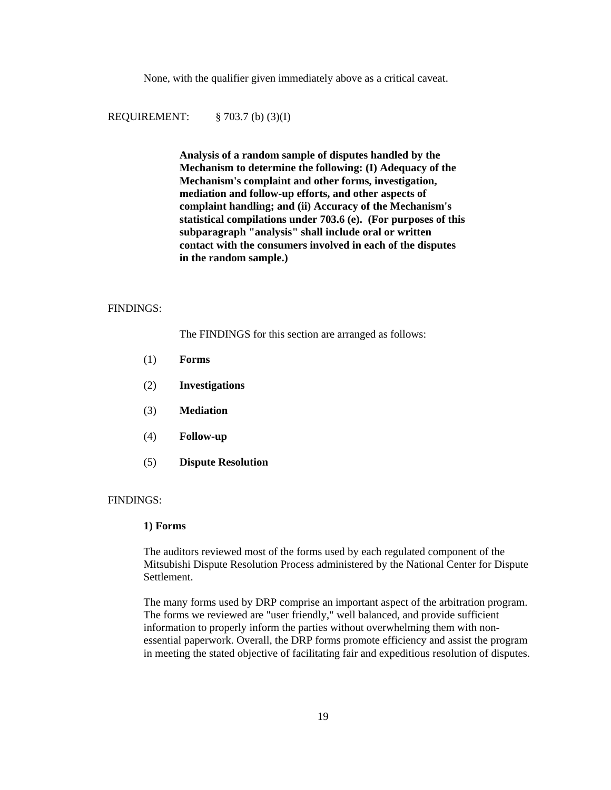None, with the qualifier given immediately above as a critical caveat.

REQUIREMENT: § 703.7 (b) (3)(I)

**Analysis of a random sample of disputes handled by the Mechanism to determine the following: (I) Adequacy of the Mechanism's complaint and other forms, investigation, mediation and follow-up efforts, and other aspects of complaint handling; and (ii) Accuracy of the Mechanism's statistical compilations under 703.6 (e). (For purposes of this subparagraph "analysis" shall include oral or written contact with the consumers involved in each of the disputes in the random sample.)**

#### FINDINGS:

The FINDINGS for this section are arranged as follows:

- (1) **Forms**
- (2) **Investigations**
- (3) **Mediation**
- (4) **Follow-up**
- (5) **Dispute Resolution**

#### FINDINGS:

#### **1) Forms**

The auditors reviewed most of the forms used by each regulated component of the Mitsubishi Dispute Resolution Process administered by the National Center for Dispute Settlement.

The many forms used by DRP comprise an important aspect of the arbitration program. The forms we reviewed are "user friendly," well balanced, and provide sufficient information to properly inform the parties without overwhelming them with nonessential paperwork. Overall, the DRP forms promote efficiency and assist the program in meeting the stated objective of facilitating fair and expeditious resolution of disputes.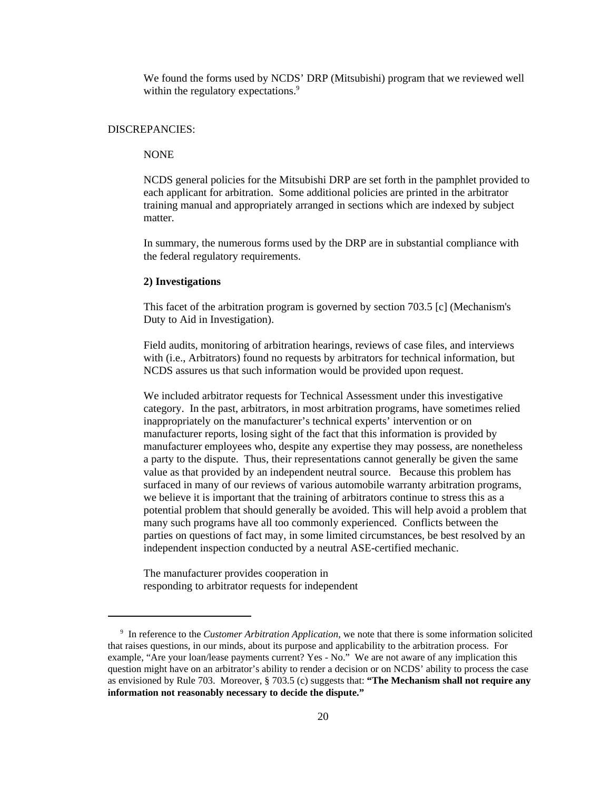We found the forms used by NCDS' DRP (Mitsubishi) program that we reviewed well within the regulatory expectations.<sup>9</sup>

#### DISCREPANCIES:

# NONE

NCDS general policies for the Mitsubishi DRP are set forth in the pamphlet provided to each applicant for arbitration. Some additional policies are printed in the arbitrator training manual and appropriately arranged in sections which are indexed by subject matter.

In summary, the numerous forms used by the DRP are in substantial compliance with the federal regulatory requirements.

#### **2) Investigations**

This facet of the arbitration program is governed by section 703.5 [c] (Mechanism's Duty to Aid in Investigation).

Field audits, monitoring of arbitration hearings, reviews of case files, and interviews with (i.e., Arbitrators) found no requests by arbitrators for technical information, but NCDS assures us that such information would be provided upon request.

We included arbitrator requests for Technical Assessment under this investigative category. In the past, arbitrators, in most arbitration programs, have sometimes relied inappropriately on the manufacturer's technical experts' intervention or on manufacturer reports, losing sight of the fact that this information is provided by manufacturer employees who, despite any expertise they may possess, are nonetheless a party to the dispute. Thus, their representations cannot generally be given the same value as that provided by an independent neutral source. Because this problem has surfaced in many of our reviews of various automobile warranty arbitration programs, we believe it is important that the training of arbitrators continue to stress this as a potential problem that should generally be avoided. This will help avoid a problem that many such programs have all too commonly experienced. Conflicts between the parties on questions of fact may, in some limited circumstances, be best resolved by an independent inspection conducted by a neutral ASE-certified mechanic.

The manufacturer provides cooperation in responding to arbitrator requests for independent

 <sup>9</sup> In reference to the *Customer Arbitration Application*, we note that there is some information solicited that raises questions, in our minds, about its purpose and applicability to the arbitration process. For example, "Are your loan/lease payments current? Yes - No." We are not aware of any implication this question might have on an arbitrator's ability to render a decision or on NCDS' ability to process the case as envisioned by Rule 703. Moreover, § 703.5 (c) suggests that: **"The Mechanism shall not require any information not reasonably necessary to decide the dispute."**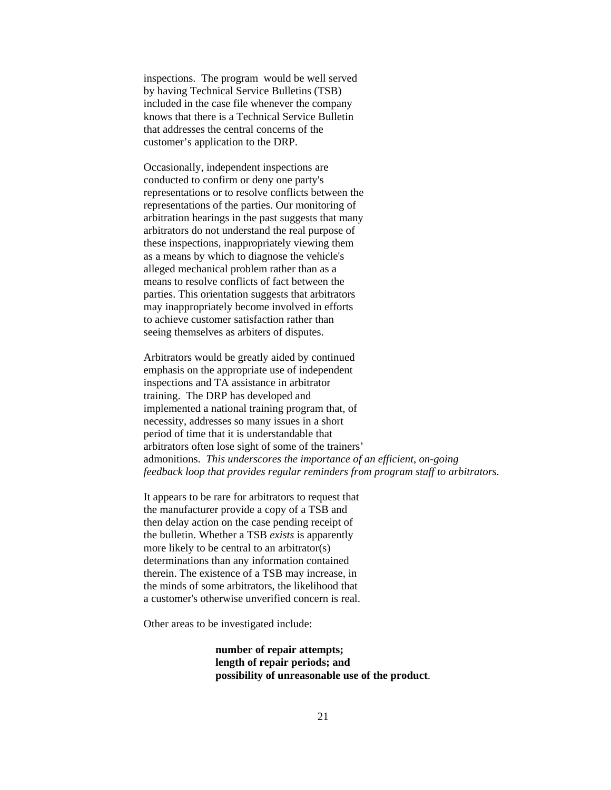inspections. The program would be well served by having Technical Service Bulletins (TSB) included in the case file whenever the company knows that there is a Technical Service Bulletin that addresses the central concerns of the customer's application to the DRP.

Occasionally, independent inspections are conducted to confirm or deny one party's representations or to resolve conflicts between the representations of the parties. Our monitoring of arbitration hearings in the past suggests that many arbitrators do not understand the real purpose of these inspections, inappropriately viewing them as a means by which to diagnose the vehicle's alleged mechanical problem rather than as a means to resolve conflicts of fact between the parties. This orientation suggests that arbitrators may inappropriately become involved in efforts to achieve customer satisfaction rather than seeing themselves as arbiters of disputes.

Arbitrators would be greatly aided by continued emphasis on the appropriate use of independent inspections and TA assistance in arbitrator training. The DRP has developed and implemented a national training program that, of necessity, addresses so many issues in a short period of time that it is understandable that arbitrators often lose sight of some of the trainers' admonitions. *This underscores the importance of an efficient, on-going feedback loop that provides regular reminders from program staff to arbitrators.* 

It appears to be rare for arbitrators to request that the manufacturer provide a copy of a TSB and then delay action on the case pending receipt of the bulletin. Whether a TSB *exists* is apparently more likely to be central to an arbitrator(s) determinations than any information contained therein. The existence of a TSB may increase, in the minds of some arbitrators, the likelihood that a customer's otherwise unverified concern is real.

Other areas to be investigated include:

**number of repair attempts; length of repair periods; and possibility of unreasonable use of the product**.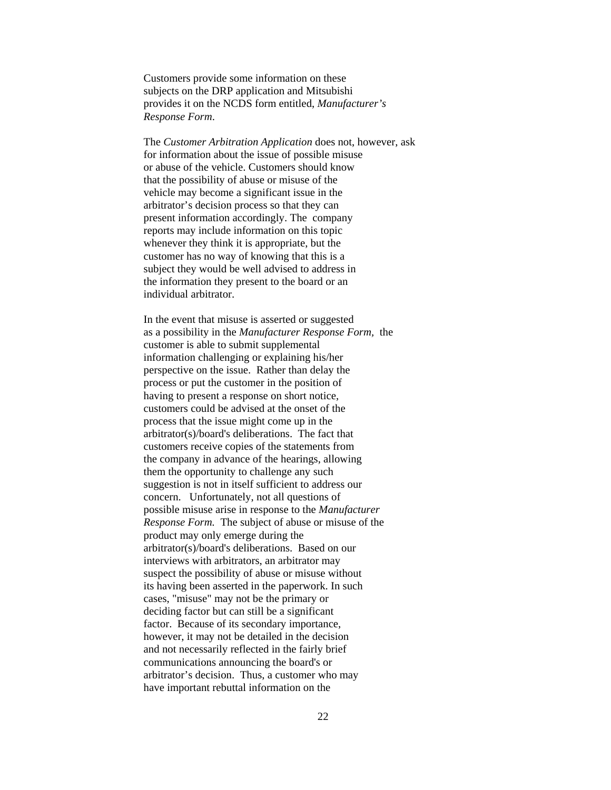Customers provide some information on these subjects on the DRP application and Mitsubishi provides it on the NCDS form entitled, *Manufacturer's Response Form*.

The *Customer Arbitration Application* does not, however, ask for information about the issue of possible misuse or abuse of the vehicle. Customers should know that the possibility of abuse or misuse of the vehicle may become a significant issue in the arbitrator's decision process so that they can present information accordingly. The company reports may include information on this topic whenever they think it is appropriate, but the customer has no way of knowing that this is a subject they would be well advised to address in the information they present to the board or an individual arbitrator.

 In the event that misuse is asserted or suggested as a possibility in the *Manufacturer Response Form,* the customer is able to submit supplemental information challenging or explaining his/her perspective on the issue. Rather than delay the process or put the customer in the position of having to present a response on short notice, customers could be advised at the onset of the process that the issue might come up in the arbitrator(s)/board's deliberations. The fact that customers receive copies of the statements from the company in advance of the hearings, allowing them the opportunity to challenge any such suggestion is not in itself sufficient to address our concern. Unfortunately, not all questions of possible misuse arise in response to the *Manufacturer Response Form.* The subject of abuse or misuse of the product may only emerge during the arbitrator(s)/board's deliberations. Based on our interviews with arbitrators, an arbitrator may suspect the possibility of abuse or misuse without its having been asserted in the paperwork. In such cases, "misuse" may not be the primary or deciding factor but can still be a significant factor. Because of its secondary importance, however, it may not be detailed in the decision and not necessarily reflected in the fairly brief communications announcing the board's or arbitrator's decision. Thus, a customer who may have important rebuttal information on the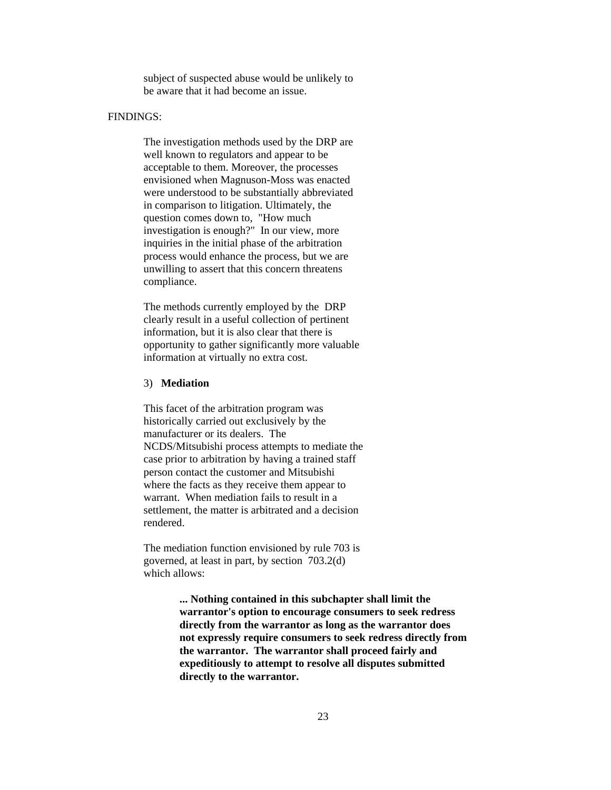subject of suspected abuse would be unlikely to be aware that it had become an issue.

#### FINDINGS:

The investigation methods used by the DRP are well known to regulators and appear to be acceptable to them. Moreover, the processes envisioned when Magnuson-Moss was enacted were understood to be substantially abbreviated in comparison to litigation. Ultimately, the question comes down to, "How much investigation is enough?" In our view, more inquiries in the initial phase of the arbitration process would enhance the process, but we are unwilling to assert that this concern threatens compliance.

The methods currently employed by the DRP clearly result in a useful collection of pertinent information, but it is also clear that there is opportunity to gather significantly more valuable information at virtually no extra cost.

# 3) **Mediation**

This facet of the arbitration program was historically carried out exclusively by the manufacturer or its dealers. The NCDS/Mitsubishi process attempts to mediate the case prior to arbitration by having a trained staff person contact the customer and Mitsubishi where the facts as they receive them appear to warrant. When mediation fails to result in a settlement, the matter is arbitrated and a decision rendered.

The mediation function envisioned by rule 703 is governed, at least in part, by section 703.2(d) which allows:

> **... Nothing contained in this subchapter shall limit the warrantor's option to encourage consumers to seek redress directly from the warrantor as long as the warrantor does not expressly require consumers to seek redress directly from the warrantor. The warrantor shall proceed fairly and expeditiously to attempt to resolve all disputes submitted directly to the warrantor.**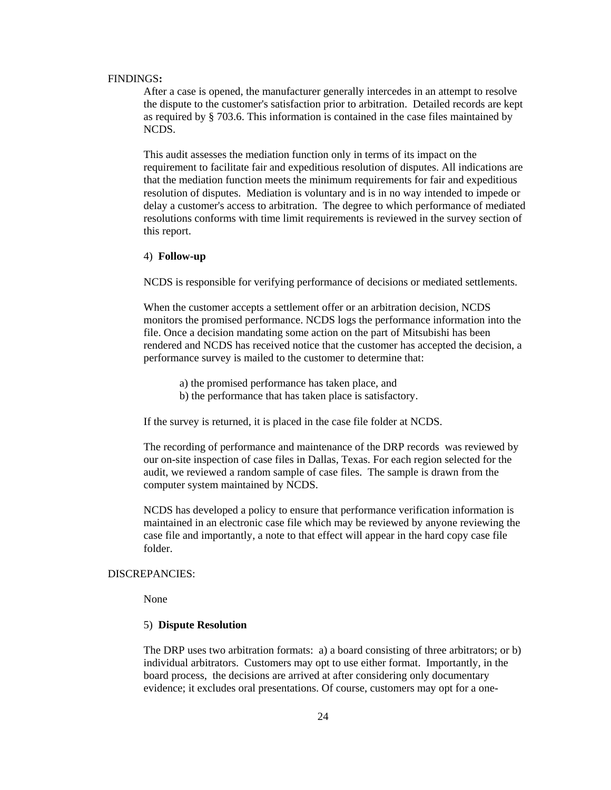#### FINDINGS**:**

After a case is opened, the manufacturer generally intercedes in an attempt to resolve the dispute to the customer's satisfaction prior to arbitration. Detailed records are kept as required by § 703.6. This information is contained in the case files maintained by NCDS.

This audit assesses the mediation function only in terms of its impact on the requirement to facilitate fair and expeditious resolution of disputes. All indications are that the mediation function meets the minimum requirements for fair and expeditious resolution of disputes. Mediation is voluntary and is in no way intended to impede or delay a customer's access to arbitration. The degree to which performance of mediated resolutions conforms with time limit requirements is reviewed in the survey section of this report.

#### 4) **Follow-up**

NCDS is responsible for verifying performance of decisions or mediated settlements.

When the customer accepts a settlement offer or an arbitration decision, NCDS monitors the promised performance. NCDS logs the performance information into the file. Once a decision mandating some action on the part of Mitsubishi has been rendered and NCDS has received notice that the customer has accepted the decision, a performance survey is mailed to the customer to determine that:

- a) the promised performance has taken place, and
- b) the performance that has taken place is satisfactory.

If the survey is returned, it is placed in the case file folder at NCDS.

The recording of performance and maintenance of the DRP records was reviewed by our on-site inspection of case files in Dallas, Texas. For each region selected for the audit, we reviewed a random sample of case files. The sample is drawn from the computer system maintained by NCDS.

NCDS has developed a policy to ensure that performance verification information is maintained in an electronic case file which may be reviewed by anyone reviewing the case file and importantly, a note to that effect will appear in the hard copy case file folder.

#### DISCREPANCIES:

None

#### 5) **Dispute Resolution**

The DRP uses two arbitration formats: a) a board consisting of three arbitrators; or b) individual arbitrators. Customers may opt to use either format. Importantly, in the board process, the decisions are arrived at after considering only documentary evidence; it excludes oral presentations. Of course, customers may opt for a one-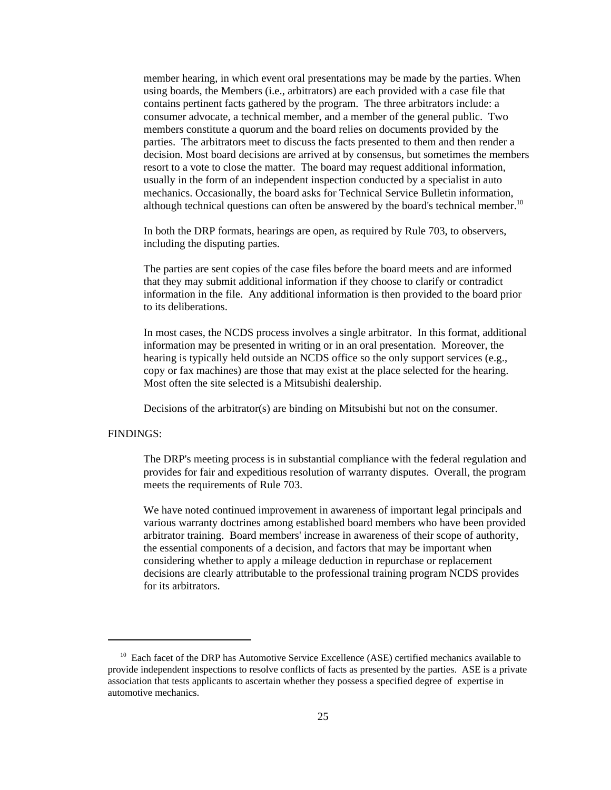member hearing, in which event oral presentations may be made by the parties. When using boards, the Members (i.e., arbitrators) are each provided with a case file that contains pertinent facts gathered by the program. The three arbitrators include: a consumer advocate, a technical member, and a member of the general public. Two members constitute a quorum and the board relies on documents provided by the parties.The arbitrators meet to discuss the facts presented to them and then render a decision. Most board decisions are arrived at by consensus, but sometimes the members resort to a vote to close the matter. The board may request additional information, usually in the form of an independent inspection conducted by a specialist in auto mechanics. Occasionally, the board asks for Technical Service Bulletin information, although technical questions can often be answered by the board's technical member.<sup>10</sup>

In both the DRP formats, hearings are open, as required by Rule 703, to observers, including the disputing parties.

The parties are sent copies of the case files before the board meets and are informed that they may submit additional information if they choose to clarify or contradict information in the file. Any additional information is then provided to the board prior to its deliberations.

In most cases, the NCDS process involves a single arbitrator. In this format, additional information may be presented in writing or in an oral presentation. Moreover, the hearing is typically held outside an NCDS office so the only support services (e.g., copy or fax machines) are those that may exist at the place selected for the hearing. Most often the site selected is a Mitsubishi dealership.

Decisions of the arbitrator(s) are binding on Mitsubishi but not on the consumer.

# FINDINGS:

The DRP's meeting process is in substantial compliance with the federal regulation and provides for fair and expeditious resolution of warranty disputes. Overall, the program meets the requirements of Rule 703.

We have noted continued improvement in awareness of important legal principals and various warranty doctrines among established board members who have been provided arbitrator training. Board members' increase in awareness of their scope of authority, the essential components of a decision, and factors that may be important when considering whether to apply a mileage deduction in repurchase or replacement decisions are clearly attributable to the professional training program NCDS provides for its arbitrators.

<sup>&</sup>lt;sup>10</sup> Each facet of the DRP has Automotive Service Excellence (ASE) certified mechanics available to provide independent inspections to resolve conflicts of facts as presented by the parties. ASE is a private association that tests applicants to ascertain whether they possess a specified degree of expertise in automotive mechanics.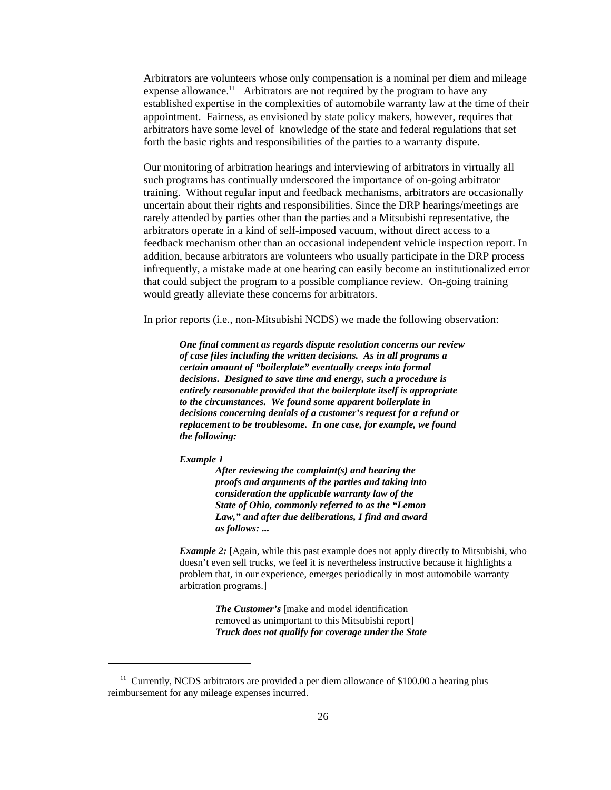Arbitrators are volunteers whose only compensation is a nominal per diem and mileage expense allowance.<sup>11</sup> Arbitrators are not required by the program to have any established expertise in the complexities of automobile warranty law at the time of their appointment. Fairness, as envisioned by state policy makers, however, requires that arbitrators have some level of knowledge of the state and federal regulations that set forth the basic rights and responsibilities of the parties to a warranty dispute.

Our monitoring of arbitration hearings and interviewing of arbitrators in virtually all such programs has continually underscored the importance of on-going arbitrator training. Without regular input and feedback mechanisms, arbitrators are occasionally uncertain about their rights and responsibilities. Since the DRP hearings/meetings are rarely attended by parties other than the parties and a Mitsubishi representative, the arbitrators operate in a kind of self-imposed vacuum, without direct access to a feedback mechanism other than an occasional independent vehicle inspection report. In addition, because arbitrators are volunteers who usually participate in the DRP process infrequently, a mistake made at one hearing can easily become an institutionalized error that could subject the program to a possible compliance review. On-going training would greatly alleviate these concerns for arbitrators.

In prior reports (i.e., non-Mitsubishi NCDS) we made the following observation:

*One final comment as regards dispute resolution concerns our review of case files including the written decisions. As in all programs a certain amount of "boilerplate" eventually creeps into formal decisions. Designed to save time and energy, such a procedure is entirely reasonable provided that the boilerplate itself is appropriate to the circumstances. We found some apparent boilerplate in decisions concerning denials of a customer's request for a refund or replacement to be troublesome. In one case, for example, we found the following:*

*Example 1*

*After reviewing the complaint(s) and hearing the proofs and arguments of the parties and taking into consideration the applicable warranty law of the State of Ohio, commonly referred to as the "Lemon Law," and after due deliberations, I find and award as follows: ...*

*Example 2:* [Again, while this past example does not apply directly to Mitsubishi, who doesn't even sell trucks, we feel it is nevertheless instructive because it highlights a problem that, in our experience, emerges periodically in most automobile warranty arbitration programs.]

> *The Customer's* [make and model identification removed as unimportant to this Mitsubishi report] *Truck does not qualify for coverage under the State*

<sup>&</sup>lt;sup>11</sup> Currently, NCDS arbitrators are provided a per diem allowance of \$100.00 a hearing plus reimbursement for any mileage expenses incurred.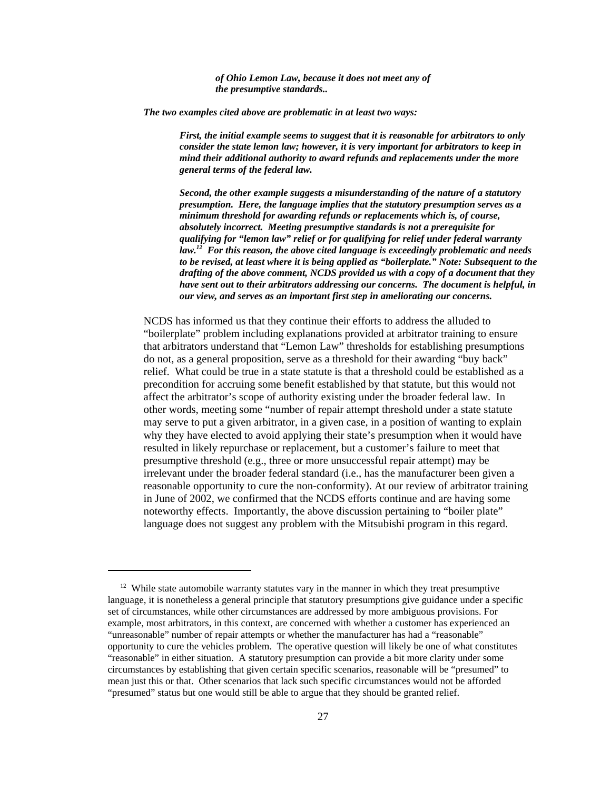*of Ohio Lemon Law, because it does not meet any of the presumptive standards..*

*The two examples cited above are problematic in at least two ways:*

*First, the initial example seems to suggest that it is reasonable for arbitrators to only consider the state lemon law; however, it is very important for arbitrators to keep in mind their additional authority to award refunds and replacements under the more general terms of the federal law.* 

*Second, the other example suggests a misunderstanding of the nature of a statutory presumption. Here, the language implies that the statutory presumption serves as a minimum threshold for awarding refunds or replacements which is, of course, absolutely incorrect. Meeting presumptive standards is not a prerequisite for qualifying for "lemon law" relief or for qualifying for relief under federal warranty law.12 For this reason, the above cited language is exceedingly problematic and needs to be revised, at least where it is being applied as "boilerplate." Note: Subsequent to the drafting of the above comment, NCDS provided us with a copy of a document that they have sent out to their arbitrators addressing our concerns. The document is helpful, in our view, and serves as an important first step in ameliorating our concerns.*

NCDS has informed us that they continue their efforts to address the alluded to "boilerplate" problem including explanations provided at arbitrator training to ensure that arbitrators understand that "Lemon Law" thresholds for establishing presumptions do not, as a general proposition, serve as a threshold for their awarding "buy back" relief. What could be true in a state statute is that a threshold could be established as a precondition for accruing some benefit established by that statute, but this would not affect the arbitrator's scope of authority existing under the broader federal law. In other words, meeting some "number of repair attempt threshold under a state statute may serve to put a given arbitrator, in a given case, in a position of wanting to explain why they have elected to avoid applying their state's presumption when it would have resulted in likely repurchase or replacement, but a customer's failure to meet that presumptive threshold (e.g., three or more unsuccessful repair attempt) may be irrelevant under the broader federal standard (i.e., has the manufacturer been given a reasonable opportunity to cure the non-conformity). At our review of arbitrator training in June of 2002, we confirmed that the NCDS efforts continue and are having some noteworthy effects. Importantly, the above discussion pertaining to "boiler plate" language does not suggest any problem with the Mitsubishi program in this regard.

 $12$  While state automobile warranty statutes vary in the manner in which they treat presumptive language, it is nonetheless a general principle that statutory presumptions give guidance under a specific set of circumstances, while other circumstances are addressed by more ambiguous provisions. For example, most arbitrators, in this context, are concerned with whether a customer has experienced an "unreasonable" number of repair attempts or whether the manufacturer has had a "reasonable" opportunity to cure the vehicles problem. The operative question will likely be one of what constitutes "reasonable" in either situation. A statutory presumption can provide a bit more clarity under some circumstances by establishing that given certain specific scenarios, reasonable will be "presumed" to mean just this or that. Other scenarios that lack such specific circumstances would not be afforded "presumed" status but one would still be able to argue that they should be granted relief.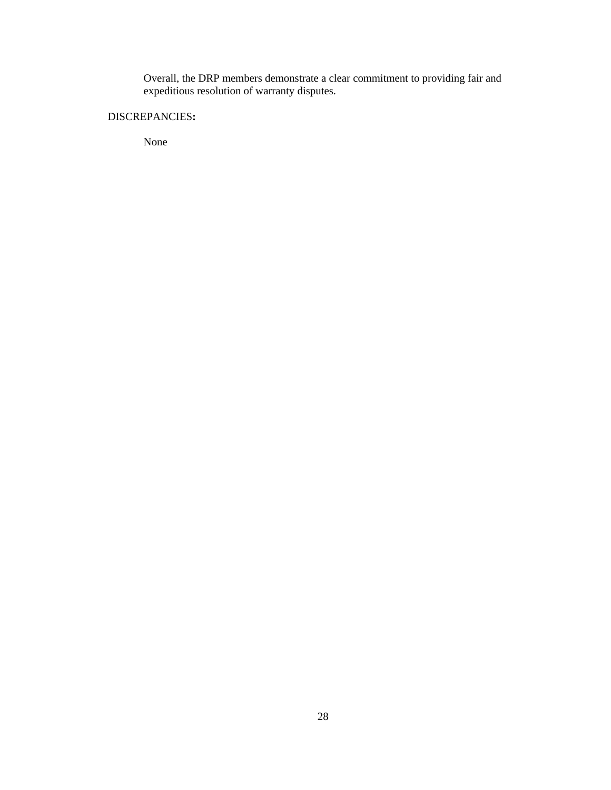Overall, the DRP members demonstrate a clear commitment to providing fair and expeditious resolution of warranty disputes.

# DISCREPANCIES**:**

None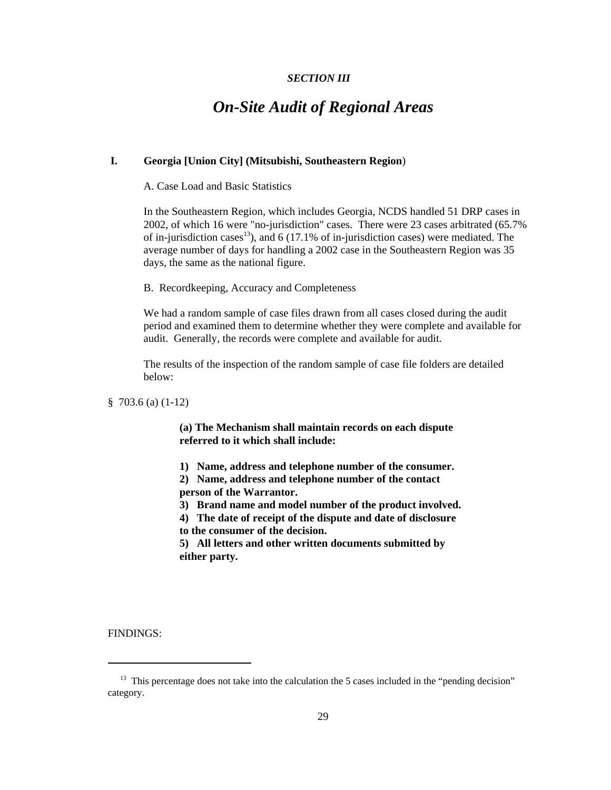### *SECTION III*

# *On-Site Audit of Regional Areas*

#### **I. Georgia [Union City] (Mitsubishi, Southeastern Region**)

A. Case Load and Basic Statistics

In the Southeastern Region, which includes Georgia, NCDS handled 51 DRP cases in 2002, of which 16 were "no-jurisdiction" cases. There were 23 cases arbitrated (65.7% of in-jurisdiction cases<sup>13</sup>), and 6 (17.1% of in-jurisdiction cases) were mediated. The average number of days for handling a 2002 case in the Southeastern Region was 35 days, the same as the national figure.

B. Recordkeeping, Accuracy and Completeness

We had a random sample of case files drawn from all cases closed during the audit period and examined them to determine whether they were complete and available for audit. Generally, the records were complete and available for audit.

The results of the inspection of the random sample of case file folders are detailed below:

§ 703.6 (a) (1-12)

**(a) The Mechanism shall maintain records on each dispute referred to it which shall include:**

**1) Name, address and telephone number of the consumer.**

**2) Name, address and telephone number of the contact**

**person of the Warrantor.**

**3) Brand name and model number of the product involved.**

**4) The date of receipt of the dispute and date of disclosure to the consumer of the decision.**

**5) All letters and other written documents submitted by either party.**

<sup>&</sup>lt;sup>13</sup> This percentage does not take into the calculation the 5 cases included in the "pending decision" category.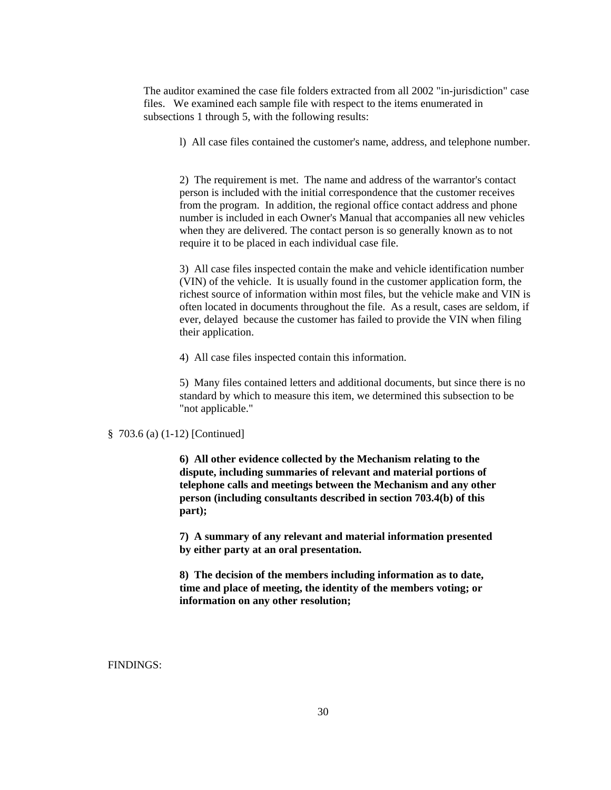The auditor examined the case file folders extracted from all 2002 "in-jurisdiction" case files. We examined each sample file with respect to the items enumerated in subsections 1 through 5, with the following results:

l) All case files contained the customer's name, address, and telephone number.

2) The requirement is met. The name and address of the warrantor's contact person is included with the initial correspondence that the customer receives from the program. In addition, the regional office contact address and phone number is included in each Owner's Manual that accompanies all new vehicles when they are delivered. The contact person is so generally known as to not require it to be placed in each individual case file.

3) All case files inspected contain the make and vehicle identification number (VIN) of the vehicle. It is usually found in the customer application form, the richest source of information within most files, but the vehicle make and VIN is often located in documents throughout the file. As a result, cases are seldom, if ever, delayed because the customer has failed to provide the VIN when filing their application.

4) All case files inspected contain this information.

5) Many files contained letters and additional documents, but since there is no standard by which to measure this item, we determined this subsection to be "not applicable."

### § 703.6 (a) (1-12) [Continued]

**6) All other evidence collected by the Mechanism relating to the dispute, including summaries of relevant and material portions of telephone calls and meetings between the Mechanism and any other person (including consultants described in section 703.4(b) of this part);**

**7) A summary of any relevant and material information presented by either party at an oral presentation.**

**8) The decision of the members including information as to date, time and place of meeting, the identity of the members voting; or information on any other resolution;**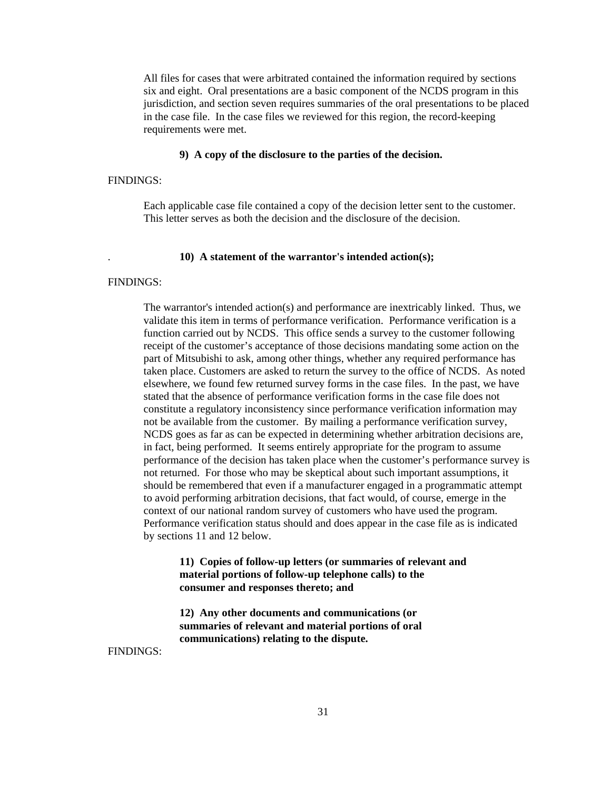All files for cases that were arbitrated contained the information required by sections six and eight. Oral presentations are a basic component of the NCDS program in this jurisdiction, and section seven requires summaries of the oral presentations to be placed in the case file. In the case files we reviewed for this region, the record-keeping requirements were met.

#### **9) A copy of the disclosure to the parties of the decision.**

# FINDINGS:

Each applicable case file contained a copy of the decision letter sent to the customer. This letter serves as both the decision and the disclosure of the decision.

#### . **10) A statement of the warrantor's intended action(s);**

#### FINDINGS:

The warrantor's intended action(s) and performance are inextricably linked. Thus, we validate this item in terms of performance verification. Performance verification is a function carried out by NCDS. This office sends a survey to the customer following receipt of the customer's acceptance of those decisions mandating some action on the part of Mitsubishi to ask, among other things, whether any required performance has taken place. Customers are asked to return the survey to the office of NCDS. As noted elsewhere, we found few returned survey forms in the case files. In the past, we have stated that the absence of performance verification forms in the case file does not constitute a regulatory inconsistency since performance verification information may not be available from the customer. By mailing a performance verification survey, NCDS goes as far as can be expected in determining whether arbitration decisions are, in fact, being performed. It seems entirely appropriate for the program to assume performance of the decision has taken place when the customer's performance survey is not returned. For those who may be skeptical about such important assumptions, it should be remembered that even if a manufacturer engaged in a programmatic attempt to avoid performing arbitration decisions, that fact would, of course, emerge in the context of our national random survey of customers who have used the program. Performance verification status should and does appear in the case file as is indicated by sections 11 and 12 below.

# **11) Copies of follow-up letters (or summaries of relevant and material portions of follow-up telephone calls) to the consumer and responses thereto; and**

**12) Any other documents and communications (or summaries of relevant and material portions of oral communications) relating to the dispute.**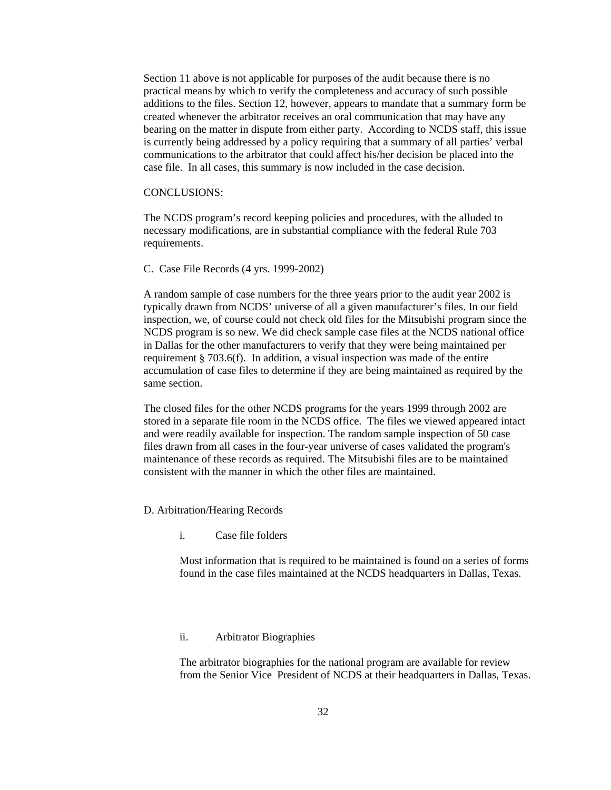Section 11 above is not applicable for purposes of the audit because there is no practical means by which to verify the completeness and accuracy of such possible additions to the files. Section 12, however, appears to mandate that a summary form be created whenever the arbitrator receives an oral communication that may have any bearing on the matter in dispute from either party. According to NCDS staff, this issue is currently being addressed by a policy requiring that a summary of all parties' verbal communications to the arbitrator that could affect his/her decision be placed into the case file. In all cases, this summary is now included in the case decision.

#### CONCLUSIONS:

The NCDS program's record keeping policies and procedures, with the alluded to necessary modifications, are in substantial compliance with the federal Rule 703 requirements.

C. Case File Records (4 yrs. 1999-2002)

A random sample of case numbers for the three years prior to the audit year 2002 is typically drawn from NCDS' universe of all a given manufacturer's files. In our field inspection, we, of course could not check old files for the Mitsubishi program since the NCDS program is so new. We did check sample case files at the NCDS national office in Dallas for the other manufacturers to verify that they were being maintained per requirement § 703.6(f). In addition, a visual inspection was made of the entire accumulation of case files to determine if they are being maintained as required by the same section.

The closed files for the other NCDS programs for the years 1999 through 2002 are stored in a separate file room in the NCDS office. The files we viewed appeared intact and were readily available for inspection. The random sample inspection of 50 case files drawn from all cases in the four-year universe of cases validated the program's maintenance of these records as required. The Mitsubishi files are to be maintained consistent with the manner in which the other files are maintained.

- D. Arbitration/Hearing Records
	- i. Case file folders

Most information that is required to be maintained is found on a series of forms found in the case files maintained at the NCDS headquarters in Dallas, Texas.

#### ii. Arbitrator Biographies

The arbitrator biographies for the national program are available for review from the Senior Vice President of NCDS at their headquarters in Dallas, Texas.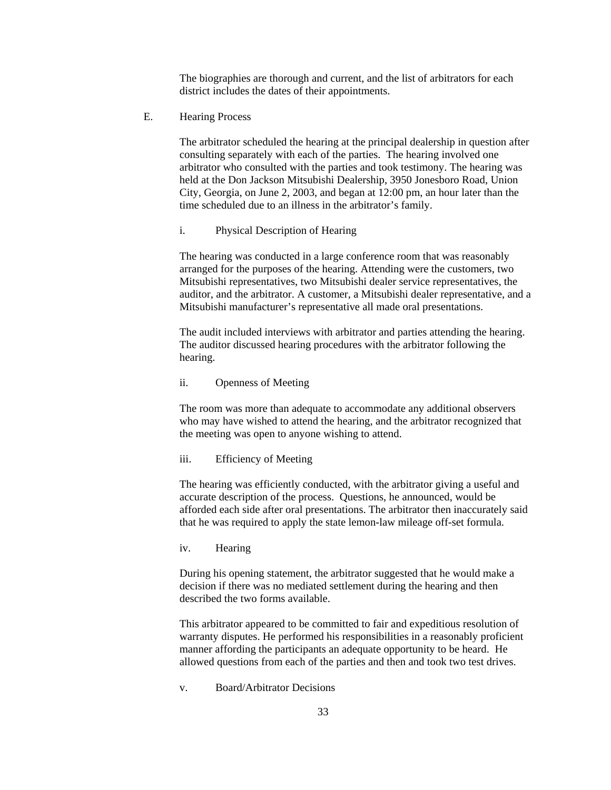The biographies are thorough and current, and the list of arbitrators for each district includes the dates of their appointments.

E. Hearing Process

The arbitrator scheduled the hearing at the principal dealership in question after consulting separately with each of the parties. The hearing involved one arbitrator who consulted with the parties and took testimony. The hearing was held at the Don Jackson Mitsubishi Dealership, 3950 Jonesboro Road, Union City, Georgia, on June 2, 2003, and began at 12:00 pm, an hour later than the time scheduled due to an illness in the arbitrator's family.

i. Physical Description of Hearing

The hearing was conducted in a large conference room that was reasonably arranged for the purposes of the hearing. Attending were the customers, two Mitsubishi representatives, two Mitsubishi dealer service representatives, the auditor, and the arbitrator. A customer, a Mitsubishi dealer representative, and a Mitsubishi manufacturer's representative all made oral presentations.

The audit included interviews with arbitrator and parties attending the hearing. The auditor discussed hearing procedures with the arbitrator following the hearing.

ii. Openness of Meeting

The room was more than adequate to accommodate any additional observers who may have wished to attend the hearing, and the arbitrator recognized that the meeting was open to anyone wishing to attend.

iii. Efficiency of Meeting

The hearing was efficiently conducted, with the arbitrator giving a useful and accurate description of the process. Questions, he announced, would be afforded each side after oral presentations. The arbitrator then inaccurately said that he was required to apply the state lemon-law mileage off-set formula.

iv. Hearing

During his opening statement, the arbitrator suggested that he would make a decision if there was no mediated settlement during the hearing and then described the two forms available.

This arbitrator appeared to be committed to fair and expeditious resolution of warranty disputes. He performed his responsibilities in a reasonably proficient manner affording the participants an adequate opportunity to be heard. He allowed questions from each of the parties and then and took two test drives.

v. Board/Arbitrator Decisions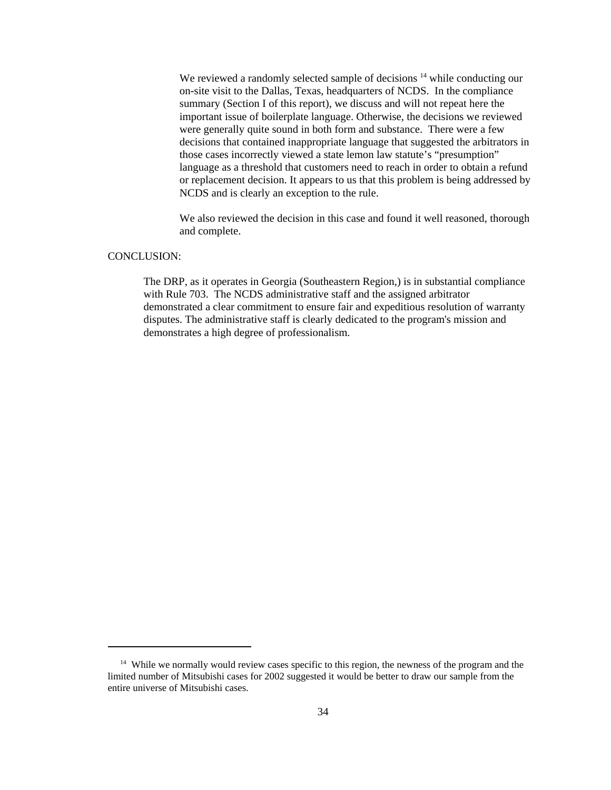We reviewed a randomly selected sample of decisions <sup>14</sup> while conducting our on-site visit to the Dallas, Texas, headquarters of NCDS. In the compliance summary (Section I of this report), we discuss and will not repeat here the important issue of boilerplate language. Otherwise, the decisions we reviewed were generally quite sound in both form and substance. There were a few decisions that contained inappropriate language that suggested the arbitrators in those cases incorrectly viewed a state lemon law statute's "presumption" language as a threshold that customers need to reach in order to obtain a refund or replacement decision. It appears to us that this problem is being addressed by NCDS and is clearly an exception to the rule.

We also reviewed the decision in this case and found it well reasoned, thorough and complete.

#### CONCLUSION:

The DRP, as it operates in Georgia (Southeastern Region,) is in substantial compliance with Rule 703. The NCDS administrative staff and the assigned arbitrator demonstrated a clear commitment to ensure fair and expeditious resolution of warranty disputes. The administrative staff is clearly dedicated to the program's mission and demonstrates a high degree of professionalism.

<sup>&</sup>lt;sup>14</sup> While we normally would review cases specific to this region, the newness of the program and the limited number of Mitsubishi cases for 2002 suggested it would be better to draw our sample from the entire universe of Mitsubishi cases.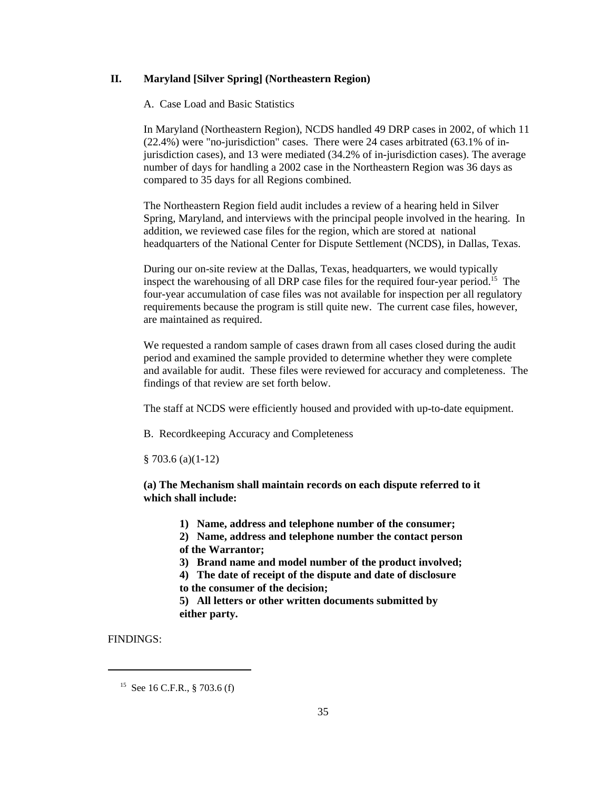# **II. Maryland [Silver Spring] (Northeastern Region)**

A. Case Load and Basic Statistics

In Maryland (Northeastern Region), NCDS handled 49 DRP cases in 2002, of which 11 (22.4%) were "no-jurisdiction" cases. There were 24 cases arbitrated (63.1% of injurisdiction cases), and 13 were mediated (34.2% of in-jurisdiction cases). The average number of days for handling a 2002 case in the Northeastern Region was 36 days as compared to 35 days for all Regions combined.

The Northeastern Region field audit includes a review of a hearing held in Silver Spring, Maryland, and interviews with the principal people involved in the hearing. In addition, we reviewed case files for the region, which are stored at national headquarters of the National Center for Dispute Settlement (NCDS), in Dallas, Texas.

During our on-site review at the Dallas, Texas, headquarters, we would typically inspect the warehousing of all DRP case files for the required four-year period.15 The four-year accumulation of case files was not available for inspection per all regulatory requirements because the program is still quite new. The current case files, however, are maintained as required.

We requested a random sample of cases drawn from all cases closed during the audit period and examined the sample provided to determine whether they were complete and available for audit. These files were reviewed for accuracy and completeness. The findings of that review are set forth below.

The staff at NCDS were efficiently housed and provided with up-to-date equipment.

B. Recordkeeping Accuracy and Completeness

§ 703.6 (a)(1-12)

**(a) The Mechanism shall maintain records on each dispute referred to it which shall include:**

**1) Name, address and telephone number of the consumer;**

**2) Name, address and telephone number the contact person of the Warrantor;**

**3) Brand name and model number of the product involved;**

**4) The date of receipt of the dispute and date of disclosure**

**to the consumer of the decision;**

**5) All letters or other written documents submitted by either party.**

<sup>&</sup>lt;sup>15</sup> See 16 C.F.R., § 703.6 (f)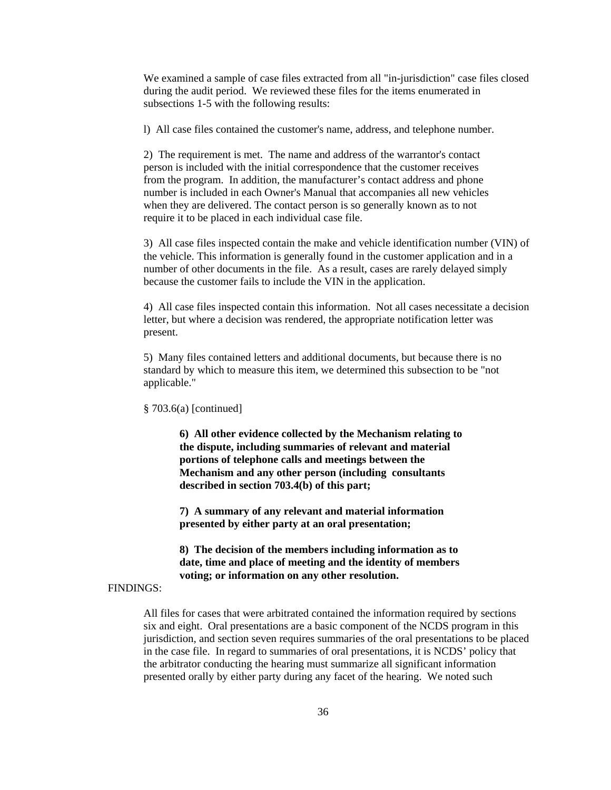We examined a sample of case files extracted from all "in-jurisdiction" case files closed during the audit period. We reviewed these files for the items enumerated in subsections 1-5 with the following results:

l) All case files contained the customer's name, address, and telephone number.

2) The requirement is met. The name and address of the warrantor's contact person is included with the initial correspondence that the customer receives from the program. In addition, the manufacturer's contact address and phone number is included in each Owner's Manual that accompanies all new vehicles when they are delivered. The contact person is so generally known as to not require it to be placed in each individual case file.

3) All case files inspected contain the make and vehicle identification number (VIN) of the vehicle. This information is generally found in the customer application and in a number of other documents in the file. As a result, cases are rarely delayed simply because the customer fails to include the VIN in the application.

4) All case files inspected contain this information. Not all cases necessitate a decision letter, but where a decision was rendered, the appropriate notification letter was present.

5) Many files contained letters and additional documents, but because there is no standard by which to measure this item, we determined this subsection to be "not applicable."

§ 703.6(a) [continued]

**6) All other evidence collected by the Mechanism relating to the dispute, including summaries of relevant and material portions of telephone calls and meetings between the Mechanism and any other person (including consultants described in section 703.4(b) of this part;**

**7) A summary of any relevant and material information presented by either party at an oral presentation;**

**8) The decision of the members including information as to date, time and place of meeting and the identity of members voting; or information on any other resolution.**

# FINDINGS:

All files for cases that were arbitrated contained the information required by sections six and eight. Oral presentations are a basic component of the NCDS program in this jurisdiction, and section seven requires summaries of the oral presentations to be placed in the case file. In regard to summaries of oral presentations, it is NCDS' policy that the arbitrator conducting the hearing must summarize all significant information presented orally by either party during any facet of the hearing. We noted such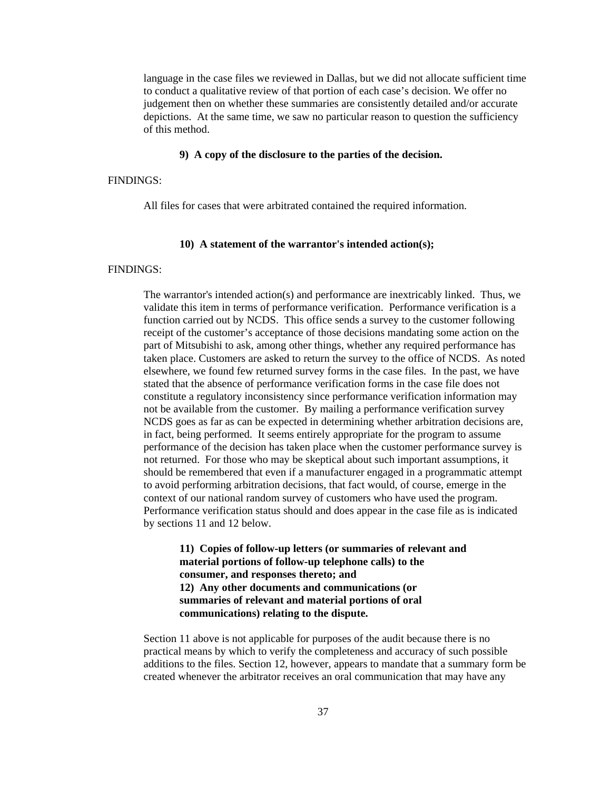language in the case files we reviewed in Dallas, but we did not allocate sufficient time to conduct a qualitative review of that portion of each case's decision. We offer no judgement then on whether these summaries are consistently detailed and/or accurate depictions. At the same time, we saw no particular reason to question the sufficiency of this method.

#### **9) A copy of the disclosure to the parties of the decision.**

#### FINDINGS:

All files for cases that were arbitrated contained the required information.

#### **10) A statement of the warrantor's intended action(s);**

#### FINDINGS:

The warrantor's intended action(s) and performance are inextricably linked. Thus, we validate this item in terms of performance verification. Performance verification is a function carried out by NCDS. This office sends a survey to the customer following receipt of the customer's acceptance of those decisions mandating some action on the part of Mitsubishi to ask, among other things, whether any required performance has taken place. Customers are asked to return the survey to the office of NCDS. As noted elsewhere, we found few returned survey forms in the case files. In the past, we have stated that the absence of performance verification forms in the case file does not constitute a regulatory inconsistency since performance verification information may not be available from the customer. By mailing a performance verification survey NCDS goes as far as can be expected in determining whether arbitration decisions are, in fact, being performed. It seems entirely appropriate for the program to assume performance of the decision has taken place when the customer performance survey is not returned. For those who may be skeptical about such important assumptions, it should be remembered that even if a manufacturer engaged in a programmatic attempt to avoid performing arbitration decisions, that fact would, of course, emerge in the context of our national random survey of customers who have used the program. Performance verification status should and does appear in the case file as is indicated by sections 11 and 12 below.

**11) Copies of follow-up letters (or summaries of relevant and material portions of follow-up telephone calls) to the consumer, and responses thereto; and 12) Any other documents and communications (or summaries of relevant and material portions of oral communications) relating to the dispute.**

Section 11 above is not applicable for purposes of the audit because there is no practical means by which to verify the completeness and accuracy of such possible additions to the files. Section 12, however, appears to mandate that a summary form be created whenever the arbitrator receives an oral communication that may have any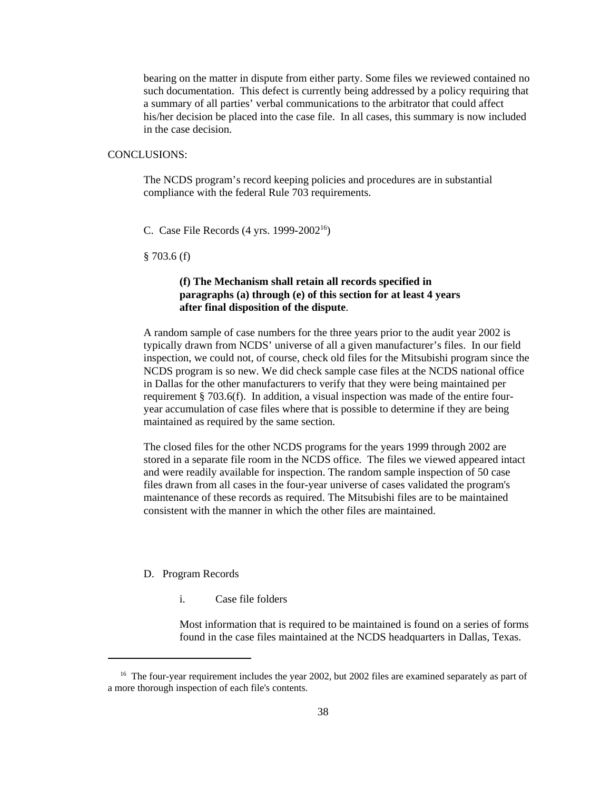bearing on the matter in dispute from either party. Some files we reviewed contained no such documentation. This defect is currently being addressed by a policy requiring that a summary of all parties' verbal communications to the arbitrator that could affect his/her decision be placed into the case file. In all cases, this summary is now included in the case decision.

## CONCLUSIONS:

The NCDS program's record keeping policies and procedures are in substantial compliance with the federal Rule 703 requirements.

C. Case File Records  $(4 \text{ yrs. } 1999-2002^{16})$ 

§ 703.6 (f)

# **(f) The Mechanism shall retain all records specified in paragraphs (a) through (e) of this section for at least 4 years after final disposition of the dispute**.

A random sample of case numbers for the three years prior to the audit year 2002 is typically drawn from NCDS' universe of all a given manufacturer's files. In our field inspection, we could not, of course, check old files for the Mitsubishi program since the NCDS program is so new. We did check sample case files at the NCDS national office in Dallas for the other manufacturers to verify that they were being maintained per requirement § 703.6(f). In addition, a visual inspection was made of the entire fouryear accumulation of case files where that is possible to determine if they are being maintained as required by the same section.

The closed files for the other NCDS programs for the years 1999 through 2002 are stored in a separate file room in the NCDS office. The files we viewed appeared intact and were readily available for inspection. The random sample inspection of 50 case files drawn from all cases in the four-year universe of cases validated the program's maintenance of these records as required. The Mitsubishi files are to be maintained consistent with the manner in which the other files are maintained.

#### D. Program Records

i. Case file folders

Most information that is required to be maintained is found on a series of forms found in the case files maintained at the NCDS headquarters in Dallas, Texas.

<sup>&</sup>lt;sup>16</sup> The four-year requirement includes the year 2002, but 2002 files are examined separately as part of a more thorough inspection of each file's contents.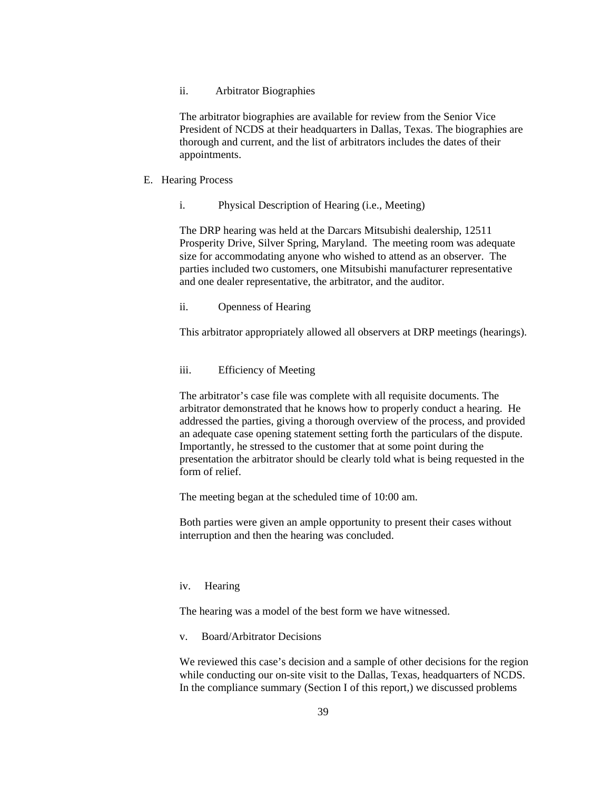#### ii. Arbitrator Biographies

The arbitrator biographies are available for review from the Senior Vice President of NCDS at their headquarters in Dallas, Texas. The biographies are thorough and current, and the list of arbitrators includes the dates of their appointments.

#### E. Hearing Process

i. Physical Description of Hearing (i.e., Meeting)

The DRP hearing was held at the Darcars Mitsubishi dealership, 12511 Prosperity Drive, Silver Spring, Maryland. The meeting room was adequate size for accommodating anyone who wished to attend as an observer. The parties included two customers, one Mitsubishi manufacturer representative and one dealer representative, the arbitrator, and the auditor.

# ii. Openness of Hearing

This arbitrator appropriately allowed all observers at DRP meetings (hearings).

#### iii. Efficiency of Meeting

The arbitrator's case file was complete with all requisite documents. The arbitrator demonstrated that he knows how to properly conduct a hearing. He addressed the parties, giving a thorough overview of the process, and provided an adequate case opening statement setting forth the particulars of the dispute. Importantly, he stressed to the customer that at some point during the presentation the arbitrator should be clearly told what is being requested in the form of relief.

The meeting began at the scheduled time of 10:00 am.

Both parties were given an ample opportunity to present their cases without interruption and then the hearing was concluded.

#### iv. Hearing

The hearing was a model of the best form we have witnessed.

v. Board/Arbitrator Decisions

We reviewed this case's decision and a sample of other decisions for the region while conducting our on-site visit to the Dallas, Texas, headquarters of NCDS. In the compliance summary (Section I of this report,) we discussed problems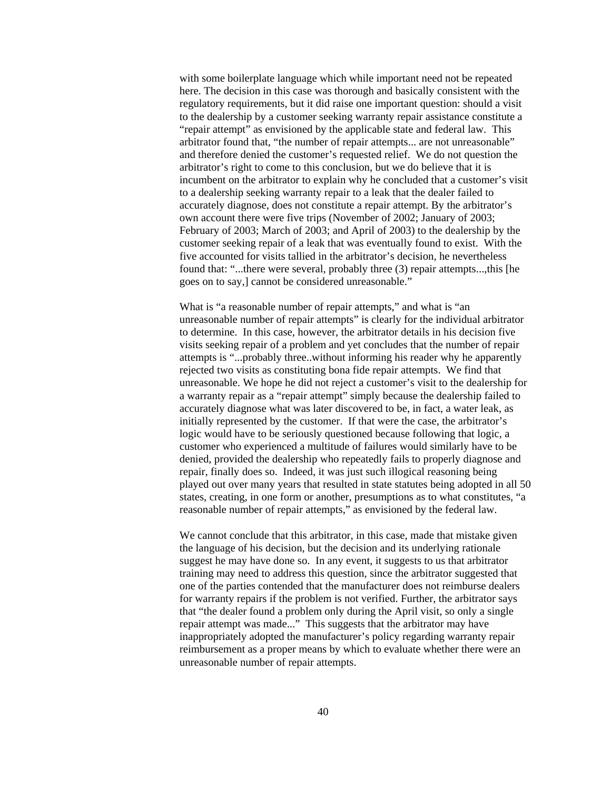with some boilerplate language which while important need not be repeated here. The decision in this case was thorough and basically consistent with the regulatory requirements, but it did raise one important question: should a visit to the dealership by a customer seeking warranty repair assistance constitute a "repair attempt" as envisioned by the applicable state and federal law. This arbitrator found that, "the number of repair attempts... are not unreasonable" and therefore denied the customer's requested relief. We do not question the arbitrator's right to come to this conclusion, but we do believe that it is incumbent on the arbitrator to explain why he concluded that a customer's visit to a dealership seeking warranty repair to a leak that the dealer failed to accurately diagnose, does not constitute a repair attempt. By the arbitrator's own account there were five trips (November of 2002; January of 2003; February of 2003; March of 2003; and April of 2003) to the dealership by the customer seeking repair of a leak that was eventually found to exist. With the five accounted for visits tallied in the arbitrator's decision, he nevertheless found that: "...there were several, probably three (3) repair attempts...,this [he goes on to say,] cannot be considered unreasonable."

What is "a reasonable number of repair attempts," and what is "an unreasonable number of repair attempts" is clearly for the individual arbitrator to determine. In this case, however, the arbitrator details in his decision five visits seeking repair of a problem and yet concludes that the number of repair attempts is "...probably three..without informing his reader why he apparently rejected two visits as constituting bona fide repair attempts. We find that unreasonable. We hope he did not reject a customer's visit to the dealership for a warranty repair as a "repair attempt" simply because the dealership failed to accurately diagnose what was later discovered to be, in fact, a water leak, as initially represented by the customer. If that were the case, the arbitrator's logic would have to be seriously questioned because following that logic, a customer who experienced a multitude of failures would similarly have to be denied, provided the dealership who repeatedly fails to properly diagnose and repair, finally does so. Indeed, it was just such illogical reasoning being played out over many years that resulted in state statutes being adopted in all 50 states, creating, in one form or another, presumptions as to what constitutes, "a reasonable number of repair attempts," as envisioned by the federal law.

We cannot conclude that this arbitrator, in this case, made that mistake given the language of his decision, but the decision and its underlying rationale suggest he may have done so. In any event, it suggests to us that arbitrator training may need to address this question, since the arbitrator suggested that one of the parties contended that the manufacturer does not reimburse dealers for warranty repairs if the problem is not verified. Further, the arbitrator says that "the dealer found a problem only during the April visit, so only a single repair attempt was made..." This suggests that the arbitrator may have inappropriately adopted the manufacturer's policy regarding warranty repair reimbursement as a proper means by which to evaluate whether there were an unreasonable number of repair attempts.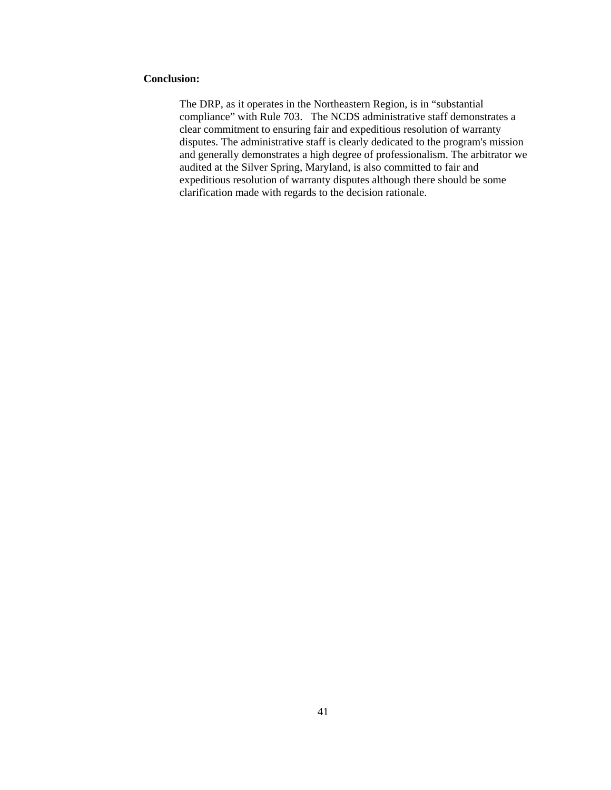## **Conclusion:**

The DRP, as it operates in the Northeastern Region, is in "substantial compliance" with Rule 703. The NCDS administrative staff demonstrates a clear commitment to ensuring fair and expeditious resolution of warranty disputes. The administrative staff is clearly dedicated to the program's mission and generally demonstrates a high degree of professionalism. The arbitrator we audited at the Silver Spring, Maryland, is also committed to fair and expeditious resolution of warranty disputes although there should be some clarification made with regards to the decision rationale.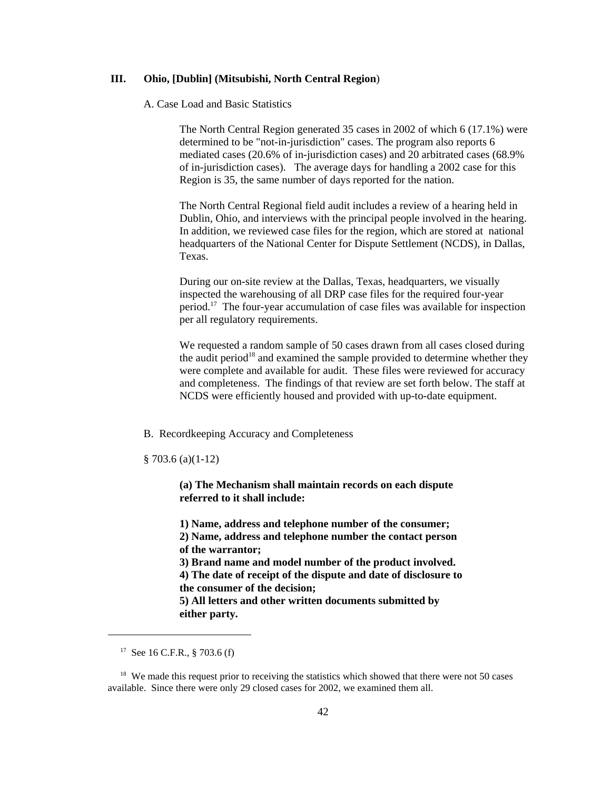## **III. Ohio, [Dublin] (Mitsubishi, North Central Region**)

## A. Case Load and Basic Statistics

The North Central Region generated 35 cases in 2002 of which 6 (17.1%) were determined to be "not-in-jurisdiction" cases. The program also reports 6 mediated cases (20.6% of in-jurisdiction cases) and 20 arbitrated cases (68.9% of in-jurisdiction cases). The average days for handling a 2002 case for this Region is 35, the same number of days reported for the nation.

The North Central Regional field audit includes a review of a hearing held in Dublin, Ohio, and interviews with the principal people involved in the hearing. In addition, we reviewed case files for the region, which are stored at national headquarters of the National Center for Dispute Settlement (NCDS), in Dallas, Texas.

During our on-site review at the Dallas, Texas, headquarters, we visually inspected the warehousing of all DRP case files for the required four-year period.17 The four-year accumulation of case files was available for inspection per all regulatory requirements.

We requested a random sample of 50 cases drawn from all cases closed during the audit period<sup>18</sup> and examined the sample provided to determine whether they were complete and available for audit. These files were reviewed for accuracy and completeness. The findings of that review are set forth below. The staff at NCDS were efficiently housed and provided with up-to-date equipment.

B. Recordkeeping Accuracy and Completeness

§ 703.6 (a)(1-12)

**(a) The Mechanism shall maintain records on each dispute referred to it shall include:**

**1) Name, address and telephone number of the consumer;**

**2) Name, address and telephone number the contact person of the warrantor;**

**3) Brand name and model number of the product involved.**

**4) The date of receipt of the dispute and date of disclosure to the consumer of the decision;**

**5) All letters and other written documents submitted by either party.**

<sup>&</sup>lt;sup>17</sup> See 16 C.F.R., § 703.6 (f)

<sup>&</sup>lt;sup>18</sup> We made this request prior to receiving the statistics which showed that there were not 50 cases available. Since there were only 29 closed cases for 2002, we examined them all.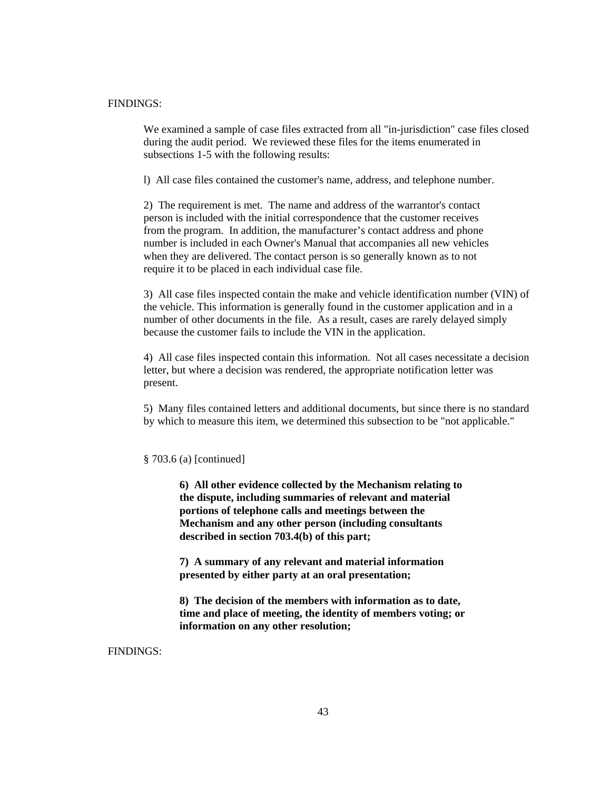# FINDINGS:

We examined a sample of case files extracted from all "in-jurisdiction" case files closed during the audit period. We reviewed these files for the items enumerated in subsections 1-5 with the following results:

l) All case files contained the customer's name, address, and telephone number.

2) The requirement is met. The name and address of the warrantor's contact person is included with the initial correspondence that the customer receives from the program. In addition, the manufacturer's contact address and phone number is included in each Owner's Manual that accompanies all new vehicles when they are delivered. The contact person is so generally known as to not require it to be placed in each individual case file.

3) All case files inspected contain the make and vehicle identification number (VIN) of the vehicle. This information is generally found in the customer application and in a number of other documents in the file. As a result, cases are rarely delayed simply because the customer fails to include the VIN in the application.

4) All case files inspected contain this information. Not all cases necessitate a decision letter, but where a decision was rendered, the appropriate notification letter was present.

5) Many files contained letters and additional documents, but since there is no standard by which to measure this item, we determined this subsection to be "not applicable."

#### § 703.6 (a) [continued]

**6) All other evidence collected by the Mechanism relating to the dispute, including summaries of relevant and material portions of telephone calls and meetings between the Mechanism and any other person (including consultants described in section 703.4(b) of this part;**

**7) A summary of any relevant and material information presented by either party at an oral presentation;**

**8) The decision of the members with information as to date, time and place of meeting, the identity of members voting; or information on any other resolution;**

FINDINGS: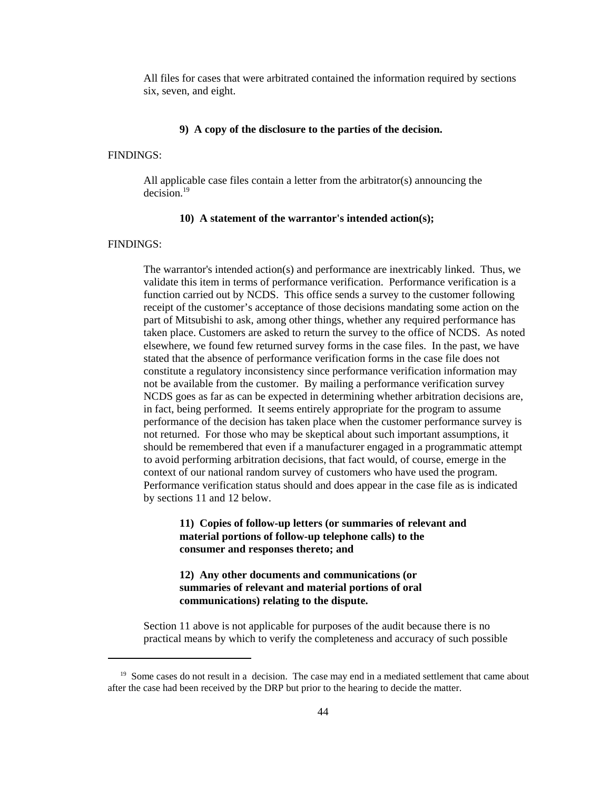All files for cases that were arbitrated contained the information required by sections six, seven, and eight.

#### **9) A copy of the disclosure to the parties of the decision.**

#### FINDINGS:

All applicable case files contain a letter from the arbitrator(s) announcing the decision.19

#### **10) A statement of the warrantor's intended action(s);**

#### FINDINGS:

The warrantor's intended action(s) and performance are inextricably linked. Thus, we validate this item in terms of performance verification. Performance verification is a function carried out by NCDS. This office sends a survey to the customer following receipt of the customer's acceptance of those decisions mandating some action on the part of Mitsubishi to ask, among other things, whether any required performance has taken place. Customers are asked to return the survey to the office of NCDS. As noted elsewhere, we found few returned survey forms in the case files. In the past, we have stated that the absence of performance verification forms in the case file does not constitute a regulatory inconsistency since performance verification information may not be available from the customer. By mailing a performance verification survey NCDS goes as far as can be expected in determining whether arbitration decisions are, in fact, being performed. It seems entirely appropriate for the program to assume performance of the decision has taken place when the customer performance survey is not returned. For those who may be skeptical about such important assumptions, it should be remembered that even if a manufacturer engaged in a programmatic attempt to avoid performing arbitration decisions, that fact would, of course, emerge in the context of our national random survey of customers who have used the program. Performance verification status should and does appear in the case file as is indicated by sections 11 and 12 below.

# **11) Copies of follow-up letters (or summaries of relevant and material portions of follow-up telephone calls) to the consumer and responses thereto; and**

# **12) Any other documents and communications (or summaries of relevant and material portions of oral communications) relating to the dispute.**

Section 11 above is not applicable for purposes of the audit because there is no practical means by which to verify the completeness and accuracy of such possible

 $19$  Some cases do not result in a decision. The case may end in a mediated settlement that came about after the case had been received by the DRP but prior to the hearing to decide the matter.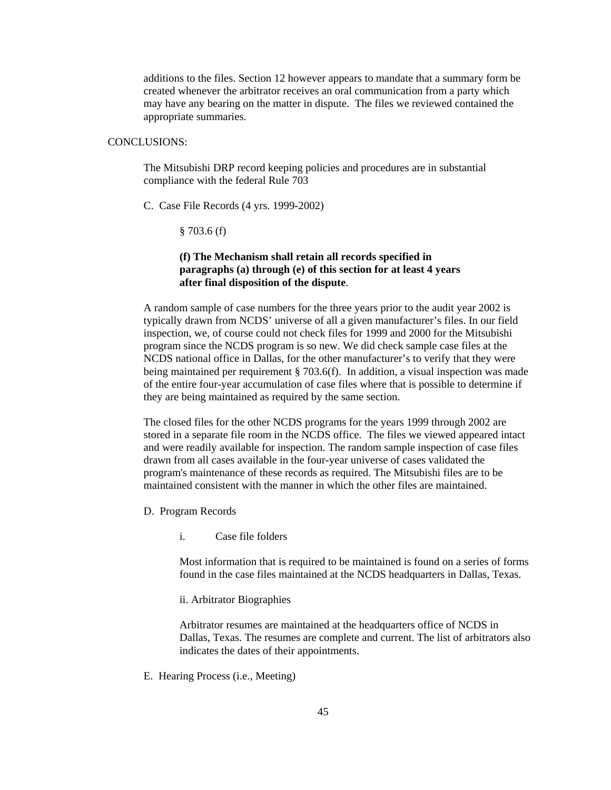additions to the files. Section 12 however appears to mandate that a summary form be created whenever the arbitrator receives an oral communication from a party which may have any bearing on the matter in dispute. The files we reviewed contained the appropriate summaries.

# CONCLUSIONS:

The Mitsubishi DRP record keeping policies and procedures are in substantial compliance with the federal Rule 703

C. Case File Records (4 yrs. 1999-2002)

§ 703.6 (f)

# **(f) The Mechanism shall retain all records specified in paragraphs (a) through (e) of this section for at least 4 years after final disposition of the dispute**.

A random sample of case numbers for the three years prior to the audit year 2002 is typically drawn from NCDS' universe of all a given manufacturer's files. In our field inspection, we, of course could not check files for 1999 and 2000 for the Mitsubishi program since the NCDS program is so new. We did check sample case files at the NCDS national office in Dallas, for the other manufacturer's to verify that they were being maintained per requirement § 703.6(f). In addition, a visual inspection was made of the entire four-year accumulation of case files where that is possible to determine if they are being maintained as required by the same section.

The closed files for the other NCDS programs for the years 1999 through 2002 are stored in a separate file room in the NCDS office. The files we viewed appeared intact and were readily available for inspection. The random sample inspection of case files drawn from all cases available in the four-year universe of cases validated the program's maintenance of these records as required. The Mitsubishi files are to be maintained consistent with the manner in which the other files are maintained.

- D. Program Records
	- i. Case file folders

Most information that is required to be maintained is found on a series of forms found in the case files maintained at the NCDS headquarters in Dallas, Texas.

ii. Arbitrator Biographies

Arbitrator resumes are maintained at the headquarters office of NCDS in Dallas, Texas. The resumes are complete and current. The list of arbitrators also indicates the dates of their appointments.

E. Hearing Process (i.e., Meeting)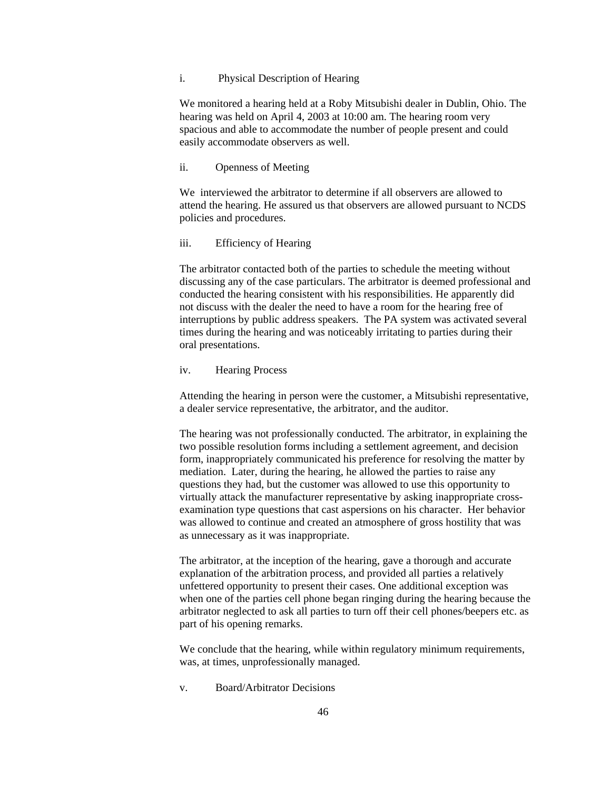#### i. Physical Description of Hearing

We monitored a hearing held at a Roby Mitsubishi dealer in Dublin, Ohio. The hearing was held on April 4, 2003 at 10:00 am. The hearing room very spacious and able to accommodate the number of people present and could easily accommodate observers as well.

## ii. Openness of Meeting

We interviewed the arbitrator to determine if all observers are allowed to attend the hearing. He assured us that observers are allowed pursuant to NCDS policies and procedures.

#### iii. Efficiency of Hearing

The arbitrator contacted both of the parties to schedule the meeting without discussing any of the case particulars. The arbitrator is deemed professional and conducted the hearing consistent with his responsibilities. He apparently did not discuss with the dealer the need to have a room for the hearing free of interruptions by public address speakers. The PA system was activated several times during the hearing and was noticeably irritating to parties during their oral presentations.

#### iv. Hearing Process

Attending the hearing in person were the customer, a Mitsubishi representative, a dealer service representative, the arbitrator, and the auditor.

The hearing was not professionally conducted. The arbitrator, in explaining the two possible resolution forms including a settlement agreement, and decision form, inappropriately communicated his preference for resolving the matter by mediation. Later, during the hearing, he allowed the parties to raise any questions they had, but the customer was allowed to use this opportunity to virtually attack the manufacturer representative by asking inappropriate crossexamination type questions that cast aspersions on his character. Her behavior was allowed to continue and created an atmosphere of gross hostility that was as unnecessary as it was inappropriate.

The arbitrator, at the inception of the hearing, gave a thorough and accurate explanation of the arbitration process, and provided all parties a relatively unfettered opportunity to present their cases. One additional exception was when one of the parties cell phone began ringing during the hearing because the arbitrator neglected to ask all parties to turn off their cell phones/beepers etc. as part of his opening remarks.

We conclude that the hearing, while within regulatory minimum requirements, was, at times, unprofessionally managed.

v. Board/Arbitrator Decisions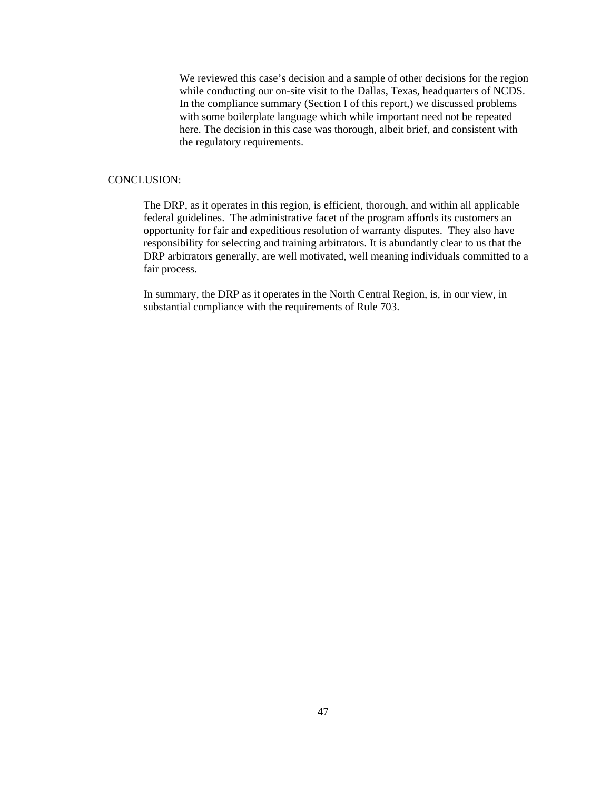We reviewed this case's decision and a sample of other decisions for the region while conducting our on-site visit to the Dallas, Texas, headquarters of NCDS. In the compliance summary (Section I of this report,) we discussed problems with some boilerplate language which while important need not be repeated here. The decision in this case was thorough, albeit brief, and consistent with the regulatory requirements.

#### CONCLUSION:

The DRP, as it operates in this region, is efficient, thorough, and within all applicable federal guidelines. The administrative facet of the program affords its customers an opportunity for fair and expeditious resolution of warranty disputes. They also have responsibility for selecting and training arbitrators. It is abundantly clear to us that the DRP arbitrators generally, are well motivated, well meaning individuals committed to a fair process.

In summary, the DRP as it operates in the North Central Region, is, in our view, in substantial compliance with the requirements of Rule 703.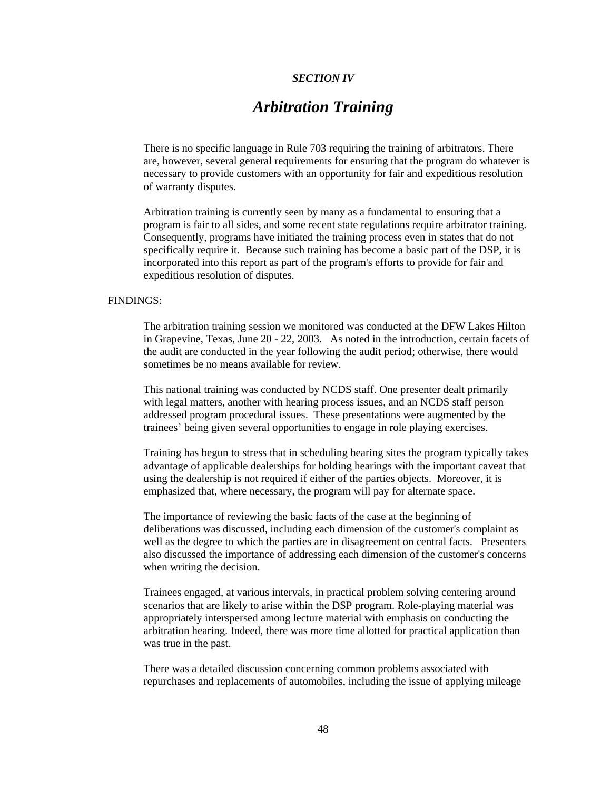### *SECTION IV*

# *Arbitration Training*

There is no specific language in Rule 703 requiring the training of arbitrators. There are, however, several general requirements for ensuring that the program do whatever is necessary to provide customers with an opportunity for fair and expeditious resolution of warranty disputes.

Arbitration training is currently seen by many as a fundamental to ensuring that a program is fair to all sides, and some recent state regulations require arbitrator training. Consequently, programs have initiated the training process even in states that do not specifically require it. Because such training has become a basic part of the DSP, it is incorporated into this report as part of the program's efforts to provide for fair and expeditious resolution of disputes.

#### FINDINGS:

The arbitration training session we monitored was conducted at the DFW Lakes Hilton in Grapevine, Texas, June 20 - 22, 2003. As noted in the introduction, certain facets of the audit are conducted in the year following the audit period; otherwise, there would sometimes be no means available for review.

This national training was conducted by NCDS staff. One presenter dealt primarily with legal matters, another with hearing process issues, and an NCDS staff person addressed program procedural issues. These presentations were augmented by the trainees' being given several opportunities to engage in role playing exercises.

Training has begun to stress that in scheduling hearing sites the program typically takes advantage of applicable dealerships for holding hearings with the important caveat that using the dealership is not required if either of the parties objects. Moreover, it is emphasized that, where necessary, the program will pay for alternate space.

The importance of reviewing the basic facts of the case at the beginning of deliberations was discussed, including each dimension of the customer's complaint as well as the degree to which the parties are in disagreement on central facts. Presenters also discussed the importance of addressing each dimension of the customer's concerns when writing the decision.

Trainees engaged, at various intervals, in practical problem solving centering around scenarios that are likely to arise within the DSP program. Role-playing material was appropriately interspersed among lecture material with emphasis on conducting the arbitration hearing. Indeed, there was more time allotted for practical application than was true in the past.

There was a detailed discussion concerning common problems associated with repurchases and replacements of automobiles, including the issue of applying mileage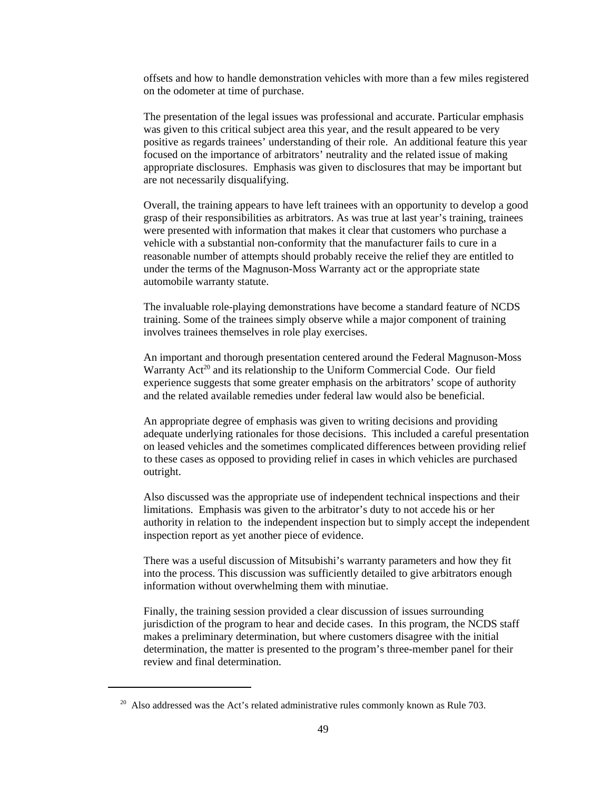offsets and how to handle demonstration vehicles with more than a few miles registered on the odometer at time of purchase.

The presentation of the legal issues was professional and accurate. Particular emphasis was given to this critical subject area this year, and the result appeared to be very positive as regards trainees' understanding of their role. An additional feature this year focused on the importance of arbitrators' neutrality and the related issue of making appropriate disclosures. Emphasis was given to disclosures that may be important but are not necessarily disqualifying.

Overall, the training appears to have left trainees with an opportunity to develop a good grasp of their responsibilities as arbitrators. As was true at last year's training, trainees were presented with information that makes it clear that customers who purchase a vehicle with a substantial non-conformity that the manufacturer fails to cure in a reasonable number of attempts should probably receive the relief they are entitled to under the terms of the Magnuson-Moss Warranty act or the appropriate state automobile warranty statute.

The invaluable role-playing demonstrations have become a standard feature of NCDS training. Some of the trainees simply observe while a major component of training involves trainees themselves in role play exercises.

An important and thorough presentation centered around the Federal Magnuson-Moss Warranty  $Act^{20}$  and its relationship to the Uniform Commercial Code. Our field experience suggests that some greater emphasis on the arbitrators' scope of authority and the related available remedies under federal law would also be beneficial.

An appropriate degree of emphasis was given to writing decisions and providing adequate underlying rationales for those decisions. This included a careful presentation on leased vehicles and the sometimes complicated differences between providing relief to these cases as opposed to providing relief in cases in which vehicles are purchased outright.

Also discussed was the appropriate use of independent technical inspections and their limitations. Emphasis was given to the arbitrator's duty to not accede his or her authority in relation to the independent inspection but to simply accept the independent inspection report as yet another piece of evidence.

There was a useful discussion of Mitsubishi's warranty parameters and how they fit into the process. This discussion was sufficiently detailed to give arbitrators enough information without overwhelming them with minutiae.

Finally, the training session provided a clear discussion of issues surrounding jurisdiction of the program to hear and decide cases. In this program, the NCDS staff makes a preliminary determination, but where customers disagree with the initial determination, the matter is presented to the program's three-member panel for their review and final determination.

 $20$  Also addressed was the Act's related administrative rules commonly known as Rule 703.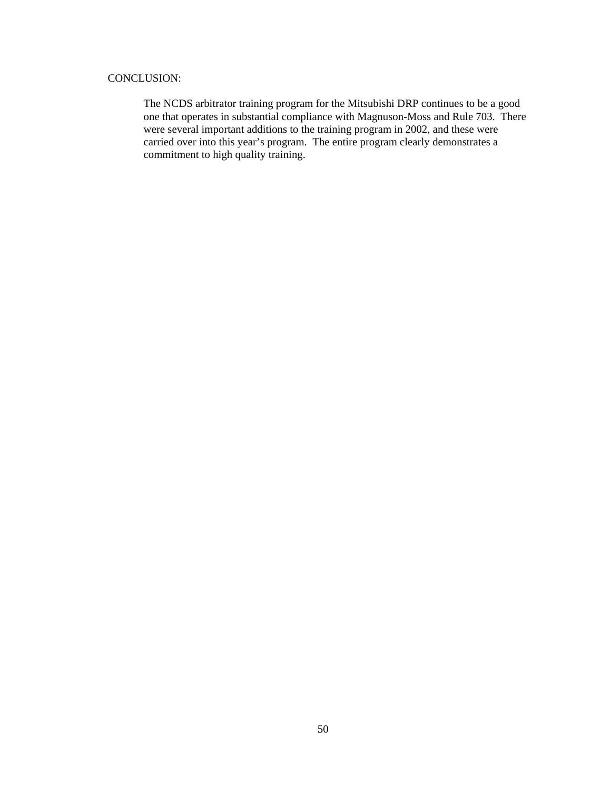# CONCLUSION:

The NCDS arbitrator training program for the Mitsubishi DRP continues to be a good one that operates in substantial compliance with Magnuson-Moss and Rule 703. There were several important additions to the training program in 2002, and these were carried over into this year's program. The entire program clearly demonstrates a commitment to high quality training.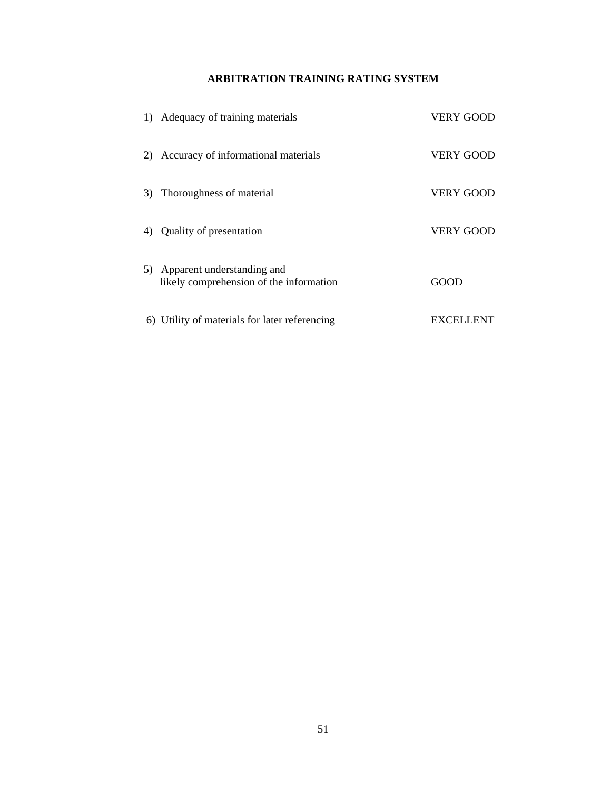# **ARBITRATION TRAINING RATING SYSTEM**

|    | 1) Adequacy of training materials                                     | VERY GOOD        |
|----|-----------------------------------------------------------------------|------------------|
| 2) | Accuracy of informational materials                                   | <b>VERY GOOD</b> |
| 3) | Thoroughness of material                                              | <b>VERY GOOD</b> |
| 4) | Quality of presentation                                               | <b>VERY GOOD</b> |
| 5) | Apparent understanding and<br>likely comprehension of the information | GOOD             |
|    | 6) Utility of materials for later referencing                         | <b>EXCELLENT</b> |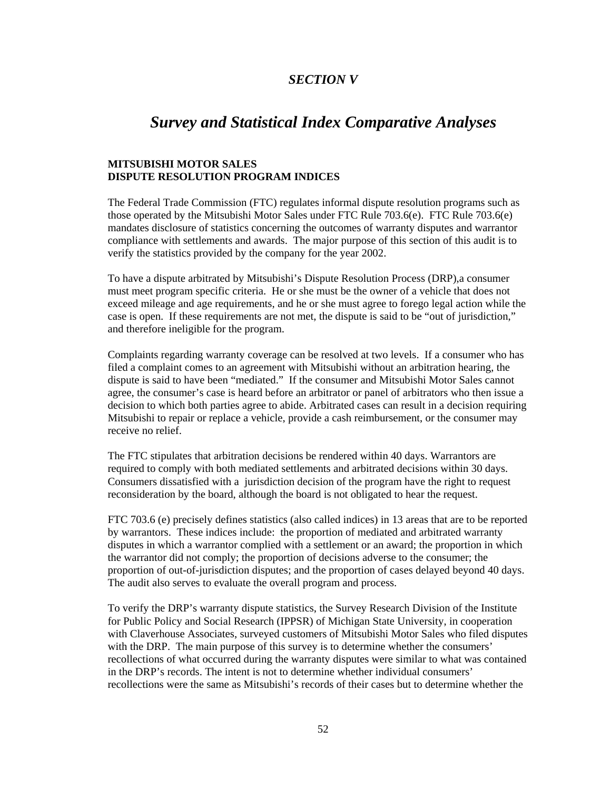# *SECTION V*

# *Survey and Statistical Index Comparative Analyses*

# **MITSUBISHI MOTOR SALES DISPUTE RESOLUTION PROGRAM INDICES**

The Federal Trade Commission (FTC) regulates informal dispute resolution programs such as those operated by the Mitsubishi Motor Sales under FTC Rule 703.6(e). FTC Rule 703.6(e) mandates disclosure of statistics concerning the outcomes of warranty disputes and warrantor compliance with settlements and awards. The major purpose of this section of this audit is to verify the statistics provided by the company for the year 2002.

To have a dispute arbitrated by Mitsubishi's Dispute Resolution Process (DRP),a consumer must meet program specific criteria. He or she must be the owner of a vehicle that does not exceed mileage and age requirements, and he or she must agree to forego legal action while the case is open. If these requirements are not met, the dispute is said to be "out of jurisdiction," and therefore ineligible for the program.

Complaints regarding warranty coverage can be resolved at two levels. If a consumer who has filed a complaint comes to an agreement with Mitsubishi without an arbitration hearing, the dispute is said to have been "mediated." If the consumer and Mitsubishi Motor Sales cannot agree, the consumer's case is heard before an arbitrator or panel of arbitrators who then issue a decision to which both parties agree to abide. Arbitrated cases can result in a decision requiring Mitsubishi to repair or replace a vehicle, provide a cash reimbursement, or the consumer may receive no relief.

The FTC stipulates that arbitration decisions be rendered within 40 days. Warrantors are required to comply with both mediated settlements and arbitrated decisions within 30 days. Consumers dissatisfied with a jurisdiction decision of the program have the right to request reconsideration by the board, although the board is not obligated to hear the request.

FTC 703.6 (e) precisely defines statistics (also called indices) in 13 areas that are to be reported by warrantors. These indices include: the proportion of mediated and arbitrated warranty disputes in which a warrantor complied with a settlement or an award; the proportion in which the warrantor did not comply; the proportion of decisions adverse to the consumer; the proportion of out-of-jurisdiction disputes; and the proportion of cases delayed beyond 40 days. The audit also serves to evaluate the overall program and process.

To verify the DRP's warranty dispute statistics, the Survey Research Division of the Institute for Public Policy and Social Research (IPPSR) of Michigan State University, in cooperation with Claverhouse Associates, surveyed customers of Mitsubishi Motor Sales who filed disputes with the DRP. The main purpose of this survey is to determine whether the consumers' recollections of what occurred during the warranty disputes were similar to what was contained in the DRP's records. The intent is not to determine whether individual consumers' recollections were the same as Mitsubishi's records of their cases but to determine whether the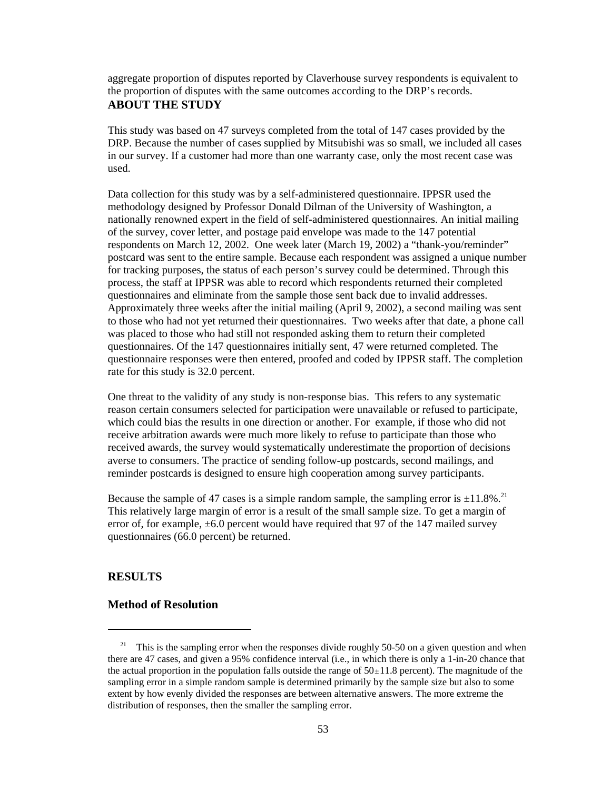aggregate proportion of disputes reported by Claverhouse survey respondents is equivalent to the proportion of disputes with the same outcomes according to the DRP's records. **ABOUT THE STUDY**

This study was based on 47 surveys completed from the total of 147 cases provided by the DRP. Because the number of cases supplied by Mitsubishi was so small, we included all cases in our survey. If a customer had more than one warranty case, only the most recent case was used.

Data collection for this study was by a self-administered questionnaire. IPPSR used the methodology designed by Professor Donald Dilman of the University of Washington, a nationally renowned expert in the field of self-administered questionnaires. An initial mailing of the survey, cover letter, and postage paid envelope was made to the 147 potential respondents on March 12, 2002. One week later (March 19, 2002) a "thank-you/reminder" postcard was sent to the entire sample. Because each respondent was assigned a unique number for tracking purposes, the status of each person's survey could be determined. Through this process, the staff at IPPSR was able to record which respondents returned their completed questionnaires and eliminate from the sample those sent back due to invalid addresses. Approximately three weeks after the initial mailing (April 9, 2002), a second mailing was sent to those who had not yet returned their questionnaires. Two weeks after that date, a phone call was placed to those who had still not responded asking them to return their completed questionnaires. Of the 147 questionnaires initially sent, 47 were returned completed. The questionnaire responses were then entered, proofed and coded by IPPSR staff. The completion rate for this study is 32.0 percent.

One threat to the validity of any study is non-response bias. This refers to any systematic reason certain consumers selected for participation were unavailable or refused to participate, which could bias the results in one direction or another. For example, if those who did not receive arbitration awards were much more likely to refuse to participate than those who received awards, the survey would systematically underestimate the proportion of decisions averse to consumers. The practice of sending follow-up postcards, second mailings, and reminder postcards is designed to ensure high cooperation among survey participants.

Because the sample of 47 cases is a simple random sample, the sampling error is  $\pm 11.8\%$ <sup>21</sup> This relatively large margin of error is a result of the small sample size. To get a margin of error of, for example,  $\pm 6.0$  percent would have required that 97 of the 147 mailed survey questionnaires (66.0 percent) be returned.

# **RESULTS**

# **Method of Resolution**

 <sup>21</sup> This is the sampling error when the responses divide roughly 50-50 on a given question and when there are 47 cases, and given a 95% confidence interval (i.e., in which there is only a 1-in-20 chance that the actual proportion in the population falls outside the range of  $50<sub>\pm</sub>11.8$  percent). The magnitude of the sampling error in a simple random sample is determined primarily by the sample size but also to some extent by how evenly divided the responses are between alternative answers. The more extreme the distribution of responses, then the smaller the sampling error.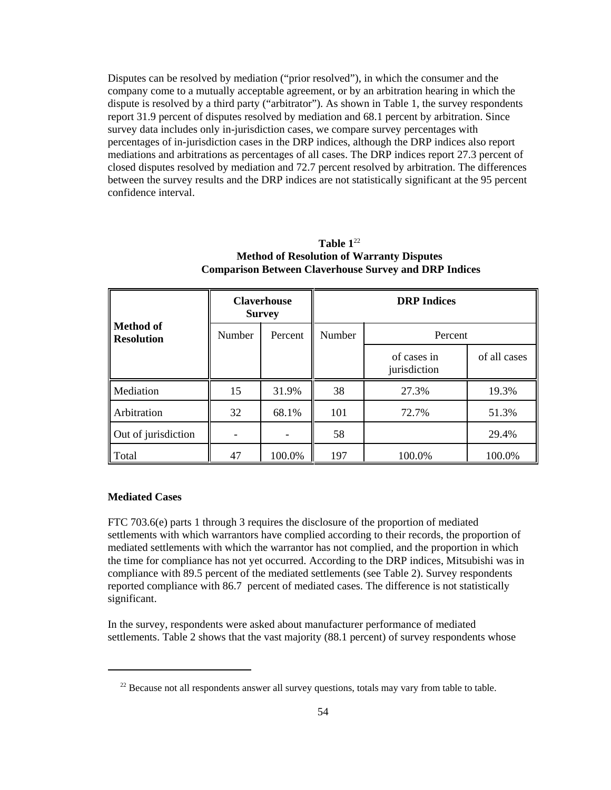Disputes can be resolved by mediation ("prior resolved"), in which the consumer and the company come to a mutually acceptable agreement, or by an arbitration hearing in which the dispute is resolved by a third party ("arbitrator"). As shown in Table 1, the survey respondents report 31.9 percent of disputes resolved by mediation and 68.1 percent by arbitration. Since survey data includes only in-jurisdiction cases, we compare survey percentages with percentages of in-jurisdiction cases in the DRP indices, although the DRP indices also report mediations and arbitrations as percentages of all cases. The DRP indices report 27.3 percent of closed disputes resolved by mediation and 72.7 percent resolved by arbitration. The differences between the survey results and the DRP indices are not statistically significant at the 95 percent confidence interval.

|                                | <b>Claverhouse</b><br><b>Survey</b> |         | <b>DRP</b> Indices |                             |              |  |
|--------------------------------|-------------------------------------|---------|--------------------|-----------------------------|--------------|--|
| Method of<br><b>Resolution</b> | Number                              | Percent | Number             | Percent                     |              |  |
|                                |                                     |         |                    | of cases in<br>jurisdiction | of all cases |  |
| Mediation                      | 15                                  | 31.9%   | 38                 | 27.3%                       | 19.3%        |  |
| Arbitration                    | 32                                  | 68.1%   | 101                | 72.7%                       | 51.3%        |  |
| Out of jurisdiction            |                                     |         | 58                 |                             | 29.4%        |  |
| Total                          | 47                                  | 100.0%  | 197                | 100.0%                      | 100.0%       |  |

**Table 1**<sup>22</sup> **Method of Resolution of Warranty Disputes Comparison Between Claverhouse Survey and DRP Indices**

#### **Mediated Cases**

FTC 703.6(e) parts 1 through 3 requires the disclosure of the proportion of mediated settlements with which warrantors have complied according to their records, the proportion of mediated settlements with which the warrantor has not complied, and the proportion in which the time for compliance has not yet occurred. According to the DRP indices, Mitsubishi was in compliance with 89.5 percent of the mediated settlements (see Table 2). Survey respondents reported compliance with 86.7 percent of mediated cases. The difference is not statistically significant.

In the survey, respondents were asked about manufacturer performance of mediated settlements. Table 2 shows that the vast majority (88.1 percent) of survey respondents whose

 $22$  Because not all respondents answer all survey questions, totals may vary from table to table.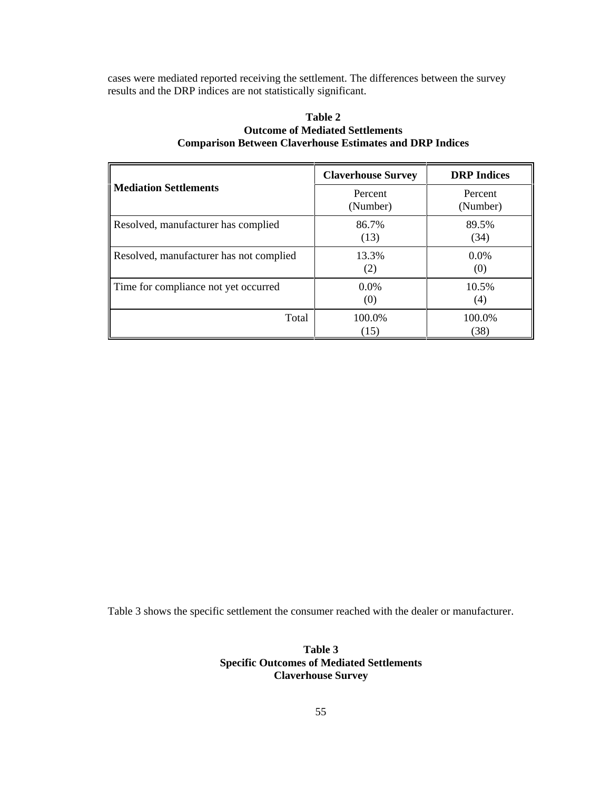cases were mediated reported receiving the settlement. The differences between the survey results and the DRP indices are not statistically significant.

| Table 2                                                         |  |  |  |
|-----------------------------------------------------------------|--|--|--|
| <b>Outcome of Mediated Settlements</b>                          |  |  |  |
| <b>Comparison Between Claverhouse Estimates and DRP Indices</b> |  |  |  |

|                                         | <b>Claverhouse Survey</b> | <b>DRP</b> Indices  |  |
|-----------------------------------------|---------------------------|---------------------|--|
| ll Mediation Settlements                | Percent<br>(Number)       | Percent<br>(Number) |  |
| Resolved, manufacturer has complied     | 86.7%<br>(13)             | 89.5%<br>(34)       |  |
| Resolved, manufacturer has not complied | 13.3%<br>(2)              | $0.0\%$<br>(0)      |  |
| Time for compliance not yet occurred    | $0.0\%$<br>(0)            | 10.5%<br>(4)        |  |
| Total                                   | 100.0%<br>(15)            | 100.0%<br>(38)      |  |

Table 3 shows the specific settlement the consumer reached with the dealer or manufacturer.

**Table 3 Specific Outcomes of Mediated Settlements Claverhouse Survey**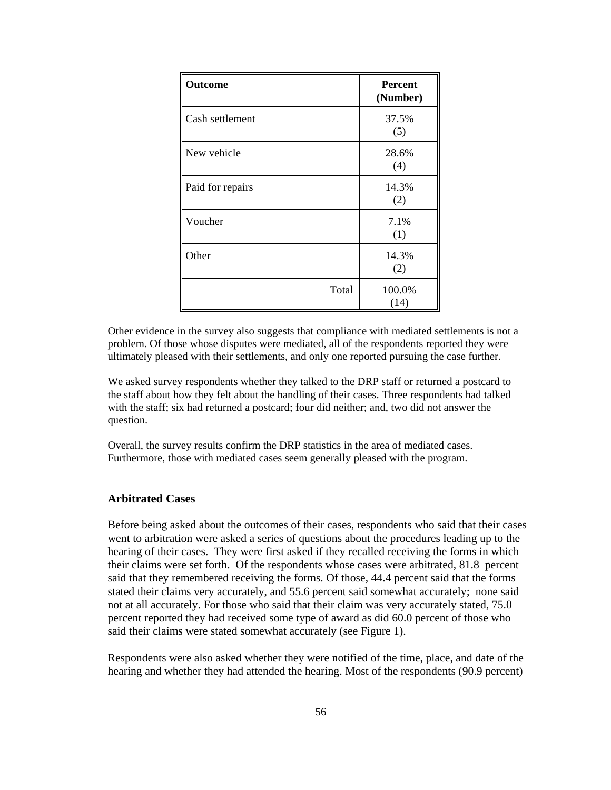| Outcome          | <b>Percent</b><br>(Number) |
|------------------|----------------------------|
| Cash settlement  | 37.5%<br>(5)               |
| New vehicle      | 28.6%<br>(4)               |
| Paid for repairs | 14.3%<br>(2)               |
| Voucher          | 7.1%<br>(1)                |
| Other            | 14.3%<br>(2)               |
| Total            | 100.0%<br>(14)             |

Other evidence in the survey also suggests that compliance with mediated settlements is not a problem. Of those whose disputes were mediated, all of the respondents reported they were ultimately pleased with their settlements, and only one reported pursuing the case further.

We asked survey respondents whether they talked to the DRP staff or returned a postcard to the staff about how they felt about the handling of their cases. Three respondents had talked with the staff; six had returned a postcard; four did neither; and, two did not answer the question.

Overall, the survey results confirm the DRP statistics in the area of mediated cases. Furthermore, those with mediated cases seem generally pleased with the program.

# **Arbitrated Cases**

Before being asked about the outcomes of their cases, respondents who said that their cases went to arbitration were asked a series of questions about the procedures leading up to the hearing of their cases. They were first asked if they recalled receiving the forms in which their claims were set forth. Of the respondents whose cases were arbitrated, 81.8 percent said that they remembered receiving the forms. Of those, 44.4 percent said that the forms stated their claims very accurately, and 55.6 percent said somewhat accurately; none said not at all accurately. For those who said that their claim was very accurately stated, 75.0 percent reported they had received some type of award as did 60.0 percent of those who said their claims were stated somewhat accurately (see Figure 1).

Respondents were also asked whether they were notified of the time, place, and date of the hearing and whether they had attended the hearing. Most of the respondents (90.9 percent)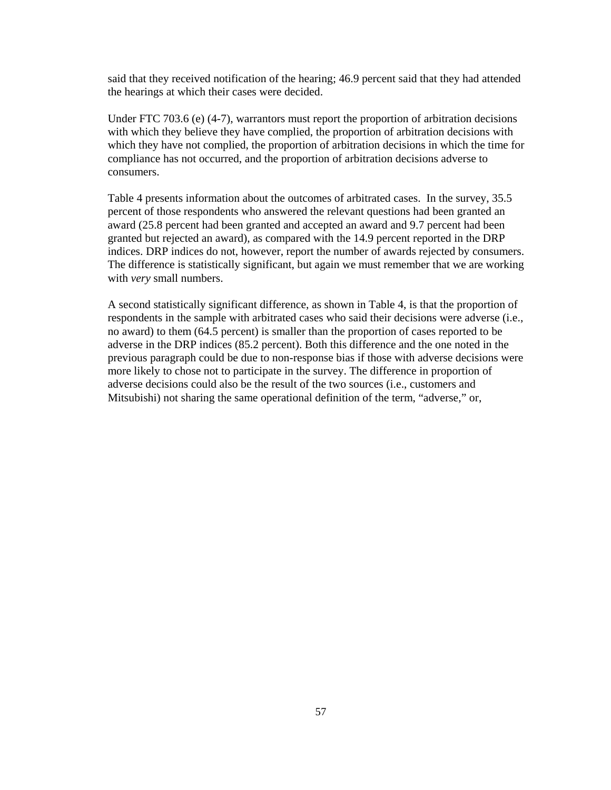said that they received notification of the hearing; 46.9 percent said that they had attended the hearings at which their cases were decided.

Under FTC 703.6 (e) (4-7), warrantors must report the proportion of arbitration decisions with which they believe they have complied, the proportion of arbitration decisions with which they have not complied, the proportion of arbitration decisions in which the time for compliance has not occurred, and the proportion of arbitration decisions adverse to consumers.

Table 4 presents information about the outcomes of arbitrated cases. In the survey, 35.5 percent of those respondents who answered the relevant questions had been granted an award (25.8 percent had been granted and accepted an award and 9.7 percent had been granted but rejected an award), as compared with the 14.9 percent reported in the DRP indices. DRP indices do not, however, report the number of awards rejected by consumers. The difference is statistically significant, but again we must remember that we are working with *very* small numbers.

A second statistically significant difference, as shown in Table 4, is that the proportion of respondents in the sample with arbitrated cases who said their decisions were adverse (i.e., no award) to them (64.5 percent) is smaller than the proportion of cases reported to be adverse in the DRP indices (85.2 percent). Both this difference and the one noted in the previous paragraph could be due to non-response bias if those with adverse decisions were more likely to chose not to participate in the survey. The difference in proportion of adverse decisions could also be the result of the two sources (i.e., customers and Mitsubishi) not sharing the same operational definition of the term, "adverse," or,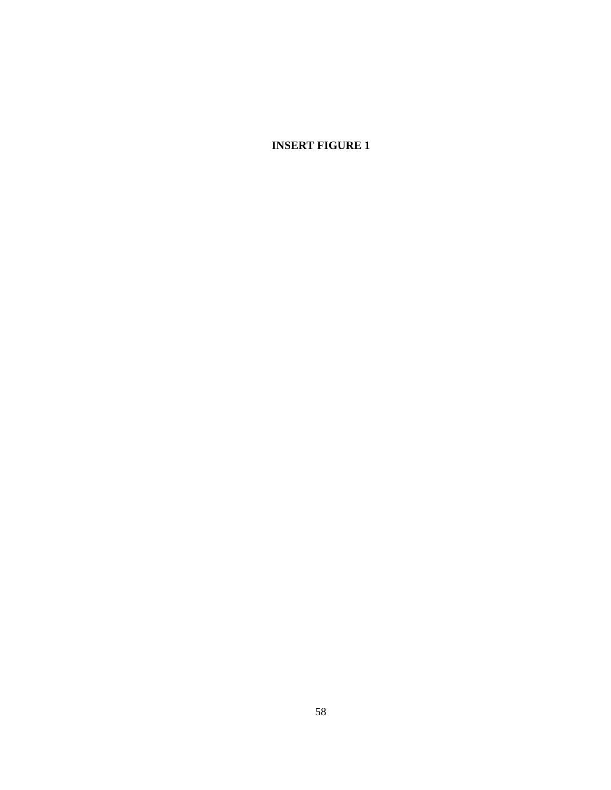**INSERT FIGURE 1**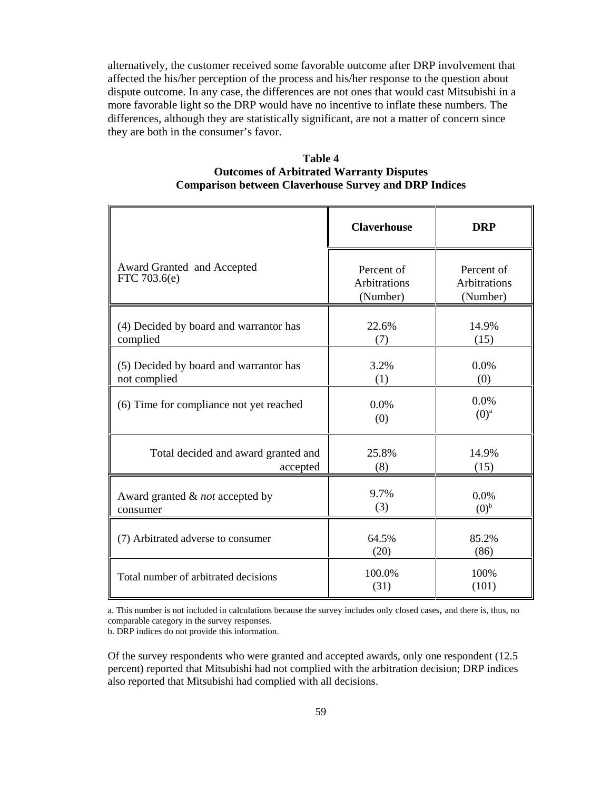alternatively, the customer received some favorable outcome after DRP involvement that affected the his/her perception of the process and his/her response to the question about dispute outcome. In any case, the differences are not ones that would cast Mitsubishi in a more favorable light so the DRP would have no incentive to inflate these numbers. The differences, although they are statistically significant, are not a matter of concern since they are both in the consumer's favor.

| <b>Table 4</b>                                               |  |
|--------------------------------------------------------------|--|
| <b>Outcomes of Arbitrated Warranty Disputes</b>              |  |
| <b>Comparison between Claverhouse Survey and DRP Indices</b> |  |

|                                                        | <b>Claverhouse</b>                            | <b>DRP</b>                             |
|--------------------------------------------------------|-----------------------------------------------|----------------------------------------|
| Award Granted and Accepted<br>FTC 703.6(e)             | Percent of<br><b>Arbitrations</b><br>(Number) | Percent of<br>Arbitrations<br>(Number) |
| (4) Decided by board and warrantor has<br>complied     | 22.6%<br>(7)                                  | 14.9%<br>(15)                          |
| (5) Decided by board and warrantor has<br>not complied | 3.2%<br>(1)                                   | 0.0%<br>(0)                            |
| (6) Time for compliance not yet reached                | 0.0%<br>(0)                                   | 0.0%<br>$(0)^a$                        |
| Total decided and award granted and<br>accepted        | 25.8%<br>(8)                                  | 14.9%<br>(15)                          |
| Award granted & not accepted by<br>consumer            | 9.7%<br>(3)                                   | 0.0%<br>(0) <sup>b</sup>               |
| (7) Arbitrated adverse to consumer                     | 64.5%<br>(20)                                 | 85.2%<br>(86)                          |
| Total number of arbitrated decisions                   | 100.0%<br>(31)                                | 100%<br>(101)                          |

a. This number is not included in calculations because the survey includes only closed cases, and there is, thus, no comparable category in the survey responses.

b. DRP indices do not provide this information.

Of the survey respondents who were granted and accepted awards, only one respondent (12.5 percent) reported that Mitsubishi had not complied with the arbitration decision; DRP indices also reported that Mitsubishi had complied with all decisions.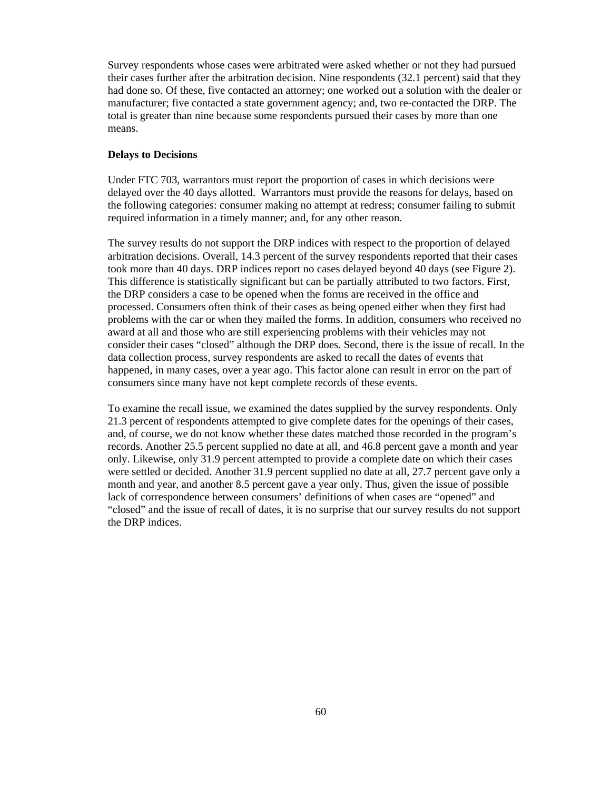Survey respondents whose cases were arbitrated were asked whether or not they had pursued their cases further after the arbitration decision. Nine respondents (32.1 percent) said that they had done so. Of these, five contacted an attorney; one worked out a solution with the dealer or manufacturer; five contacted a state government agency; and, two re-contacted the DRP. The total is greater than nine because some respondents pursued their cases by more than one means.

#### **Delays to Decisions**

Under FTC 703, warrantors must report the proportion of cases in which decisions were delayed over the 40 days allotted. Warrantors must provide the reasons for delays, based on the following categories: consumer making no attempt at redress; consumer failing to submit required information in a timely manner; and, for any other reason.

The survey results do not support the DRP indices with respect to the proportion of delayed arbitration decisions. Overall, 14.3 percent of the survey respondents reported that their cases took more than 40 days. DRP indices report no cases delayed beyond 40 days (see Figure 2). This difference is statistically significant but can be partially attributed to two factors. First, the DRP considers a case to be opened when the forms are received in the office and processed. Consumers often think of their cases as being opened either when they first had problems with the car or when they mailed the forms. In addition, consumers who received no award at all and those who are still experiencing problems with their vehicles may not consider their cases "closed" although the DRP does. Second, there is the issue of recall. In the data collection process, survey respondents are asked to recall the dates of events that happened, in many cases, over a year ago. This factor alone can result in error on the part of consumers since many have not kept complete records of these events.

To examine the recall issue, we examined the dates supplied by the survey respondents. Only 21.3 percent of respondents attempted to give complete dates for the openings of their cases, and, of course, we do not know whether these dates matched those recorded in the program's records. Another 25.5 percent supplied no date at all, and 46.8 percent gave a month and year only. Likewise, only 31.9 percent attempted to provide a complete date on which their cases were settled or decided. Another 31.9 percent supplied no date at all, 27.7 percent gave only a month and year, and another 8.5 percent gave a year only. Thus, given the issue of possible lack of correspondence between consumers' definitions of when cases are "opened" and "closed" and the issue of recall of dates, it is no surprise that our survey results do not support the DRP indices.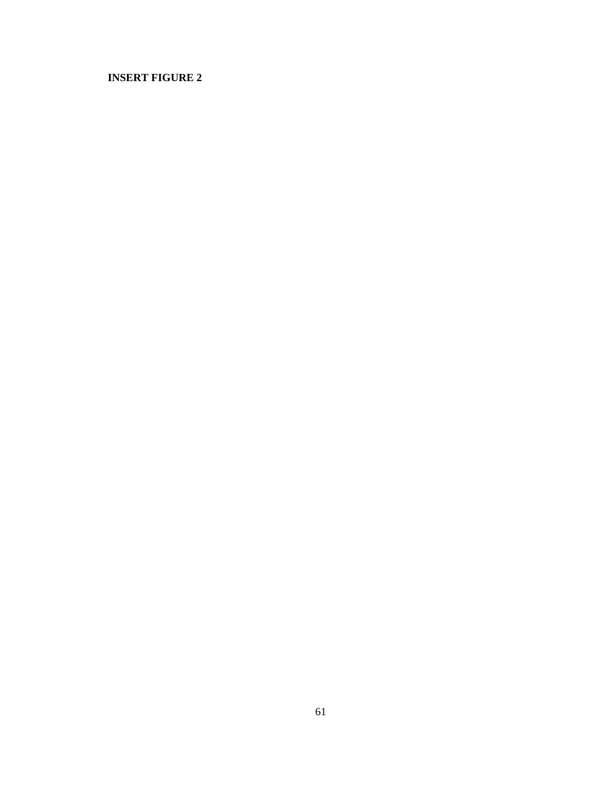# **INSERT FIGURE 2**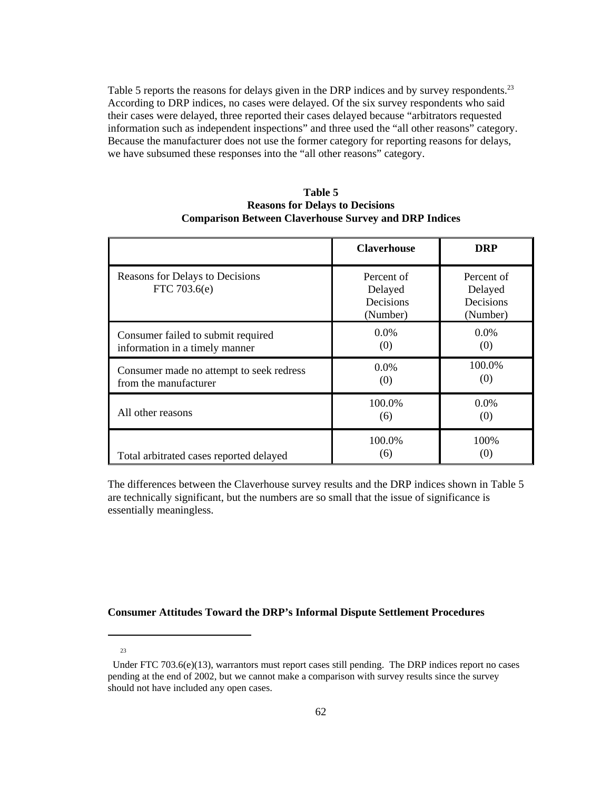Table 5 reports the reasons for delays given in the DRP indices and by survey respondents.<sup>23</sup> According to DRP indices, no cases were delayed. Of the six survey respondents who said their cases were delayed, three reported their cases delayed because "arbitrators requested information such as independent inspections" and three used the "all other reasons" category. Because the manufacturer does not use the former category for reporting reasons for delays, we have subsumed these responses into the "all other reasons" category.

| Table 5                                                      |
|--------------------------------------------------------------|
| <b>Reasons for Delays to Decisions</b>                       |
| <b>Comparison Between Claverhouse Survey and DRP Indices</b> |

|                                                                      | <b>Claverhouse</b>                             | <b>DRP</b>                                     |
|----------------------------------------------------------------------|------------------------------------------------|------------------------------------------------|
| Reasons for Delays to Decisions<br>FTC 703.6(e)                      | Percent of<br>Delayed<br>Decisions<br>(Number) | Percent of<br>Delayed<br>Decisions<br>(Number) |
| Consumer failed to submit required<br>information in a timely manner | $0.0\%$<br>(0)                                 | $0.0\%$<br>(0)                                 |
| Consumer made no attempt to seek redress<br>from the manufacturer    | $0.0\%$<br>(0)                                 | 100.0%<br>(0)                                  |
| All other reasons                                                    | 100.0%<br>(6)                                  | $0.0\%$<br>(0)                                 |
| Total arbitrated cases reported delayed                              | 100.0%<br>(6)                                  | 100%<br>(0)                                    |

The differences between the Claverhouse survey results and the DRP indices shown in Table 5 are technically significant, but the numbers are so small that the issue of significance is essentially meaningless.

# **Consumer Attitudes Toward the DRP's Informal Dispute Settlement Procedures**

 <sup>23</sup>

Under FTC 703.6(e)(13), warrantors must report cases still pending. The DRP indices report no cases pending at the end of 2002, but we cannot make a comparison with survey results since the survey should not have included any open cases.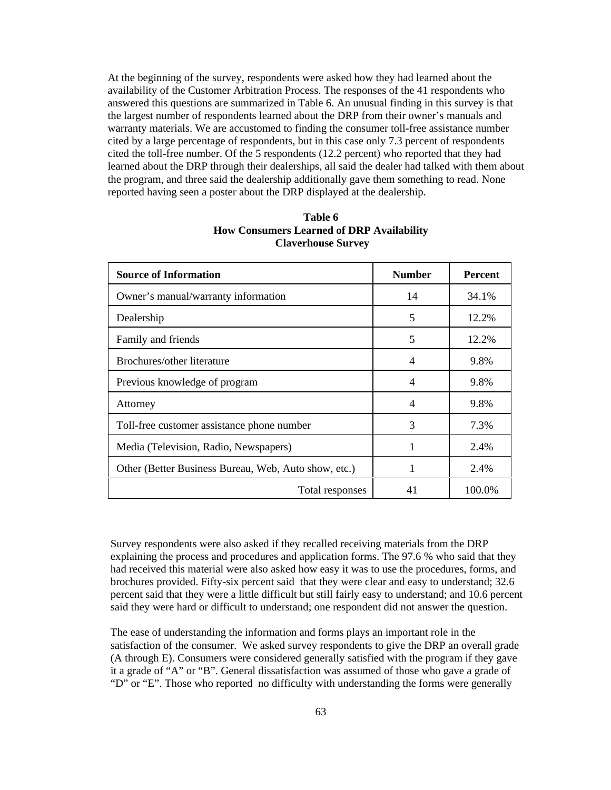At the beginning of the survey, respondents were asked how they had learned about the availability of the Customer Arbitration Process. The responses of the 41 respondents who answered this questions are summarized in Table 6. An unusual finding in this survey is that the largest number of respondents learned about the DRP from their owner's manuals and warranty materials. We are accustomed to finding the consumer toll-free assistance number cited by a large percentage of respondents, but in this case only 7.3 percent of respondents cited the toll-free number. Of the 5 respondents (12.2 percent) who reported that they had learned about the DRP through their dealerships, all said the dealer had talked with them about the program, and three said the dealership additionally gave them something to read. None reported having seen a poster about the DRP displayed at the dealership.

| <b>Source of Information</b>                         | <b>Number</b> | <b>Percent</b> |
|------------------------------------------------------|---------------|----------------|
| Owner's manual/warranty information                  | 14            | 34.1%          |
| Dealership                                           | 5             | 12.2%          |
| Family and friends                                   | 5             | 12.2%          |
| Brochures/other literature                           | 4             | 9.8%           |
| Previous knowledge of program                        | 4             | 9.8%           |
| Attorney                                             | 4             | 9.8%           |
| Toll-free customer assistance phone number           | 3             | 7.3%           |
| Media (Television, Radio, Newspapers)                |               | 2.4%           |
| Other (Better Business Bureau, Web, Auto show, etc.) | 1             | 2.4%           |
| Total responses                                      | 41            | 100.0%         |

| Table 6                                          |
|--------------------------------------------------|
| <b>How Consumers Learned of DRP Availability</b> |
| <b>Claverhouse Survey</b>                        |

Survey respondents were also asked if they recalled receiving materials from the DRP explaining the process and procedures and application forms. The 97.6 % who said that they had received this material were also asked how easy it was to use the procedures, forms, and brochures provided. Fifty-six percent said that they were clear and easy to understand; 32.6 percent said that they were a little difficult but still fairly easy to understand; and 10.6 percent said they were hard or difficult to understand; one respondent did not answer the question.

The ease of understanding the information and forms plays an important role in the satisfaction of the consumer. We asked survey respondents to give the DRP an overall grade (A through E). Consumers were considered generally satisfied with the program if they gave it a grade of "A" or "B". General dissatisfaction was assumed of those who gave a grade of "D" or "E". Those who reported no difficulty with understanding the forms were generally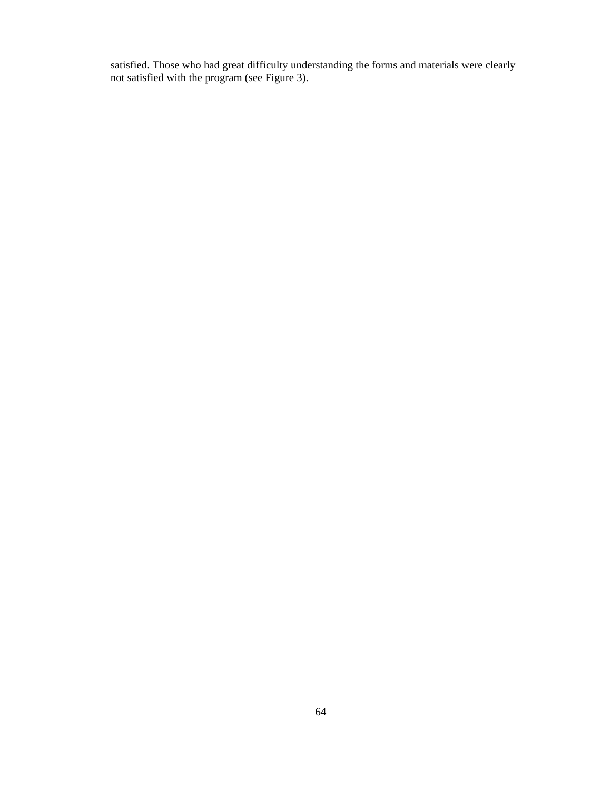satisfied. Those who had great difficulty understanding the forms and materials were clearly not satisfied with the program (see Figure 3).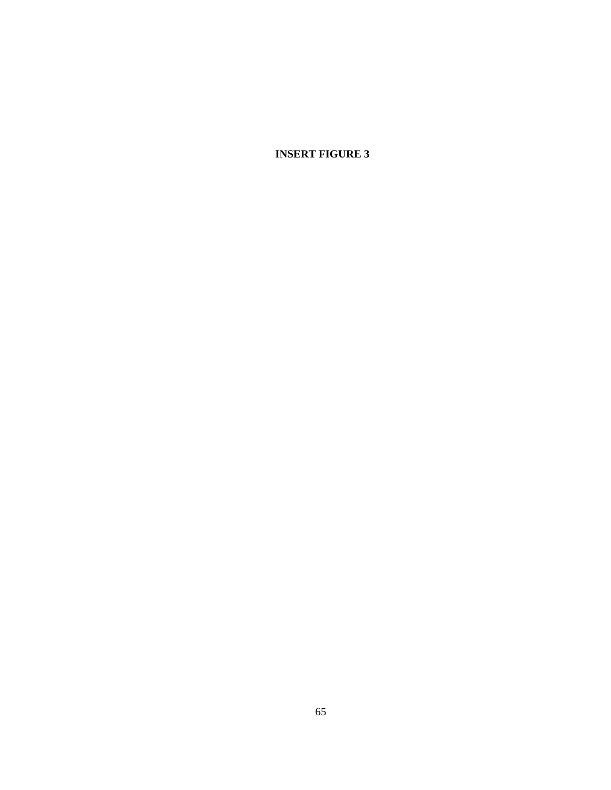**INSERT FIGURE 3**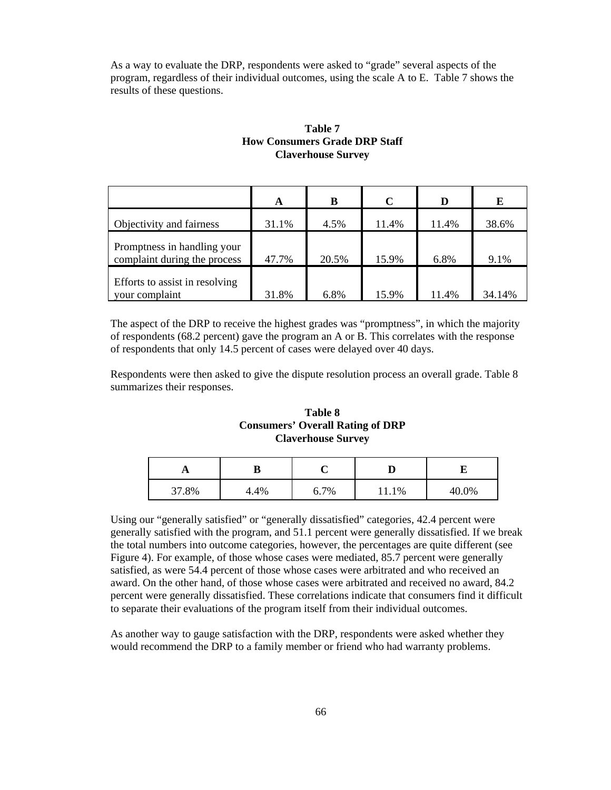As a way to evaluate the DRP, respondents were asked to "grade" several aspects of the program, regardless of their individual outcomes, using the scale A to E. Table 7 shows the results of these questions.

# **Table 7 How Consumers Grade DRP Staff Claverhouse Survey**

|                                                             | A     | B     | $\mathbf C$ | D     | E      |
|-------------------------------------------------------------|-------|-------|-------------|-------|--------|
| Objectivity and fairness                                    | 31.1% | 4.5%  | 11.4%       | 11.4% | 38.6%  |
| Promptness in handling your<br>complaint during the process | 47.7% | 20.5% | 15.9%       | 6.8%  | 9.1%   |
| Efforts to assist in resolving<br>your complaint            | 31.8% | 6.8%  | 15.9%       | 11.4% | 34.14% |

The aspect of the DRP to receive the highest grades was "promptness", in which the majority of respondents (68.2 percent) gave the program an A or B. This correlates with the response of respondents that only 14.5 percent of cases were delayed over 40 days.

Respondents were then asked to give the dispute resolution process an overall grade. Table 8 summarizes their responses.

# **Table 8 Consumers' Overall Rating of DRP Claverhouse Survey**

| $\overline{A}$ |      |      |       |       |
|----------------|------|------|-------|-------|
| 37.8%          | 4.4% | 6.7% | 11.1% | 40.0% |

Using our "generally satisfied" or "generally dissatisfied" categories, 42.4 percent were generally satisfied with the program, and 51.1 percent were generally dissatisfied. If we break the total numbers into outcome categories, however, the percentages are quite different (see Figure 4). For example, of those whose cases were mediated, 85.7 percent were generally satisfied, as were 54.4 percent of those whose cases were arbitrated and who received an award. On the other hand, of those whose cases were arbitrated and received no award, 84.2 percent were generally dissatisfied. These correlations indicate that consumers find it difficult to separate their evaluations of the program itself from their individual outcomes.

As another way to gauge satisfaction with the DRP, respondents were asked whether they would recommend the DRP to a family member or friend who had warranty problems.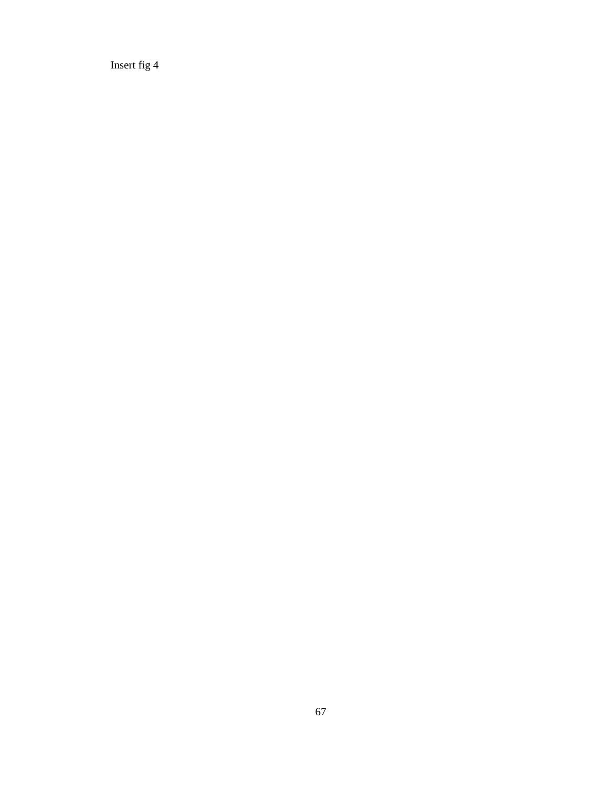Insert fig 4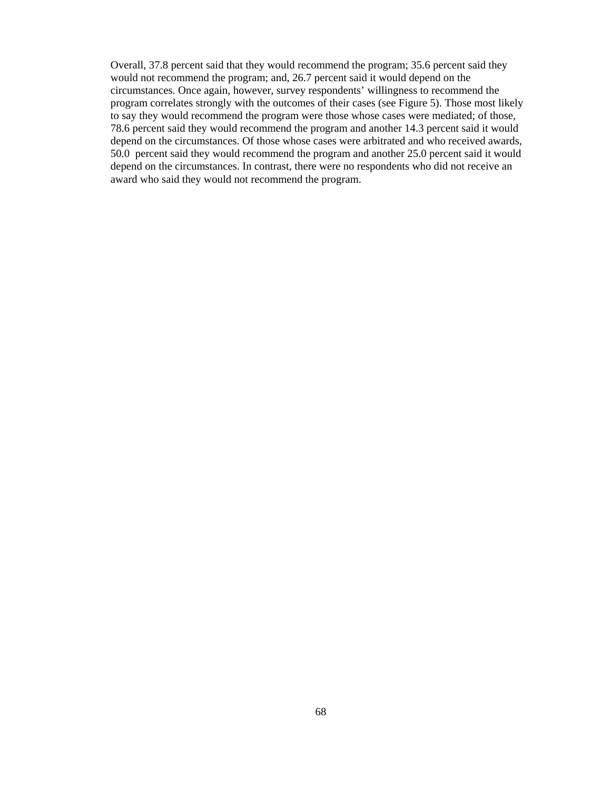Overall, 37.8 percent said that they would recommend the program; 35.6 percent said they would not recommend the program; and, 26.7 percent said it would depend on the circumstances. Once again, however, survey respondents' willingness to recommend the program correlates strongly with the outcomes of their cases (see Figure 5). Those most likely to say they would recommend the program were those whose cases were mediated; of those, 78.6 percent said they would recommend the program and another 14.3 percent said it would depend on the circumstances. Of those whose cases were arbitrated and who received awards, 50.0 percent said they would recommend the program and another 25.0 percent said it would depend on the circumstances. In contrast, there were no respondents who did not receive an award who said they would not recommend the program.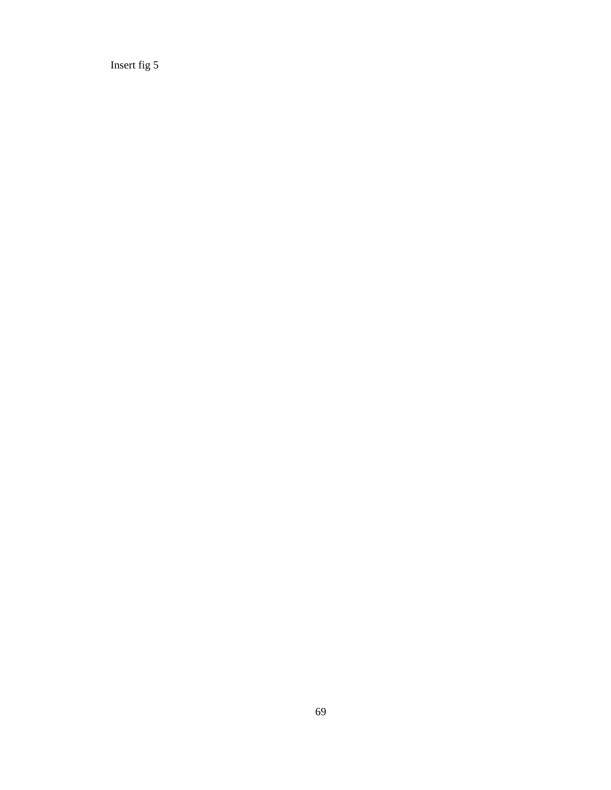Insert fig 5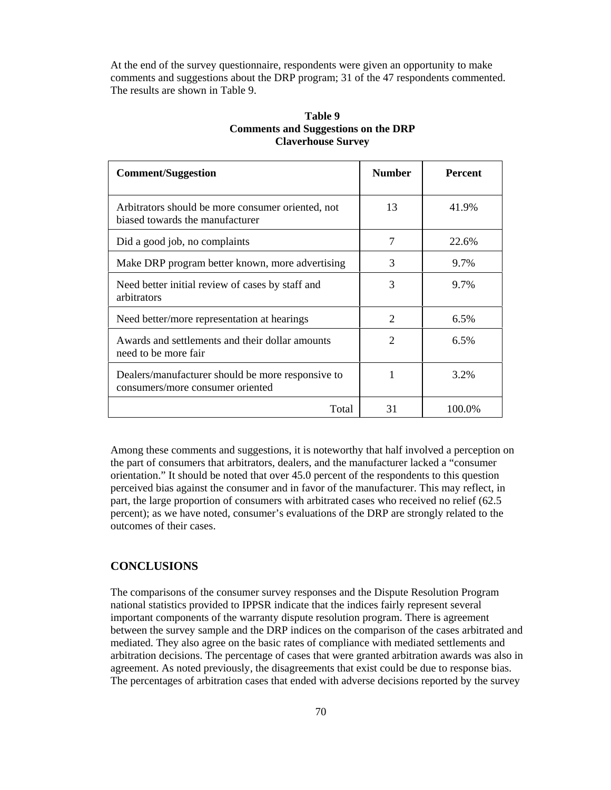At the end of the survey questionnaire, respondents were given an opportunity to make comments and suggestions about the DRP program; 31 of the 47 respondents commented. The results are shown in Table 9.

| <b>Comment/Suggestion</b>                                                             | <b>Number</b>               | <b>Percent</b> |
|---------------------------------------------------------------------------------------|-----------------------------|----------------|
| Arbitrators should be more consumer oriented, not<br>biased towards the manufacturer  | 13                          | 41.9%          |
| Did a good job, no complaints                                                         |                             | 22.6%          |
| Make DRP program better known, more advertising                                       | 3                           | 9.7%           |
| Need better initial review of cases by staff and<br>arbitrators                       | 3                           | 9.7%           |
| Need better/more representation at hearings                                           | $\mathcal{D}_{\mathcal{L}}$ | 6.5%           |
| Awards and settlements and their dollar amounts<br>need to be more fair               | $\mathcal{D}_{\mathcal{A}}$ | 6.5%           |
| Dealers/manufacturer should be more responsive to<br>consumers/more consumer oriented |                             | 3.2%           |
| Total                                                                                 | 31                          | 100.0%         |

# **Table 9 Comments and Suggestions on the DRP Claverhouse Survey**

Among these comments and suggestions, it is noteworthy that half involved a perception on the part of consumers that arbitrators, dealers, and the manufacturer lacked a "consumer orientation." It should be noted that over 45.0 percent of the respondents to this question perceived bias against the consumer and in favor of the manufacturer. This may reflect, in part, the large proportion of consumers with arbitrated cases who received no relief (62.5 percent); as we have noted, consumer's evaluations of the DRP are strongly related to the outcomes of their cases.

# **CONCLUSIONS**

The comparisons of the consumer survey responses and the Dispute Resolution Program national statistics provided to IPPSR indicate that the indices fairly represent several important components of the warranty dispute resolution program. There is agreement between the survey sample and the DRP indices on the comparison of the cases arbitrated and mediated. They also agree on the basic rates of compliance with mediated settlements and arbitration decisions. The percentage of cases that were granted arbitration awards was also in agreement. As noted previously, the disagreements that exist could be due to response bias. The percentages of arbitration cases that ended with adverse decisions reported by the survey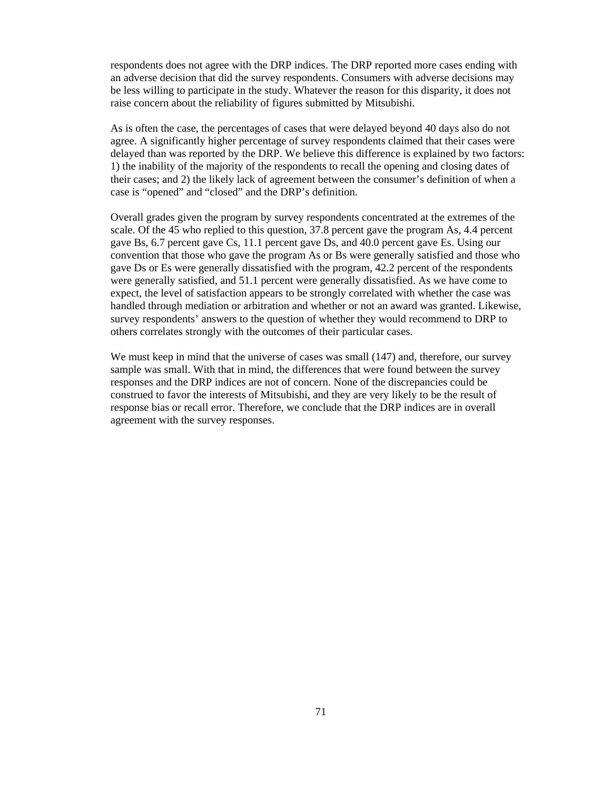respondents does not agree with the DRP indices. The DRP reported more cases ending with an adverse decision that did the survey respondents. Consumers with adverse decisions may be less willing to participate in the study. Whatever the reason for this disparity, it does not raise concern about the reliability of figures submitted by Mitsubishi.

As is often the case, the percentages of cases that were delayed beyond 40 days also do not agree. A significantly higher percentage of survey respondents claimed that their cases were delayed than was reported by the DRP. We believe this difference is explained by two factors: 1) the inability of the majority of the respondents to recall the opening and closing dates of their cases; and 2) the likely lack of agreement between the consumer's definition of when a case is "opened" and "closed" and the DRP's definition.

Overall grades given the program by survey respondents concentrated at the extremes of the scale. Of the 45 who replied to this question, 37.8 percent gave the program As, 4.4 percent gave Bs, 6.7 percent gave Cs, 11.1 percent gave Ds, and 40.0 percent gave Es. Using our convention that those who gave the program As or Bs were generally satisfied and those who gave Ds or Es were generally dissatisfied with the program, 42.2 percent of the respondents were generally satisfied, and 51.1 percent were generally dissatisfied. As we have come to expect, the level of satisfaction appears to be strongly correlated with whether the case was handled through mediation or arbitration and whether or not an award was granted. Likewise, survey respondents' answers to the question of whether they would recommend to DRP to others correlates strongly with the outcomes of their particular cases.

We must keep in mind that the universe of cases was small  $(147)$  and, therefore, our survey sample was small. With that in mind, the differences that were found between the survey responses and the DRP indices are not of concern. None of the discrepancies could be construed to favor the interests of Mitsubishi, and they are very likely to be the result of response bias or recall error. Therefore, we conclude that the DRP indices are in overall agreement with the survey responses.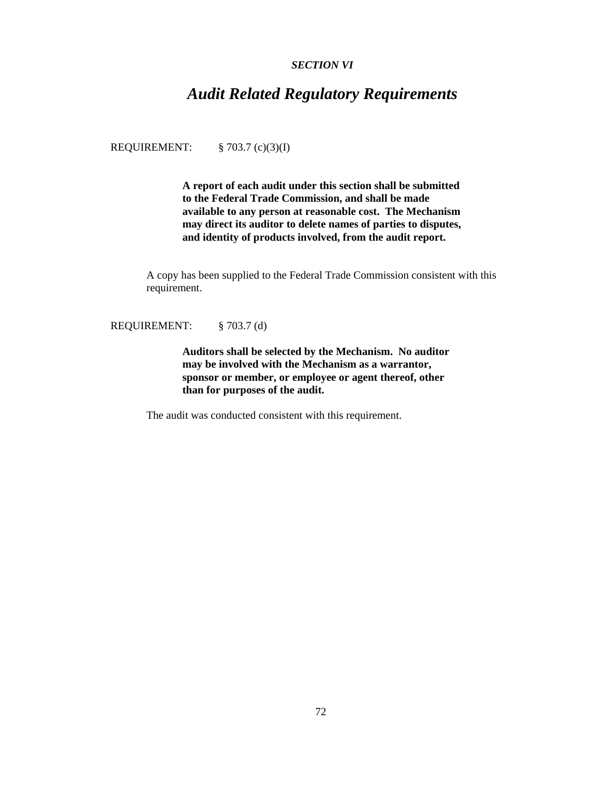# *SECTION VI*

# *Audit Related Regulatory Requirements*

REQUIREMENT: § 703.7 (c)(3)(I)

**A report of each audit under this section shall be submitted to the Federal Trade Commission, and shall be made available to any person at reasonable cost. The Mechanism may direct its auditor to delete names of parties to disputes, and identity of products involved, from the audit report.**

A copy has been supplied to the Federal Trade Commission consistent with this requirement.

REQUIREMENT: § 703.7 (d)

**Auditors shall be selected by the Mechanism. No auditor may be involved with the Mechanism as a warrantor, sponsor or member, or employee or agent thereof, other than for purposes of the audit.**

The audit was conducted consistent with this requirement.